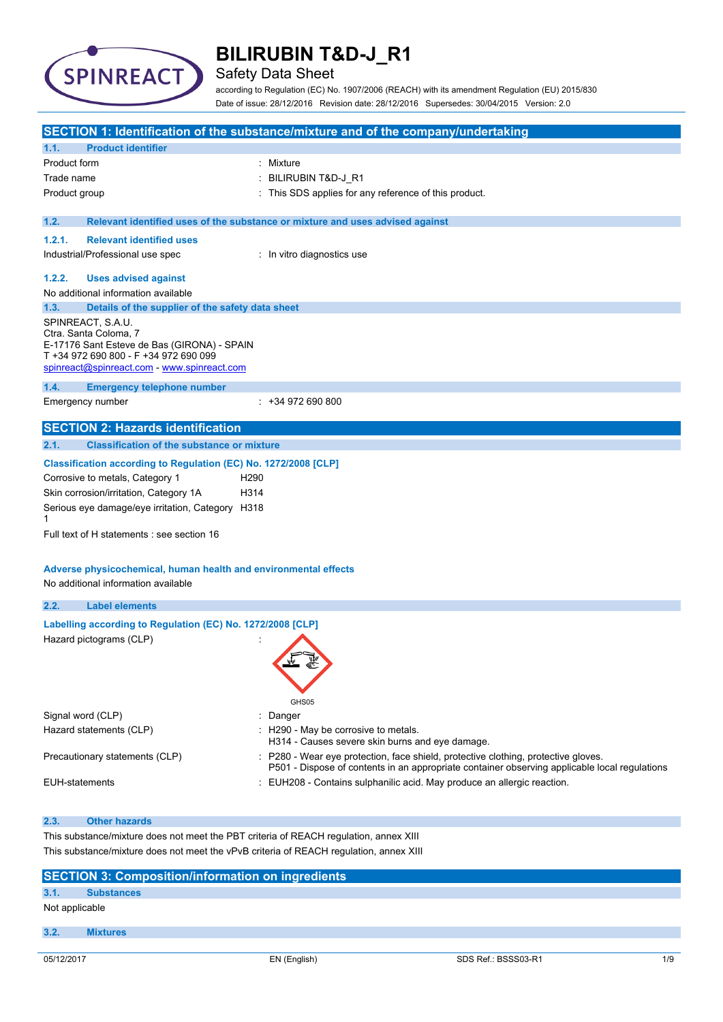

## Safety Data Sheet

according to Regulation (EC) No. 1907/2006 (REACH) with its amendment Regulation (EU) 2015/830 Date of issue: 28/12/2016 Revision date: 28/12/2016 Supersedes: 30/04/2015 Version: 2.0

|                   |                                                                                                                                                                                   | SECTION 1: Identification of the substance/mixture and of the company/undertaking                                                                                                   |
|-------------------|-----------------------------------------------------------------------------------------------------------------------------------------------------------------------------------|-------------------------------------------------------------------------------------------------------------------------------------------------------------------------------------|
| 1.1.              | <b>Product identifier</b>                                                                                                                                                         |                                                                                                                                                                                     |
| Product form      |                                                                                                                                                                                   | : Mixture                                                                                                                                                                           |
| Trade name        |                                                                                                                                                                                   | BILIRUBIN T&D-J_R1                                                                                                                                                                  |
| Product group     |                                                                                                                                                                                   | This SDS applies for any reference of this product.                                                                                                                                 |
| 1.2.              |                                                                                                                                                                                   | Relevant identified uses of the substance or mixture and uses advised against                                                                                                       |
| 1.2.1.            | <b>Relevant identified uses</b>                                                                                                                                                   |                                                                                                                                                                                     |
|                   | Industrial/Professional use spec                                                                                                                                                  | : In vitro diagnostics use                                                                                                                                                          |
| 1.2.2.            | <b>Uses advised against</b>                                                                                                                                                       |                                                                                                                                                                                     |
|                   | No additional information available                                                                                                                                               |                                                                                                                                                                                     |
| 1.3.              | Details of the supplier of the safety data sheet                                                                                                                                  |                                                                                                                                                                                     |
|                   | SPINREACT, S.A.U.<br>Ctra. Santa Coloma, 7<br>E-17176 Sant Esteve de Bas (GIRONA) - SPAIN<br>T +34 972 690 800 - F +34 972 690 099<br>spinreact@spinreact.com - www.spinreact.com |                                                                                                                                                                                     |
| 1.4.              | <b>Emergency telephone number</b>                                                                                                                                                 |                                                                                                                                                                                     |
|                   | Emergency number                                                                                                                                                                  | $: +34972690800$                                                                                                                                                                    |
|                   | <b>SECTION 2: Hazards identification</b>                                                                                                                                          |                                                                                                                                                                                     |
| 2.1.              | <b>Classification of the substance or mixture</b>                                                                                                                                 |                                                                                                                                                                                     |
|                   | Classification according to Regulation (EC) No. 1272/2008 [CLP]                                                                                                                   |                                                                                                                                                                                     |
|                   | Corrosive to metals, Category 1<br>H <sub>290</sub>                                                                                                                               |                                                                                                                                                                                     |
|                   | Skin corrosion/irritation, Category 1A<br>H314                                                                                                                                    |                                                                                                                                                                                     |
| 1                 | Serious eye damage/eye irritation, Category H318                                                                                                                                  |                                                                                                                                                                                     |
|                   | Full text of H statements : see section 16                                                                                                                                        |                                                                                                                                                                                     |
|                   | Adverse physicochemical, human health and environmental effects<br>No additional information available                                                                            |                                                                                                                                                                                     |
| 2.2.              | <b>Label elements</b>                                                                                                                                                             |                                                                                                                                                                                     |
|                   | Labelling according to Regulation (EC) No. 1272/2008 [CLP]                                                                                                                        |                                                                                                                                                                                     |
|                   | Hazard pictograms (CLP)                                                                                                                                                           | GHS05                                                                                                                                                                               |
| Signal word (CLP) |                                                                                                                                                                                   | Danger                                                                                                                                                                              |
|                   | Hazard statements (CLP)                                                                                                                                                           | : H290 - May be corrosive to metals.<br>H314 - Causes severe skin burns and eye damage.                                                                                             |
|                   | Precautionary statements (CLP)                                                                                                                                                    | : P280 - Wear eye protection, face shield, protective clothing, protective gloves.<br>P501 - Dispose of contents in an appropriate container observing applicable local regulations |
| EUH-statements    |                                                                                                                                                                                   | EUH208 - Contains sulphanilic acid. May produce an allergic reaction.                                                                                                               |
|                   |                                                                                                                                                                                   |                                                                                                                                                                                     |
| 2.3.              | <b>Other hazards</b>                                                                                                                                                              |                                                                                                                                                                                     |
|                   | This substance/mixture does not meet the PBT criteria of REACH regulation, annex XIII<br>This substance/mixture does not meet the vPvB criteria of REACH regulation, annex XIII   |                                                                                                                                                                                     |
|                   |                                                                                                                                                                                   |                                                                                                                                                                                     |

#### **SECTION 3: Composition/information on ingredients 3.1. Substances**

#### Not applicable

#### **3.2. Mixtures**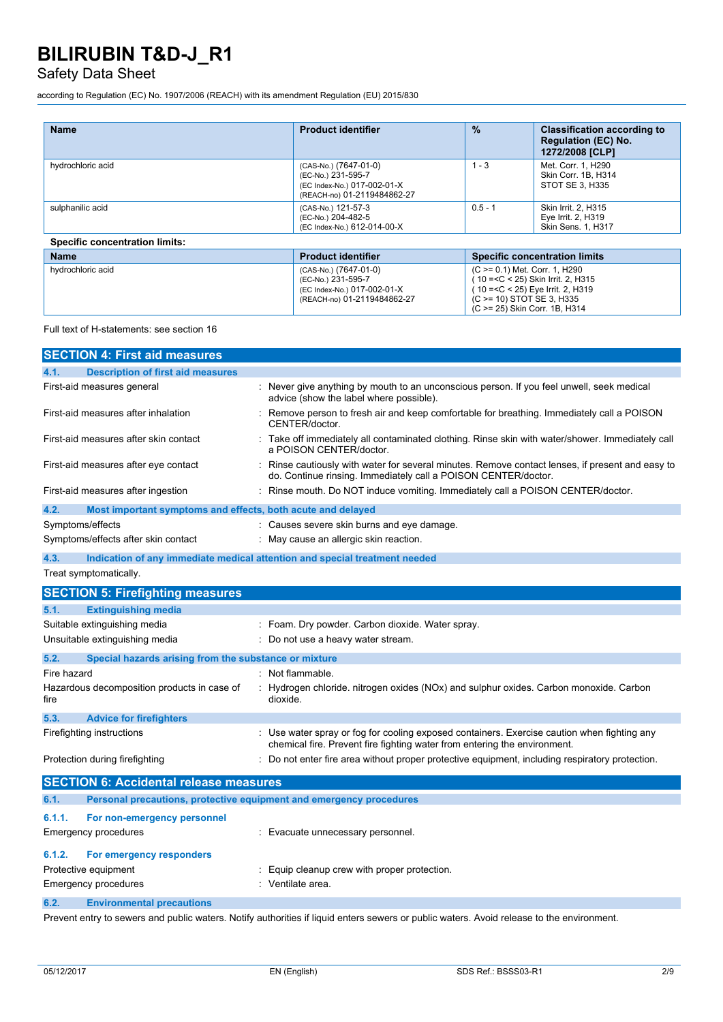## Safety Data Sheet

according to Regulation (EC) No. 1907/2006 (REACH) with its amendment Regulation (EU) 2015/830

| <b>Name</b>                           | <b>Product identifier</b>                                                                                 | $\frac{9}{6}$                                                                                           | <b>Classification according to</b><br><b>Regulation (EC) No.</b><br>1272/2008 [CLP] |
|---------------------------------------|-----------------------------------------------------------------------------------------------------------|---------------------------------------------------------------------------------------------------------|-------------------------------------------------------------------------------------|
| hydrochloric acid                     | (CAS-No.) (7647-01-0)<br>(EC-No.) 231-595-7<br>(EC Index-No.) 017-002-01-X<br>(REACH-no) 01-2119484862-27 | $1 - 3$                                                                                                 | Met. Corr. 1, H290<br>Skin Corr. 1B. H314<br>STOT SE 3. H335                        |
| sulphanilic acid                      | (CAS-No.) 121-57-3<br>(EC-No.) 204-482-5<br>(EC Index-No.) 612-014-00-X                                   | $0.5 - 1$                                                                                               | Skin Irrit. 2. H315<br>Eye Irrit. 2, H319<br>Skin Sens. 1, H317                     |
| <b>Specific concentration limits:</b> |                                                                                                           |                                                                                                         |                                                                                     |
| <b>Name</b>                           | <b>Product identifier</b>                                                                                 |                                                                                                         | <b>Specific concentration limits</b>                                                |
| hydrochloric acid                     | (CAS-No.) (7647-01-0)<br>(EC-No.) 231-595-7<br>(EC Index-No.) 017-002-01-X                                | (C >= 0.1) Met. Corr. 1, H290<br>10 = < C < 25) Skin Irrit. 2, H315<br>10 =< C < 25) Eve Irrit, 2, H319 |                                                                                     |

(REACH-no) 01-2119484862-27

Full text of H-statements: see section 16

| <b>SECTION 4: First aid measures</b>                                        |                                                                                                                                                                        |
|-----------------------------------------------------------------------------|------------------------------------------------------------------------------------------------------------------------------------------------------------------------|
| <b>Description of first aid measures</b><br>4.1.                            |                                                                                                                                                                        |
| First-aid measures general                                                  | Never give anything by mouth to an unconscious person. If you feel unwell, seek medical<br>advice (show the label where possible).                                     |
| First-aid measures after inhalation                                         | Remove person to fresh air and keep comfortable for breathing. Immediately call a POISON<br>CENTER/doctor.                                                             |
| First-aid measures after skin contact                                       | Take off immediately all contaminated clothing. Rinse skin with water/shower. Immediately call<br>a POISON CENTER/doctor.                                              |
| First-aid measures after eye contact                                        | Rinse cautiously with water for several minutes. Remove contact lenses, if present and easy to<br>do. Continue rinsing. Immediately call a POISON CENTER/doctor.       |
| First-aid measures after ingestion                                          | Rinse mouth. Do NOT induce vomiting. Immediately call a POISON CENTER/doctor.                                                                                          |
| 4.2.<br>Most important symptoms and effects, both acute and delayed         |                                                                                                                                                                        |
| Symptoms/effects                                                            | : Causes severe skin burns and eye damage.                                                                                                                             |
| Symptoms/effects after skin contact                                         | : May cause an allergic skin reaction.                                                                                                                                 |
| 4.3.                                                                        | Indication of any immediate medical attention and special treatment needed                                                                                             |
| Treat symptomatically.                                                      |                                                                                                                                                                        |
| <b>SECTION 5: Firefighting measures</b>                                     |                                                                                                                                                                        |
| <b>Extinguishing media</b><br>5.1.                                          |                                                                                                                                                                        |
| Suitable extinguishing media                                                | : Foam. Dry powder. Carbon dioxide. Water spray.                                                                                                                       |
| Unsuitable extinguishing media                                              | Do not use a heavy water stream.                                                                                                                                       |
| 5.2.<br>Special hazards arising from the substance or mixture               |                                                                                                                                                                        |
| Fire hazard                                                                 | Not flammable.                                                                                                                                                         |
| Hazardous decomposition products in case of<br>fire                         | Hydrogen chloride. nitrogen oxides (NOx) and sulphur oxides. Carbon monoxide. Carbon<br>dioxide.                                                                       |
| 5.3.<br><b>Advice for firefighters</b>                                      |                                                                                                                                                                        |
| Firefighting instructions                                                   | Use water spray or fog for cooling exposed containers. Exercise caution when fighting any<br>chemical fire. Prevent fire fighting water from entering the environment. |
| Protection during firefighting                                              | Do not enter fire area without proper protective equipment, including respiratory protection.                                                                          |
| <b>SECTION 6: Accidental release measures</b>                               |                                                                                                                                                                        |
| 6.1.<br>Personal precautions, protective equipment and emergency procedures |                                                                                                                                                                        |
| 6.1.1.<br>For non-emergency personnel                                       |                                                                                                                                                                        |
| <b>Emergency procedures</b>                                                 | Evacuate unnecessary personnel.                                                                                                                                        |
| 6.1.2.<br>For emergency responders                                          |                                                                                                                                                                        |
| Protective equipment                                                        | Equip cleanup crew with proper protection.                                                                                                                             |
| <b>Emergency procedures</b>                                                 | : Ventilate area.                                                                                                                                                      |

**6.2. Environmental precautions**

Prevent entry to sewers and public waters. Notify authorities if liquid enters sewers or public waters. Avoid release to the environment.

(C >= 10) STOT SE 3, H335 (C >= 25) Skin Corr. 1B, H314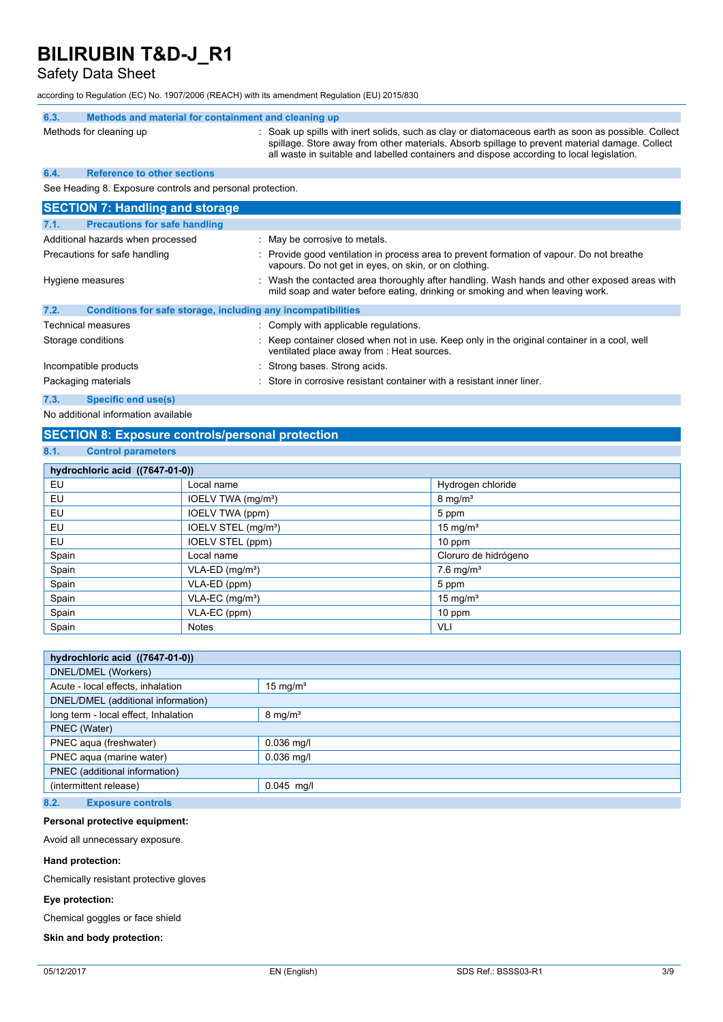Safety Data Sheet

according to Regulation (EC) No. 1907/2006 (REACH) with its amendment Regulation (EU) 2015/830

| 6.3.                              | Methods and material for containment and cleaning up         |                                                                                                                                                                                                                                                                                                    |
|-----------------------------------|--------------------------------------------------------------|----------------------------------------------------------------------------------------------------------------------------------------------------------------------------------------------------------------------------------------------------------------------------------------------------|
|                                   | Methods for cleaning up                                      | : Soak up spills with inert solids, such as clay or diatomaceous earth as soon as possible. Collect<br>spillage. Store away from other materials. Absorb spillage to prevent material damage. Collect<br>all waste in suitable and labelled containers and dispose according to local legislation. |
| 6.4.                              | <b>Reference to other sections</b>                           |                                                                                                                                                                                                                                                                                                    |
|                                   | See Heading 8. Exposure controls and personal protection.    |                                                                                                                                                                                                                                                                                                    |
|                                   | <b>SECTION 7: Handling and storage</b>                       |                                                                                                                                                                                                                                                                                                    |
| 7.1.                              | <b>Precautions for safe handling</b>                         |                                                                                                                                                                                                                                                                                                    |
| Additional hazards when processed |                                                              | : May be corrosive to metals.                                                                                                                                                                                                                                                                      |
| Precautions for safe handling     |                                                              | Provide good ventilation in process area to prevent formation of vapour. Do not breathe<br>vapours. Do not get in eyes, on skin, or on clothing.                                                                                                                                                   |
| Hygiene measures                  |                                                              | Wash the contacted area thoroughly after handling. Wash hands and other exposed areas with<br>mild soap and water before eating, drinking or smoking and when leaving work.                                                                                                                        |
| 7.2.                              | Conditions for safe storage, including any incompatibilities |                                                                                                                                                                                                                                                                                                    |
|                                   | <b>Technical measures</b>                                    | : Comply with applicable regulations.                                                                                                                                                                                                                                                              |
|                                   | Storage conditions                                           | Keep container closed when not in use. Keep only in the original container in a cool, well<br>ventilated place away from : Heat sources.                                                                                                                                                           |
|                                   | Incompatible products                                        | Strong bases. Strong acids.                                                                                                                                                                                                                                                                        |
|                                   | Packaging materials                                          | Store in corrosive resistant container with a resistant inner liner.                                                                                                                                                                                                                               |
| 7.3.                              | <b>Specific end use(s)</b>                                   |                                                                                                                                                                                                                                                                                                    |

No additional information available

#### **SECTION 8: Exposure controls/personal protection**

#### **8.1. Control parameters**

| hydrochloric acid ((7647-01-0)) |                                 |                         |  |  |
|---------------------------------|---------------------------------|-------------------------|--|--|
| EU                              | Local name                      | Hydrogen chloride       |  |  |
| EU                              | IOELV TWA (mg/m <sup>3</sup> )  | $8 \text{ mg/m}^3$      |  |  |
| EU                              | IOELV TWA (ppm)                 | 5 ppm                   |  |  |
| EU                              | IOELV STEL (mg/m <sup>3</sup> ) | 15 mg/ $m3$             |  |  |
| EU                              | IOELV STEL (ppm)                | $10$ ppm                |  |  |
| Spain                           | Local name                      | Cloruro de hidrógeno    |  |  |
| Spain                           | $VLA-ED$ (mg/m <sup>3</sup> )   | $7.6$ mg/m <sup>3</sup> |  |  |
| Spain                           | VLA-ED (ppm)                    | 5 ppm                   |  |  |
| Spain                           | VLA-EC (mg/m <sup>3</sup> )     | 15 mg/ $m3$             |  |  |
| Spain                           | VLA-EC (ppm)                    | 10 ppm                  |  |  |
| Spain                           | <b>Notes</b>                    | VLI                     |  |  |

| hydrochloric acid ((7647-01-0))      |                     |  |
|--------------------------------------|---------------------|--|
| DNEL/DMEL (Workers)                  |                     |  |
| Acute - local effects, inhalation    | $15 \text{ mg/m}^3$ |  |
| DNEL/DMEL (additional information)   |                     |  |
| long term - local effect, Inhalation | $8 \text{ mg/m}^3$  |  |
| PNEC (Water)                         |                     |  |
| PNEC aqua (freshwater)               | $0.036$ mg/l        |  |
| PNEC aqua (marine water)             | $0.036$ mg/l        |  |
| PNEC (additional information)        |                     |  |
| (intermittent release)               | $0.045$ mg/l        |  |
|                                      |                     |  |

### **8.2. Exposure controls**

#### **Personal protective equipment:**

Avoid all unnecessary exposure.

#### **Hand protection:**

Chemically resistant protective gloves

#### **Eye protection:**

Chemical goggles or face shield

#### **Skin and body protection:**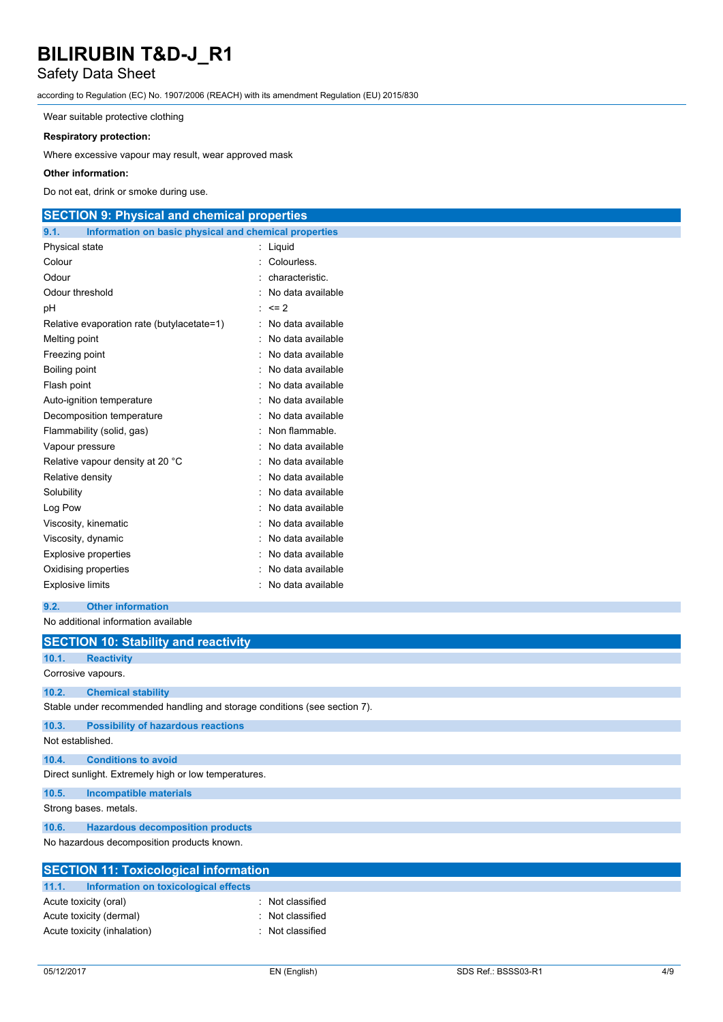### Safety Data Sheet

according to Regulation (EC) No. 1907/2006 (REACH) with its amendment Regulation (EU) 2015/830

Wear suitable protective clothing

#### **Respiratory protection:**

Where excessive vapour may result, wear approved mask

#### **Other information:**

Do not eat, drink or smoke during use.

### **SECTION 9: Physical and chemical properties**

| 9.1.<br>Information on basic physical and chemical properties |                   |
|---------------------------------------------------------------|-------------------|
| Physical state                                                | Liquid            |
| Colour                                                        | Colourless.       |
| Odour                                                         | characteristic.   |
| Odour threshold                                               | No data available |
| рH                                                            | $= 2$             |
| Relative evaporation rate (butylacetate=1)                    | No data available |
| Melting point                                                 | No data available |
| Freezing point                                                | No data available |
| Boiling point                                                 | No data available |
| Flash point                                                   | No data available |
| Auto-ignition temperature                                     | No data available |
| Decomposition temperature                                     | No data available |
| Flammability (solid, gas)                                     | Non flammable.    |
| Vapour pressure                                               | No data available |
| Relative vapour density at 20 °C                              | No data available |
| Relative density                                              | No data available |
| Solubility                                                    | No data available |
| Log Pow                                                       | No data available |
| Viscosity, kinematic                                          | No data available |
| Viscosity, dynamic                                            | No data available |
| <b>Explosive properties</b>                                   | No data available |
| Oxidising properties                                          | No data available |
| <b>Explosive limits</b>                                       | No data available |

**9.2. Other information**

No additional information available

|                                               | <b>SECTION 10: Stability and reactivity</b>                               |  |  |  |  |
|-----------------------------------------------|---------------------------------------------------------------------------|--|--|--|--|
| 10.1.                                         | <b>Reactivity</b>                                                         |  |  |  |  |
|                                               | Corrosive vapours.                                                        |  |  |  |  |
| 10.2.                                         | <b>Chemical stability</b>                                                 |  |  |  |  |
|                                               | Stable under recommended handling and storage conditions (see section 7). |  |  |  |  |
| 10.3.                                         | <b>Possibility of hazardous reactions</b>                                 |  |  |  |  |
| Not established.                              |                                                                           |  |  |  |  |
| 10.4.                                         | <b>Conditions to avoid</b>                                                |  |  |  |  |
|                                               | Direct sunlight. Extremely high or low temperatures.                      |  |  |  |  |
| 10.5.                                         | <b>Incompatible materials</b>                                             |  |  |  |  |
|                                               | Strong bases. metals.                                                     |  |  |  |  |
| 10.6.                                         | <b>Hazardous decomposition products</b>                                   |  |  |  |  |
| No hazardous decomposition products known.    |                                                                           |  |  |  |  |
|                                               | <b>SECTION 11: Toxicological information</b>                              |  |  |  |  |
| 11.1.<br>Information on toxicological effects |                                                                           |  |  |  |  |
|                                               | Not classified<br>Acute toxicity (oral)                                   |  |  |  |  |
|                                               | Acute toxicity (dermal)<br>Not classified                                 |  |  |  |  |
|                                               | Acute toxicity (inhalation)<br>Not classified                             |  |  |  |  |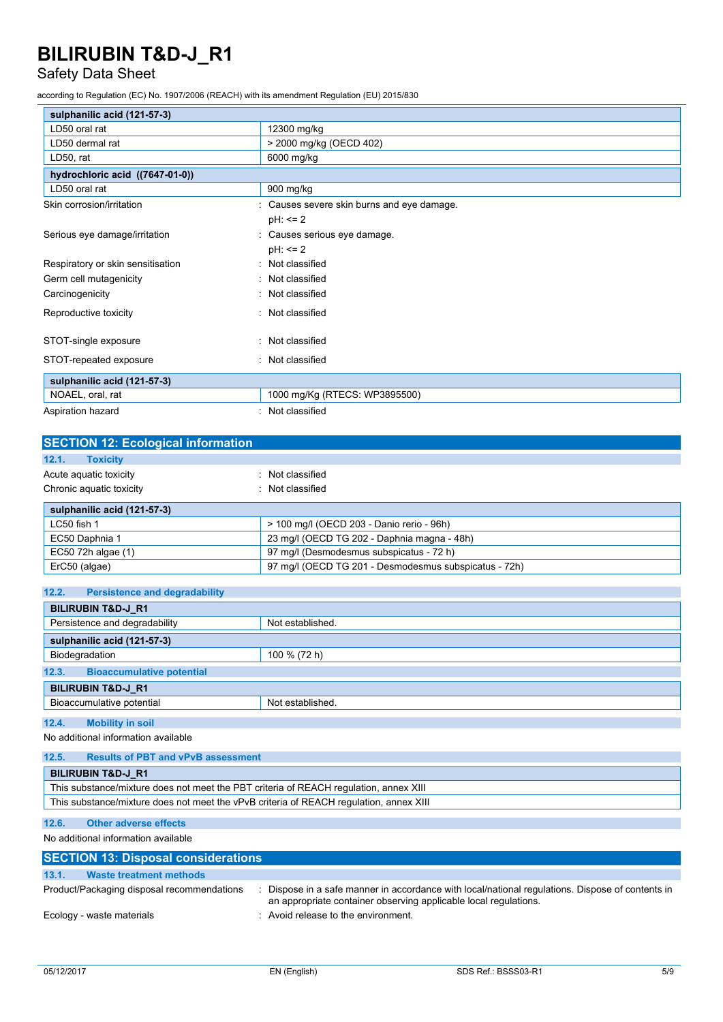### Safety Data Sheet

according to Regulation (EC) No. 1907/2006 (REACH) with its amendment Regulation (EU) 2015/830

| sulphanilic acid (121-57-3)       |                                            |  |
|-----------------------------------|--------------------------------------------|--|
| LD50 oral rat                     | 12300 mg/kg                                |  |
| LD50 dermal rat                   | > 2000 mg/kg (OECD 402)                    |  |
| LD50, rat                         | 6000 mg/kg                                 |  |
| hydrochloric acid ((7647-01-0))   |                                            |  |
| LD50 oral rat                     | 900 mg/kg                                  |  |
| Skin corrosion/irritation         | : Causes severe skin burns and eye damage. |  |
|                                   | $pH: \leq 2$                               |  |
| Serious eye damage/irritation     | Causes serious eye damage.                 |  |
|                                   | $pH: \leq 2$                               |  |
| Respiratory or skin sensitisation | Not classified                             |  |
| Germ cell mutagenicity            | Not classified                             |  |
| Carcinogenicity                   | Not classified                             |  |
| Reproductive toxicity             | : Not classified                           |  |
|                                   |                                            |  |
| STOT-single exposure              | : Not classified                           |  |
| STOT-repeated exposure            | : Not classified                           |  |
| sulphanilic acid (121-57-3)       |                                            |  |
| NOAEL, oral, rat                  | 1000 mg/Kg (RTECS: WP3895500)              |  |
| Aspiration hazard                 | : Not classified                           |  |

| <b>SECTION 12: Ecological information</b> |                                                       |  |
|-------------------------------------------|-------------------------------------------------------|--|
| 12.1.<br><b>Toxicity</b>                  |                                                       |  |
| Acute aguatic toxicity                    | Not classified                                        |  |
| Chronic aquatic toxicity                  | : Not classified                                      |  |
| sulphanilic acid (121-57-3)               |                                                       |  |
| LC50 fish 1                               | > 100 mg/l (OECD 203 - Danio rerio - 96h)             |  |
| EC50 Daphnia 1                            | 23 mg/l (OECD TG 202 - Daphnia magna - 48h)           |  |
| EC50 72h algae (1)                        | 97 mg/l (Desmodesmus subspicatus - 72 h)              |  |
| ErC50 (algae)                             | 97 mg/l (OECD TG 201 - Desmodesmus subspicatus - 72h) |  |

| 12.2.<br><b>Persistence and degradability</b>     |  |  |  |
|---------------------------------------------------|--|--|--|
| <b>BILIRUBIN T&amp;D-J R1</b>                     |  |  |  |
| Persistence and degradability<br>Not established. |  |  |  |
| sulphanilic acid (121-57-3)                       |  |  |  |
| Biodegradation<br>100 % (72 h)                    |  |  |  |
| 12.3.<br><b>Bioaccumulative potential</b>         |  |  |  |
| <b>BILIRUBIN T&amp;D-J R1</b>                     |  |  |  |
| Bioaccumulative potential<br>Not established.     |  |  |  |
|                                                   |  |  |  |
| 12.4.<br><b>Mobility in soil</b>                  |  |  |  |
| No additional information available               |  |  |  |

**12.5. Results of PBT and vPvB assessment BILIRUBIN T&D-J\_R1** This substance/mixture does not meet the PBT criteria of REACH regulation, annex XIII This substance/mixture does not meet the vPvB criteria of REACH regulation, annex XIII

#### **12.6. Other adverse effects**

No additional information available

| <b>SECTION 13: Disposal considerations</b> |                                                                                                                                                                    |  |  |  |
|--------------------------------------------|--------------------------------------------------------------------------------------------------------------------------------------------------------------------|--|--|--|
| 13.1.<br>Waste treatment methods           |                                                                                                                                                                    |  |  |  |
| Product/Packaging disposal recommendations | Dispose in a safe manner in accordance with local/national regulations. Dispose of contents in<br>an appropriate container observing applicable local regulations. |  |  |  |
| Ecology - waste materials                  | : Avoid release to the environment.                                                                                                                                |  |  |  |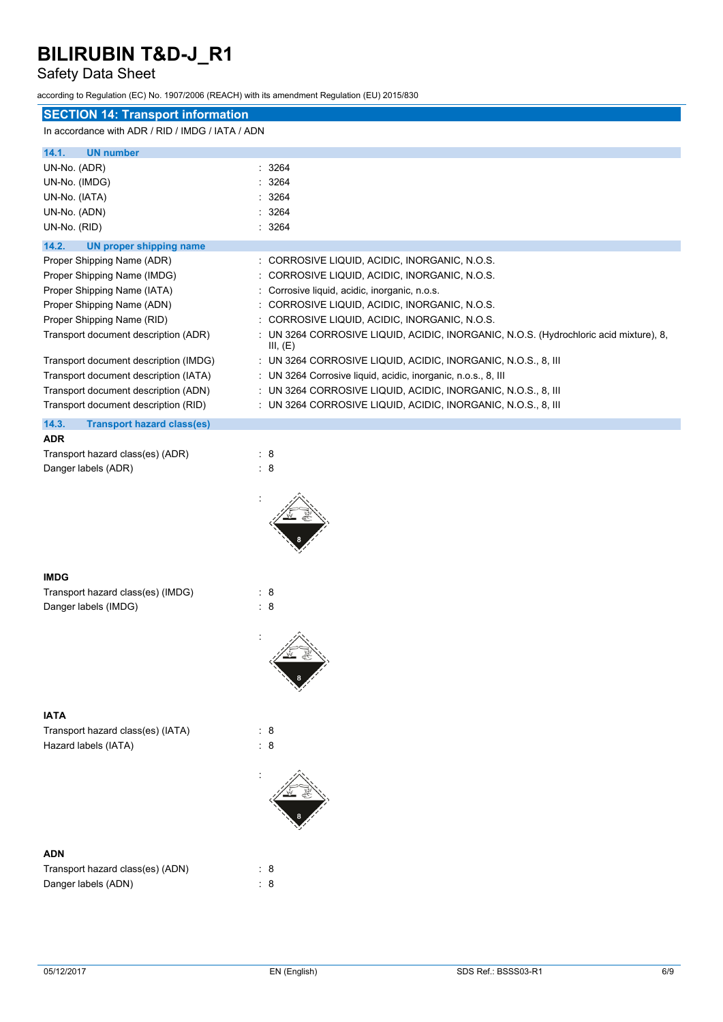### Safety Data Sheet

according to Regulation (EC) No. 1907/2006 (REACH) with its amendment Regulation (EU) 2015/830

| according to Regulation (EC) No. 1907/2006 (REACH) with its amendment Regulation (EO) 2015/630<br><b>SECTION 14: Transport information</b> |                                                                                                   |
|--------------------------------------------------------------------------------------------------------------------------------------------|---------------------------------------------------------------------------------------------------|
| In accordance with ADR / RID / IMDG / IATA / ADN                                                                                           |                                                                                                   |
|                                                                                                                                            |                                                                                                   |
| 14.1.<br><b>UN number</b><br>UN-No. (ADR)                                                                                                  | : 3264                                                                                            |
| UN-No. (IMDG)                                                                                                                              | : 3264                                                                                            |
| UN-No. (IATA)                                                                                                                              | 3264                                                                                              |
| UN-No. (ADN)                                                                                                                               | 3264                                                                                              |
| UN-No. (RID)                                                                                                                               | : 3264                                                                                            |
| 14.2.<br><b>UN proper shipping name</b>                                                                                                    |                                                                                                   |
| Proper Shipping Name (ADR)                                                                                                                 | : CORROSIVE LIQUID, ACIDIC, INORGANIC, N.O.S.                                                     |
| Proper Shipping Name (IMDG)                                                                                                                | CORROSIVE LIQUID, ACIDIC, INORGANIC, N.O.S.                                                       |
| Proper Shipping Name (IATA)                                                                                                                | : Corrosive liquid, acidic, inorganic, n.o.s.                                                     |
| Proper Shipping Name (ADN)                                                                                                                 | CORROSIVE LIQUID, ACIDIC, INORGANIC, N.O.S.                                                       |
| Proper Shipping Name (RID)                                                                                                                 | CORROSIVE LIQUID, ACIDIC, INORGANIC, N.O.S.                                                       |
| Transport document description (ADR)                                                                                                       | : UN 3264 CORROSIVE LIQUID, ACIDIC, INORGANIC, N.O.S. (Hydrochloric acid mixture), 8,<br>III, (E) |
| Transport document description (IMDG)                                                                                                      | : UN 3264 CORROSIVE LIQUID, ACIDIC, INORGANIC, N.O.S., 8, III                                     |
| Transport document description (IATA)                                                                                                      | : UN 3264 Corrosive liquid, acidic, inorganic, n.o.s., 8, III                                     |
| Transport document description (ADN)                                                                                                       | : UN 3264 CORROSIVE LIQUID, ACIDIC, INORGANIC, N.O.S., 8, III                                     |
| Transport document description (RID)                                                                                                       | : UN 3264 CORROSIVE LIQUID, ACIDIC, INORGANIC, N.O.S., 8, III                                     |
| 14.3.<br><b>Transport hazard class(es)</b><br><b>ADR</b>                                                                                   |                                                                                                   |
| Transport hazard class(es) (ADR)                                                                                                           | : 8                                                                                               |
| Danger labels (ADR)                                                                                                                        | : 8                                                                                               |
|                                                                                                                                            |                                                                                                   |
|                                                                                                                                            |                                                                                                   |
|                                                                                                                                            |                                                                                                   |
|                                                                                                                                            |                                                                                                   |
|                                                                                                                                            |                                                                                                   |
|                                                                                                                                            |                                                                                                   |
| <b>IMDG</b>                                                                                                                                |                                                                                                   |
| Transport hazard class(es) (IMDG)                                                                                                          | $\therefore$ 8                                                                                    |
| Danger labels (IMDG)                                                                                                                       | $\therefore$ 8                                                                                    |
|                                                                                                                                            |                                                                                                   |
|                                                                                                                                            | 八                                                                                                 |
|                                                                                                                                            |                                                                                                   |
|                                                                                                                                            |                                                                                                   |
|                                                                                                                                            |                                                                                                   |
| <b>IATA</b>                                                                                                                                |                                                                                                   |
| Transport hazard class(es) (IATA)                                                                                                          | : 8                                                                                               |
| Hazard labels (IATA)                                                                                                                       | $\therefore$ 8                                                                                    |
|                                                                                                                                            |                                                                                                   |
|                                                                                                                                            |                                                                                                   |
|                                                                                                                                            |                                                                                                   |
|                                                                                                                                            |                                                                                                   |
|                                                                                                                                            |                                                                                                   |
|                                                                                                                                            |                                                                                                   |
| <b>ADN</b>                                                                                                                                 |                                                                                                   |
| Transport hazard class(es) (ADN)                                                                                                           | : 8                                                                                               |
| Danger labels (ADN)                                                                                                                        | $\therefore$ 8                                                                                    |
|                                                                                                                                            |                                                                                                   |
|                                                                                                                                            |                                                                                                   |
|                                                                                                                                            |                                                                                                   |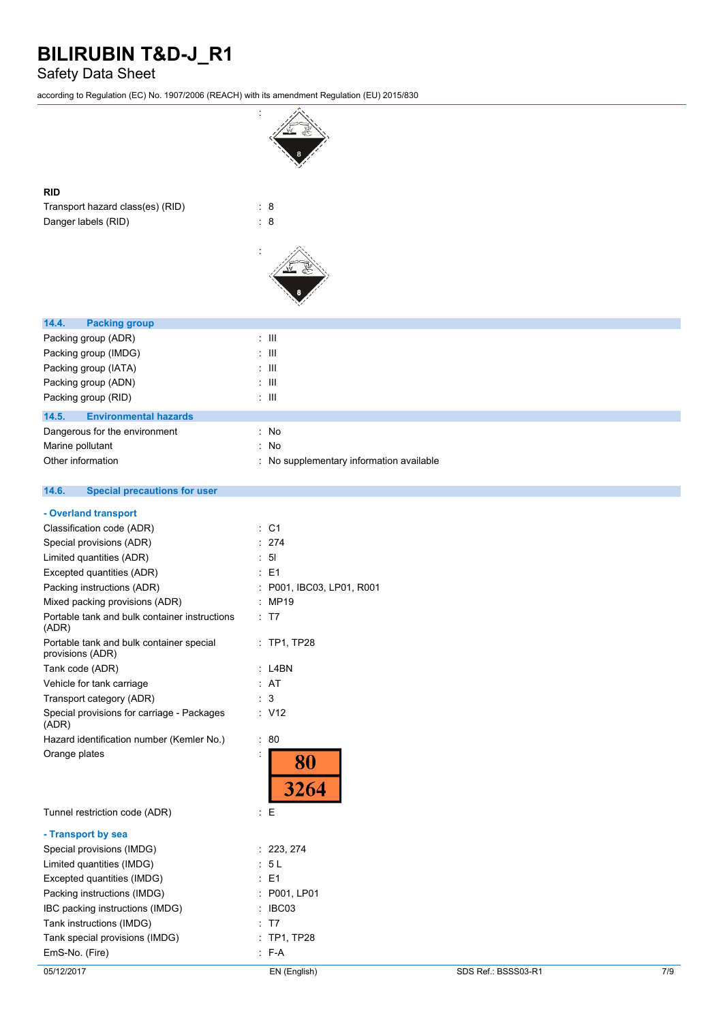### Safety Data Sheet

according to Regulation (EC) No. 1907/2006 (REACH) with its amendment Regulation (EU) 2015/830

| according to Regulation (EC) No. 1907/2006 (REACH) with its amendment Regulation (EU) 2015/830 |                                        |
|------------------------------------------------------------------------------------------------|----------------------------------------|
|                                                                                                |                                        |
| <b>RID</b>                                                                                     |                                        |
| Transport hazard class(es) (RID)                                                               | : 8                                    |
| Danger labels (RID)                                                                            | $\therefore$ 8                         |
|                                                                                                |                                        |
|                                                                                                |                                        |
| 14.4.<br><b>Packing group</b>                                                                  |                                        |
| Packing group (ADR)                                                                            | $\pm$ 111                              |
| Packing group (IMDG)                                                                           | $\pm$ 111                              |
| Packing group (IATA)                                                                           | : III                                  |
| Packing group (ADN)                                                                            | $\pm$ 111                              |
| Packing group (RID)                                                                            | $\pm$ 111                              |
| 14.5.<br><b>Environmental hazards</b>                                                          |                                        |
| Dangerous for the environment                                                                  | : No                                   |
| Marine pollutant                                                                               | No<br>÷                                |
| Other information                                                                              | No supplementary information available |
| 14.6.<br><b>Special precautions for user</b>                                                   |                                        |
| - Overland transport                                                                           |                                        |
| Classification code (ADR)                                                                      | : C1                                   |
| Special provisions (ADR)                                                                       | : 274                                  |
| Limited quantities (ADR)                                                                       | : 51                                   |
| Excepted quantities (ADR)                                                                      | $\therefore$ E1                        |
| Packing instructions (ADR)                                                                     | : P001, IBC03, LP01, R001              |
| Mixed packing provisions (ADR)                                                                 | : MP19                                 |
| Portable tank and bulk container instructions<br>(ADR)                                         | : T7                                   |
| Portable tank and bulk container special<br>provisions (ADR)                                   | : TP1, TP28                            |
| Tank code (ADR)                                                                                | $:$ L4BN                               |
| Vehicle for tank carriage                                                                      | : AT                                   |
| Transport category (ADR)                                                                       | $\therefore$ 3                         |
| Special provisions for carriage - Packages<br>(ADR)                                            | : V12                                  |
| Hazard identification number (Kemler No.)                                                      | $\therefore 80$                        |
| Orange plates                                                                                  | İ<br>80<br>3264                        |
| Tunnel restriction code (ADR)                                                                  | E<br>t.                                |
| - Transport by sea                                                                             |                                        |
| Special provisions (IMDG)                                                                      | : 223, 274                             |
| Limited quantities (IMDG)                                                                      | : 5L                                   |
| Excepted quantities (IMDG)                                                                     | : E1                                   |
| Packing instructions (IMDG)                                                                    | : P001, LP01                           |
| IBC packing instructions (IMDG)                                                                | : IBC03                                |
| Tank instructions (IMDG)                                                                       | : T7                                   |
| Tank special provisions (IMDG)                                                                 | : TP1, TP28                            |
| EmS-No. (Fire)                                                                                 | $: F-A$                                |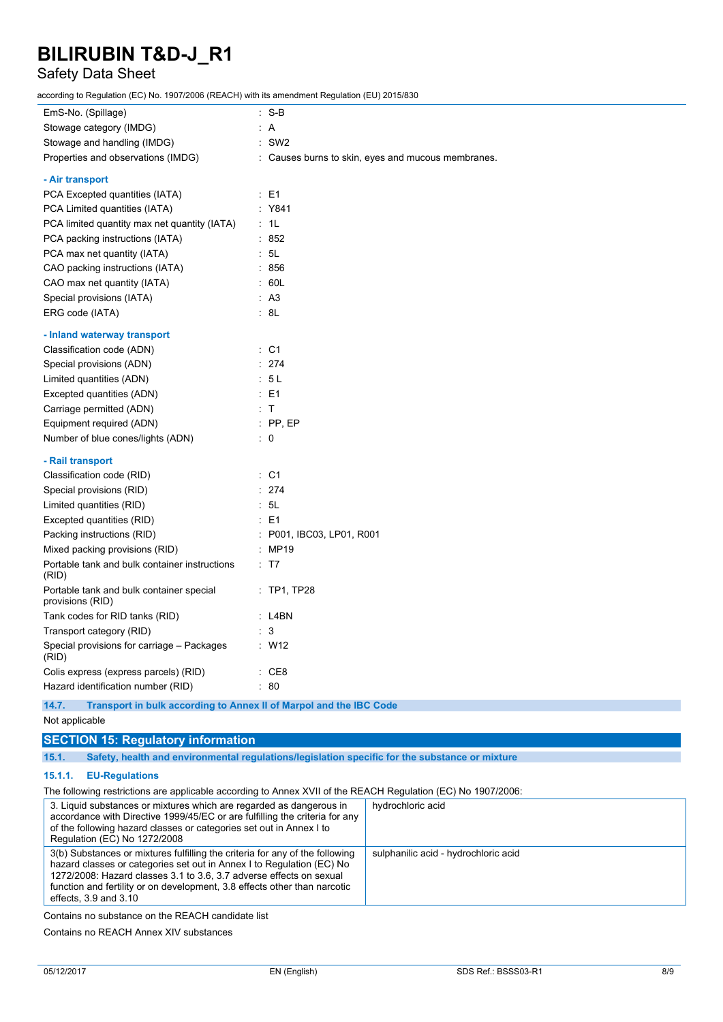### Safety Data Sheet

according to Regulation (EC) No. 1907/2006 (REACH) with its amendment Regulation (EU) 2015/830

| EmS-No. (Spillage)                                           | $:$ S-B                                            |
|--------------------------------------------------------------|----------------------------------------------------|
| Stowage category (IMDG)                                      | : A                                                |
| Stowage and handling (IMDG)                                  | $:$ SW2                                            |
| Properties and observations (IMDG)                           | : Causes burns to skin, eyes and mucous membranes. |
| - Air transport                                              |                                                    |
| PCA Excepted quantities (IATA)                               | $\therefore$ E1                                    |
| PCA Limited quantities (IATA)                                | : Y841                                             |
| PCA limited quantity max net quantity (IATA)                 | : 1L                                               |
| PCA packing instructions (IATA)                              | : 852                                              |
| PCA max net quantity (IATA)                                  | : 5L                                               |
| CAO packing instructions (IATA)                              | : 856                                              |
| CAO max net quantity (IATA)                                  | : 60L                                              |
| Special provisions (IATA)                                    | : A3                                               |
| ERG code (IATA)                                              | : 8L                                               |
| - Inland waterway transport                                  |                                                    |
| Classification code (ADN)                                    | : C1                                               |
| Special provisions (ADN)                                     | : 274                                              |
| Limited quantities (ADN)                                     | : 5L                                               |
| Excepted quantities (ADN)                                    | $E = 1$                                            |
| Carriage permitted (ADN)                                     | : T                                                |
| Equipment required (ADN)                                     | $:$ PP, EP                                         |
| Number of blue cones/lights (ADN)                            | $\therefore$ 0                                     |
| - Rail transport                                             |                                                    |
| Classification code (RID)                                    | : C1                                               |
| Special provisions (RID)                                     | : 274                                              |
| Limited quantities (RID)                                     | : 5L                                               |
| Excepted quantities (RID)                                    | $E = 1$                                            |
| Packing instructions (RID)                                   | : P001, IBC03, LP01, R001                          |
| Mixed packing provisions (RID)                               | : MP19                                             |
| Portable tank and bulk container instructions<br>(RID)       | : T7                                               |
| Portable tank and bulk container special<br>provisions (RID) | $:$ TP1, TP28                                      |
| Tank codes for RID tanks (RID)                               | $:$ L4BN                                           |
| Transport category (RID)                                     | $\therefore$ 3                                     |
| Special provisions for carriage - Packages<br>(RID)          | : W12                                              |
| Colis express (express parcels) (RID)                        | $\therefore$ CE8                                   |
| Hazard identification number (RID)                           | : 80                                               |

**14.7. Transport in bulk according to Annex II of Marpol and the IBC Code**

Not applicable

**SECTION 15: Regulatory information**

**15.1. Safety, health and environmental regulations/legislation specific for the substance or mixture**

### **15.1.1. EU-Regulations**

| The following restrictions are applicable according to Annex XVII of the REACH Regulation (EC) No 1907/2006:                                                                                                                                                                                                                           |                                      |
|----------------------------------------------------------------------------------------------------------------------------------------------------------------------------------------------------------------------------------------------------------------------------------------------------------------------------------------|--------------------------------------|
| 3. Liquid substances or mixtures which are regarded as dangerous in<br>accordance with Directive 1999/45/EC or are fulfilling the criteria for any<br>of the following hazard classes or categories set out in Annex I to<br>Regulation (EC) No 1272/2008                                                                              | hydrochloric acid                    |
| 3(b) Substances or mixtures fulfilling the criteria for any of the following<br>hazard classes or categories set out in Annex I to Regulation (EC) No<br>1272/2008: Hazard classes 3.1 to 3.6, 3.7 adverse effects on sexual<br>function and fertility or on development, 3.8 effects other than narcotic<br>effects, $3.9$ and $3.10$ | sulphanilic acid - hydrochloric acid |

Contains no substance on the REACH candidate list

Contains no REACH Annex XIV substances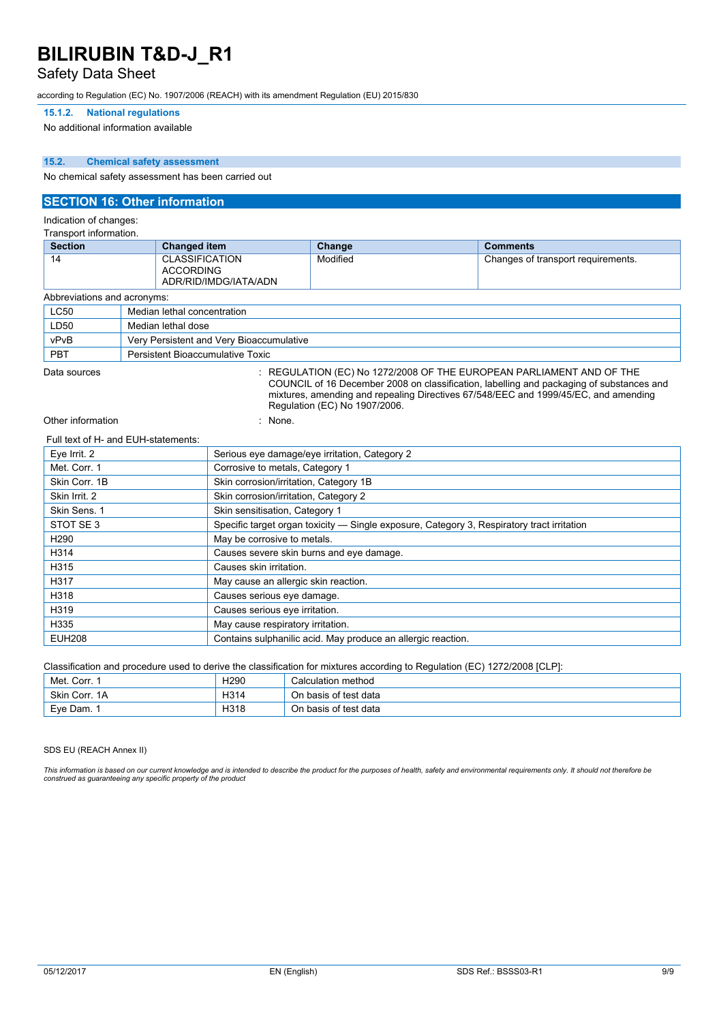### Safety Data Sheet

according to Regulation (EC) No. 1907/2006 (REACH) with its amendment Regulation (EU) 2015/830

#### **15.1.2. National regulations**

No additional information available

#### **15.2. Chemical safety assessment**

No chemical safety assessment has been carried out

#### **SECTION 16: Other information**

Indication of changes:

| Transport information.      |                             |                                                |          |                                    |
|-----------------------------|-----------------------------|------------------------------------------------|----------|------------------------------------|
| <b>Section</b>              |                             | <b>Changed item</b>                            | Change   | <b>Comments</b>                    |
| 14                          | <b>ACCORDING</b>            | <b>CLASSIFICATION</b><br>ADR/RID/IMDG/IATA/ADN | Modified | Changes of transport requirements. |
| Abbreviations and acronyms: |                             |                                                |          |                                    |
| <b>LC50</b>                 | Median lethal concentration |                                                |          |                                    |
| LD50                        | Median lethal dose          |                                                |          |                                    |
| vPvB                        |                             | Very Persistent and Very Bioaccumulative       |          |                                    |
| <b>PBT</b>                  |                             | Persistent Bioaccumulative Toxic               |          |                                    |

Data sources : REGULATION (EC) No 1272/2008 OF THE EUROPEAN PARLIAMENT AND OF THE COUNCIL of 16 December 2008 on classification, labelling and packaging of substances and mixtures, amending and repealing Directives 67/548/EEC and 1999/45/EC, and amending Regulation (EC) No 1907/2006.

Other information in the set of the set of the set of the set of the set of the set of the set of the set of the set of the set of the set of the set of the set of the set of the set of the set of the set of the set of the

#### Full text of H- and EUH-statements:

| Eye Irrit. 2     | Serious eye damage/eye irritation, Category 2                                              |
|------------------|--------------------------------------------------------------------------------------------|
| Met. Corr. 1     | Corrosive to metals, Category 1                                                            |
| Skin Corr. 1B    | Skin corrosion/irritation, Category 1B                                                     |
| Skin Irrit. 2    | Skin corrosion/irritation, Category 2                                                      |
| Skin Sens. 1     | Skin sensitisation, Category 1                                                             |
| STOT SE3         | Specific target organ toxicity — Single exposure, Category 3, Respiratory tract irritation |
| H <sub>290</sub> | May be corrosive to metals.                                                                |
| H314             | Causes severe skin burns and eye damage.                                                   |
| H315             | Causes skin irritation.                                                                    |
| H317             | May cause an allergic skin reaction.                                                       |
| H318             | Causes serious eye damage.                                                                 |
| H319             | Causes serious eye irritation.                                                             |
| H335             | May cause respiratory irritation.                                                          |
| <b>EUH208</b>    | Contains sulphanilic acid. May produce an allergic reaction.                               |

Classification and procedure used to derive the classification for mixtures according to Regulation (EC) 1272/2008 [CLP]:

| Met. Corr. 1  | H <sub>290</sub> | Calculation method    |
|---------------|------------------|-----------------------|
| Skin Corr, 1A | H314             | On basis of test data |
| Eve Dam. 1    | H318             | On basis of test data |

SDS EU (REACH Annex II)

This information is based on our current knowledge and is intended to describe the product for the purposes of health, safety and environmental requirements only. It should not therefore be *construed as guaranteeing any specific property of the product*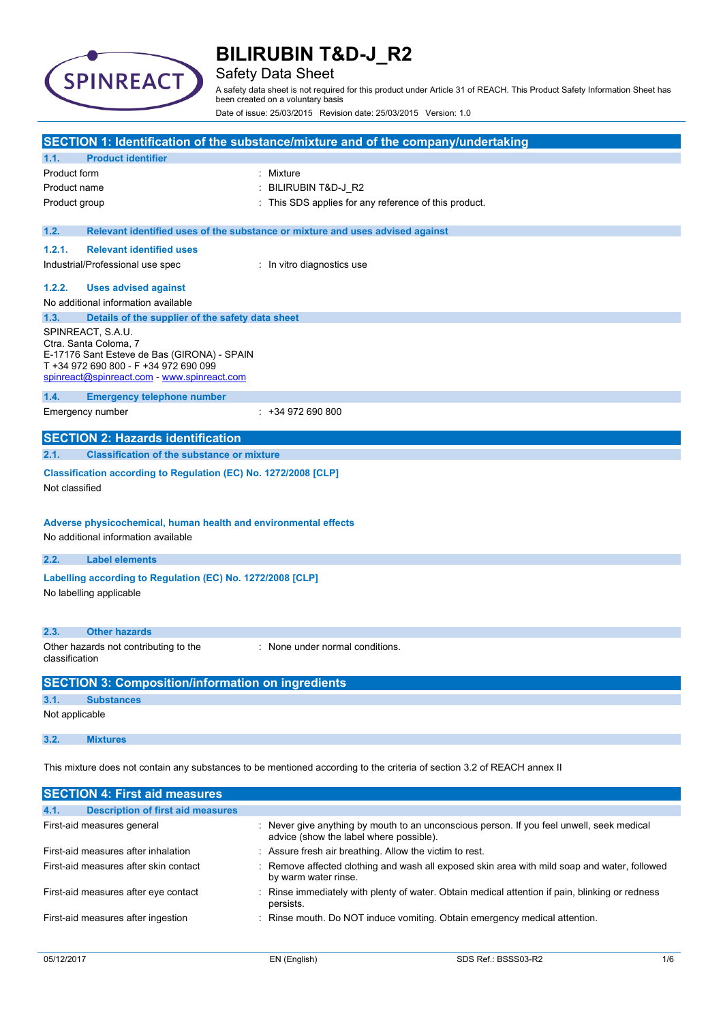

## Safety Data Sheet

A safety data sheet is not required for this product under Article 31 of REACH. This Product Safety Information Sheet has been created on a voluntary basis

Date of issue: 25/03/2015 Revision date: 25/03/2015 Version: 1.0

|                |                                                                                                        | SECTION 1: Identification of the substance/mixture and of the company/undertaking                                       |
|----------------|--------------------------------------------------------------------------------------------------------|-------------------------------------------------------------------------------------------------------------------------|
| 1.1.           | <b>Product identifier</b>                                                                              |                                                                                                                         |
| Product form   |                                                                                                        | Mixture                                                                                                                 |
| Product name   |                                                                                                        | BILIRUBIN T&D-J_R2                                                                                                      |
| Product group  |                                                                                                        | This SDS applies for any reference of this product.                                                                     |
| 1.2.           |                                                                                                        | Relevant identified uses of the substance or mixture and uses advised against                                           |
| 1.2.1.         | <b>Relevant identified uses</b>                                                                        |                                                                                                                         |
|                | Industrial/Professional use spec                                                                       | : In vitro diagnostics use                                                                                              |
| 1.2.2.         | <b>Uses advised against</b>                                                                            |                                                                                                                         |
|                | No additional information available                                                                    |                                                                                                                         |
| 1.3.           | Details of the supplier of the safety data sheet                                                       |                                                                                                                         |
|                | SPINREACT, S.A.U.                                                                                      |                                                                                                                         |
|                | Ctra. Santa Coloma, 7<br>E-17176 Sant Esteve de Bas (GIRONA) - SPAIN                                   |                                                                                                                         |
|                | T +34 972 690 800 - F +34 972 690 099                                                                  |                                                                                                                         |
|                | spinreact@spinreact.com - www.spinreact.com                                                            |                                                                                                                         |
| 1.4.           | <b>Emergency telephone number</b>                                                                      |                                                                                                                         |
|                | Emergency number                                                                                       | $: +34972690800$                                                                                                        |
|                | <b>SECTION 2: Hazards identification</b>                                                               |                                                                                                                         |
| 2.1.           | <b>Classification of the substance or mixture</b>                                                      |                                                                                                                         |
| Not classified | Classification according to Regulation (EC) No. 1272/2008 [CLP]                                        |                                                                                                                         |
|                | Adverse physicochemical, human health and environmental effects<br>No additional information available |                                                                                                                         |
| 2.2.           | <b>Label elements</b>                                                                                  |                                                                                                                         |
|                | Labelling according to Regulation (EC) No. 1272/2008 [CLP]                                             |                                                                                                                         |
|                | No labelling applicable                                                                                |                                                                                                                         |
|                |                                                                                                        |                                                                                                                         |
| 2.3.           | <b>Other hazards</b>                                                                                   |                                                                                                                         |
| classification | Other hazards not contributing to the                                                                  | : None under normal conditions.                                                                                         |
|                | <b>SECTION 3: Composition/information on ingredients</b>                                               |                                                                                                                         |
| 3.1.           | <b>Substances</b>                                                                                      |                                                                                                                         |
| Not applicable |                                                                                                        |                                                                                                                         |
| 3.2.           | <b>Mixtures</b>                                                                                        |                                                                                                                         |
|                |                                                                                                        | This mixture does not contain any substances to be mentioned according to the criteria of section 3.2 of REACH annex II |
|                | <b>SECTION 4: First aid measures</b>                                                                   |                                                                                                                         |
| 4.1.           | <b>Description of first aid measures</b>                                                               |                                                                                                                         |

| First-aid measures general            | : Never give anything by mouth to an unconscious person. If you feel unwell, seek medical<br>advice (show the label where possible). |
|---------------------------------------|--------------------------------------------------------------------------------------------------------------------------------------|
| First-aid measures after inhalation   | : Assure fresh air breathing. Allow the victim to rest.                                                                              |
| First-aid measures after skin contact | : Remove affected clothing and wash all exposed skin area with mild soap and water, followed<br>by warm water rinse.                 |
| First-aid measures after eye contact  | : Rinse immediately with plenty of water. Obtain medical attention if pain, blinking or redness<br>persists.                         |
| First-aid measures after ingestion    | : Rinse mouth. Do NOT induce vomiting. Obtain emergency medical attention.                                                           |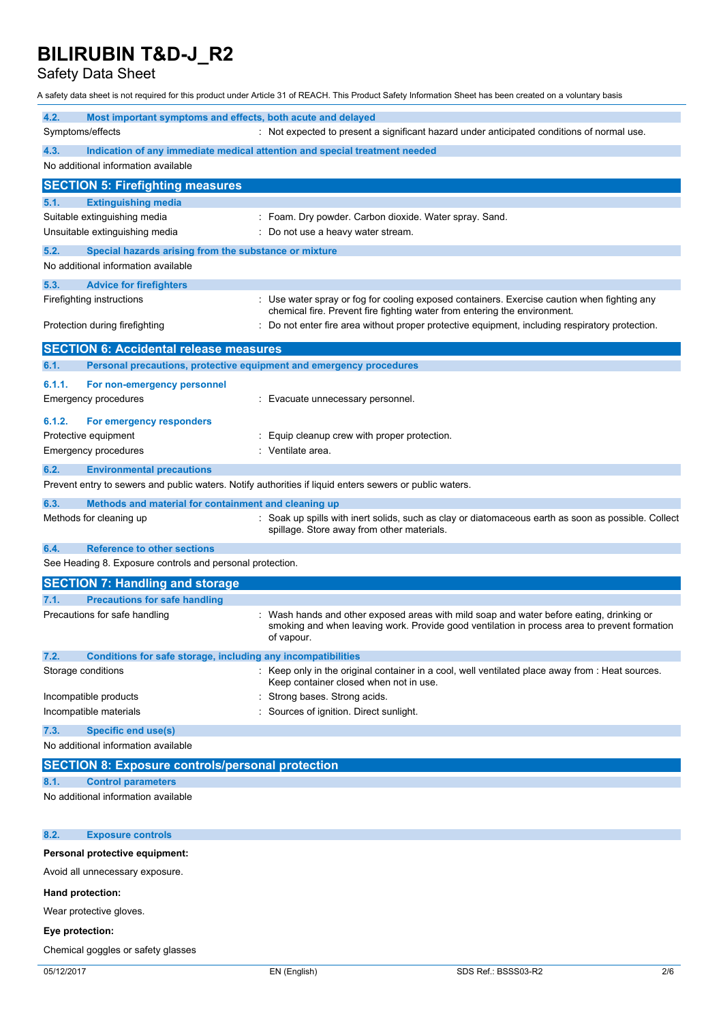Safety Data Sheet

A safety data sheet is not required for this product under Article 31 of REACH. This Product Safety Information Sheet has been created on a voluntary basis

| 4.2.<br>Most important symptoms and effects, both acute and delayed<br>Symptoms/effects                 | : Not expected to present a significant hazard under anticipated conditions of normal use.                                                                                                           |
|---------------------------------------------------------------------------------------------------------|------------------------------------------------------------------------------------------------------------------------------------------------------------------------------------------------------|
|                                                                                                         |                                                                                                                                                                                                      |
| 4.3.<br>No additional information available                                                             | Indication of any immediate medical attention and special treatment needed                                                                                                                           |
| <b>SECTION 5: Firefighting measures</b>                                                                 |                                                                                                                                                                                                      |
| 5.1.<br><b>Extinguishing media</b>                                                                      |                                                                                                                                                                                                      |
| Suitable extinguishing media<br>Unsuitable extinguishing media                                          | : Foam. Dry powder. Carbon dioxide. Water spray. Sand.<br>Do not use a heavy water stream.                                                                                                           |
| 5.2.                                                                                                    |                                                                                                                                                                                                      |
| Special hazards arising from the substance or mixture<br>No additional information available            |                                                                                                                                                                                                      |
| 5.3.<br><b>Advice for firefighters</b>                                                                  |                                                                                                                                                                                                      |
| Firefighting instructions                                                                               | : Use water spray or fog for cooling exposed containers. Exercise caution when fighting any<br>chemical fire. Prevent fire fighting water from entering the environment.                             |
| Protection during firefighting                                                                          | Do not enter fire area without proper protective equipment, including respiratory protection.                                                                                                        |
| <b>SECTION 6: Accidental release measures</b>                                                           |                                                                                                                                                                                                      |
| Personal precautions, protective equipment and emergency procedures<br>6.1.                             |                                                                                                                                                                                                      |
| 6.1.1.<br>For non-emergency personnel                                                                   |                                                                                                                                                                                                      |
| <b>Emergency procedures</b>                                                                             | Evacuate unnecessary personnel.                                                                                                                                                                      |
| 6.1.2.<br>For emergency responders                                                                      |                                                                                                                                                                                                      |
| Protective equipment                                                                                    | Equip cleanup crew with proper protection.                                                                                                                                                           |
| <b>Emergency procedures</b>                                                                             | Ventilate area.                                                                                                                                                                                      |
| <b>Environmental precautions</b><br>6.2.                                                                |                                                                                                                                                                                                      |
| Prevent entry to sewers and public waters. Notify authorities if liquid enters sewers or public waters. |                                                                                                                                                                                                      |
| 6.3.<br>Methods and material for containment and cleaning up                                            |                                                                                                                                                                                                      |
| Methods for cleaning up                                                                                 | Soak up spills with inert solids, such as clay or diatomaceous earth as soon as possible. Collect<br>spillage. Store away from other materials.                                                      |
| <b>Reference to other sections</b><br>6.4.                                                              |                                                                                                                                                                                                      |
| See Heading 8. Exposure controls and personal protection.                                               |                                                                                                                                                                                                      |
| <b>SECTION 7: Handling and storage</b>                                                                  |                                                                                                                                                                                                      |
| <b>Precautions for safe handling</b><br>7.1.                                                            |                                                                                                                                                                                                      |
| Precautions for safe handling                                                                           | Wash hands and other exposed areas with mild soap and water before eating, drinking or<br>smoking and when leaving work. Provide good ventilation in process area to prevent formation<br>of vapour. |
| 7.2.<br>Conditions for safe storage, including any incompatibilities                                    |                                                                                                                                                                                                      |
| Storage conditions                                                                                      | Keep only in the original container in a cool, well ventilated place away from : Heat sources.<br>Keep container closed when not in use.                                                             |
| Incompatible products                                                                                   | Strong bases. Strong acids.                                                                                                                                                                          |
| Incompatible materials                                                                                  | Sources of ignition. Direct sunlight.                                                                                                                                                                |
| <b>Specific end use(s)</b><br>7.3.                                                                      |                                                                                                                                                                                                      |
| No additional information available                                                                     |                                                                                                                                                                                                      |
| <b>SECTION 8: Exposure controls/personal protection</b>                                                 |                                                                                                                                                                                                      |
| <b>Control parameters</b><br>8.1.                                                                       |                                                                                                                                                                                                      |
| No additional information available                                                                     |                                                                                                                                                                                                      |
| 8.2.<br><b>Exposure controls</b>                                                                        |                                                                                                                                                                                                      |
| Personal protective equipment:                                                                          |                                                                                                                                                                                                      |
| Avoid all unnecessary exposure.                                                                         |                                                                                                                                                                                                      |
| Hand protection:                                                                                        |                                                                                                                                                                                                      |

Wear protective gloves.

### **Eye protection:**

Chemical goggles or safety glasses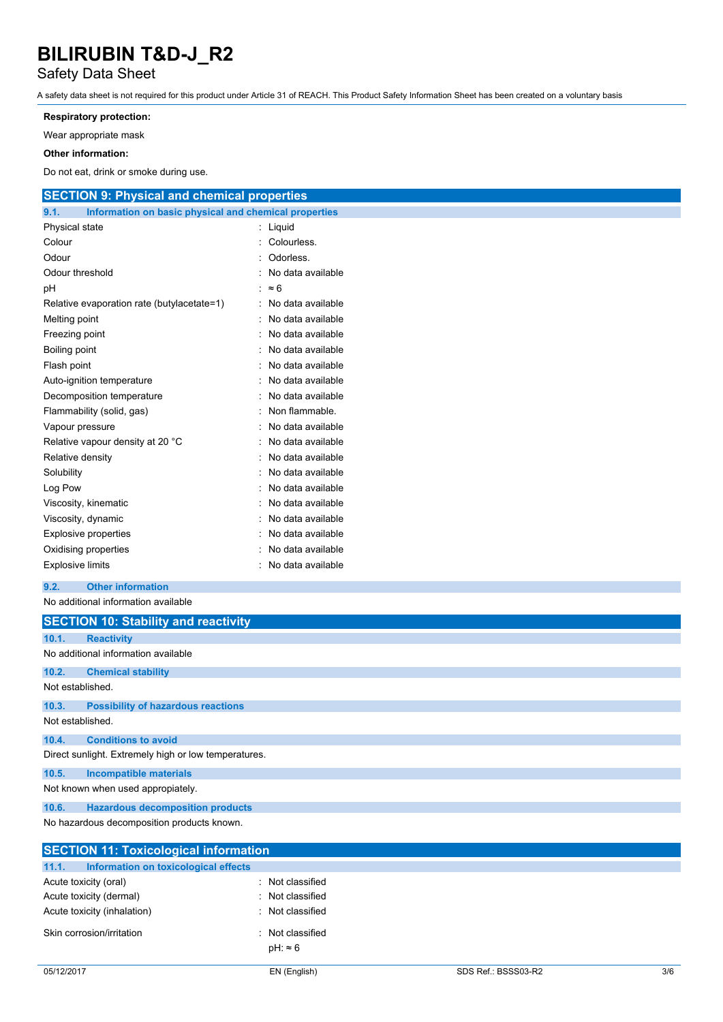### Safety Data Sheet

A safety data sheet is not required for this product under Article 31 of REACH. This Product Safety Information Sheet has been created on a voluntary basis

#### **Respiratory protection:**

Wear appropriate mask

#### **Other information:**

Do not eat, drink or smoke during use.

| <b>SECTION 9: Physical and chemical properties</b>            |                     |
|---------------------------------------------------------------|---------------------|
| 9.1.<br>Information on basic physical and chemical properties |                     |
| Physical state                                                | : Liquid            |
| Colour                                                        | : Colourless.       |
| Odour                                                         | Odorless.           |
| Odour threshold                                               | No data available   |
| рH                                                            | $\approx 6$         |
| Relative evaporation rate (butylacetate=1)                    | : No data available |
| Melting point                                                 | No data available   |
| Freezing point                                                | : No data available |
| Boiling point                                                 | No data available   |
| Flash point                                                   | No data available   |
| Auto-ignition temperature                                     | No data available   |
| Decomposition temperature                                     | No data available   |
| Flammability (solid, gas)                                     | Non flammable.      |
| Vapour pressure                                               | No data available   |
| Relative vapour density at 20 °C                              | No data available   |
| Relative density                                              | No data available   |
| Solubility                                                    | No data available   |
| Log Pow                                                       | No data available   |
| Viscosity, kinematic                                          | No data available   |
| Viscosity, dynamic                                            | No data available   |
| Explosive properties                                          | : No data available |
| Oxidising properties                                          | No data available   |
| <b>Explosive limits</b>                                       | : No data available |
| 9.2.<br><b>Other information</b>                              |                     |
| No additional information available                           |                     |
| <b>SECTION 10: Stability and reactivity</b>                   |                     |
| 10.1.<br><b>Reactivity</b>                                    |                     |
| No additional information available                           |                     |
| 10.2.<br><b>Chemical stability</b>                            |                     |
| Not established.                                              |                     |

#### **10.3. Possibility of hazardous reactions** Not established.

**10.4. Conditions to avoid**

Direct sunlight. Extremely high or low temperatures.

**10.5. Incompatible materials**

Not known when used appropiately.

**10.6. Hazardous decomposition products**

No hazardous decomposition products known.

| <b>SECTION 11: Toxicological information</b>  |                                   |
|-----------------------------------------------|-----------------------------------|
| 11.1.<br>Information on toxicological effects |                                   |
| Acute toxicity (oral)                         | : Not classified                  |
| Acute toxicity (dermal)                       | : Not classified                  |
| Acute toxicity (inhalation)                   | : Not classified                  |
| Skin corrosion/irritation                     | Not classified<br>$pH: \approx 6$ |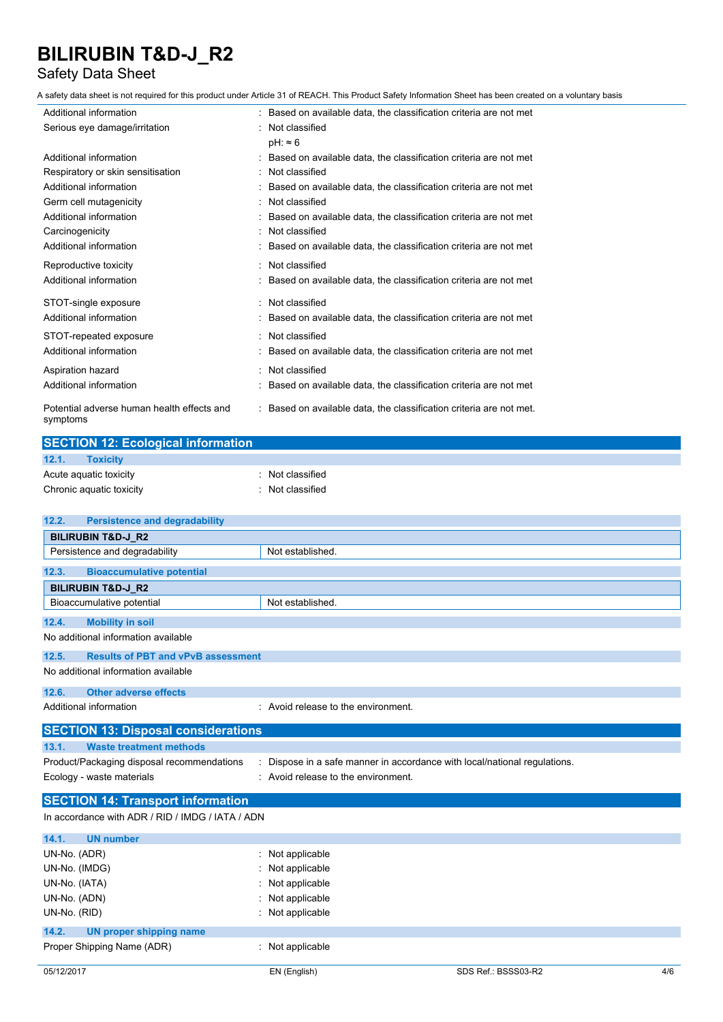### Safety Data Sheet

A safety data sheet is not required for this product under Article 31 of REACH. This Product Safety Information Sheet has been created on a voluntary basis

| Additional information                                 | : Based on available data, the classification criteria are not met  |
|--------------------------------------------------------|---------------------------------------------------------------------|
| Serious eye damage/irritation                          | Not classified                                                      |
|                                                        | $pH: \approx 6$                                                     |
| Additional information                                 | Based on available data, the classification criteria are not met    |
| Respiratory or skin sensitisation                      | Not classified                                                      |
| Additional information                                 | Based on available data, the classification criteria are not met    |
| Germ cell mutagenicity                                 | : Not classified                                                    |
| Additional information                                 | Based on available data, the classification criteria are not met    |
| Carcinogenicity                                        | Not classified                                                      |
| Additional information                                 | Based on available data, the classification criteria are not met    |
| Reproductive toxicity                                  | : Not classified                                                    |
| Additional information                                 | : Based on available data, the classification criteria are not met  |
| STOT-single exposure                                   | : Not classified                                                    |
| Additional information                                 | Based on available data, the classification criteria are not met    |
| STOT-repeated exposure                                 | : Not classified                                                    |
| Additional information                                 | Based on available data, the classification criteria are not met    |
| Aspiration hazard                                      | Not classified                                                      |
| Additional information                                 | Based on available data, the classification criteria are not met    |
| Potential adverse human health effects and<br>symptoms | : Based on available data, the classification criteria are not met. |

| <b>SECTION 12: Ecological information</b> |                |  |  |
|-------------------------------------------|----------------|--|--|
| 12.1.<br><b>Toxicity</b>                  |                |  |  |
| Acute aguatic toxicity                    | Not classified |  |  |
| Chronic aquatic toxicity                  | Not classified |  |  |

| 12.2.<br><b>Persistence and degradability</b>      |                                                                         |  |  |  |
|----------------------------------------------------|-------------------------------------------------------------------------|--|--|--|
| <b>BILIRUBIN T&amp;D-J_R2</b>                      |                                                                         |  |  |  |
| Persistence and degradability                      | Not established.                                                        |  |  |  |
| <b>Bioaccumulative potential</b><br>12.3.          |                                                                         |  |  |  |
| <b>BILIRUBIN T&amp;D-J R2</b>                      |                                                                         |  |  |  |
| Bioaccumulative potential                          | Not established.                                                        |  |  |  |
| 12.4.<br><b>Mobility in soil</b>                   |                                                                         |  |  |  |
| No additional information available                |                                                                         |  |  |  |
| <b>Results of PBT and vPvB assessment</b><br>12.5. |                                                                         |  |  |  |
| No additional information available                |                                                                         |  |  |  |
| 12.6.<br><b>Other adverse effects</b>              |                                                                         |  |  |  |
| Additional information                             | : Avoid release to the environment.                                     |  |  |  |
| <b>SECTION 13: Disposal considerations</b>         |                                                                         |  |  |  |
| <b>Waste treatment methods</b><br>13.1.            |                                                                         |  |  |  |
| Product/Packaging disposal recommendations         | Dispose in a safe manner in accordance with local/national regulations. |  |  |  |
| Ecology - waste materials                          | : Avoid release to the environment.                                     |  |  |  |
| <b>SECTION 14: Transport information</b>           |                                                                         |  |  |  |
| In accordance with ADR / RID / IMDG / IATA / ADN   |                                                                         |  |  |  |
| 14.1.<br><b>UN number</b>                          |                                                                         |  |  |  |
| UN-No. (ADR)                                       | : Not applicable                                                        |  |  |  |
| UN-No. (IMDG)                                      | Not applicable                                                          |  |  |  |
| UN-No. (IATA)                                      | Not applicable                                                          |  |  |  |
| UN-No. (ADN)                                       | Not applicable                                                          |  |  |  |
| UN-No. (RID)                                       | Not applicable                                                          |  |  |  |
| 14.2.<br><b>UN proper shipping name</b>            |                                                                         |  |  |  |
| Proper Shipping Name (ADR)                         | : Not applicable                                                        |  |  |  |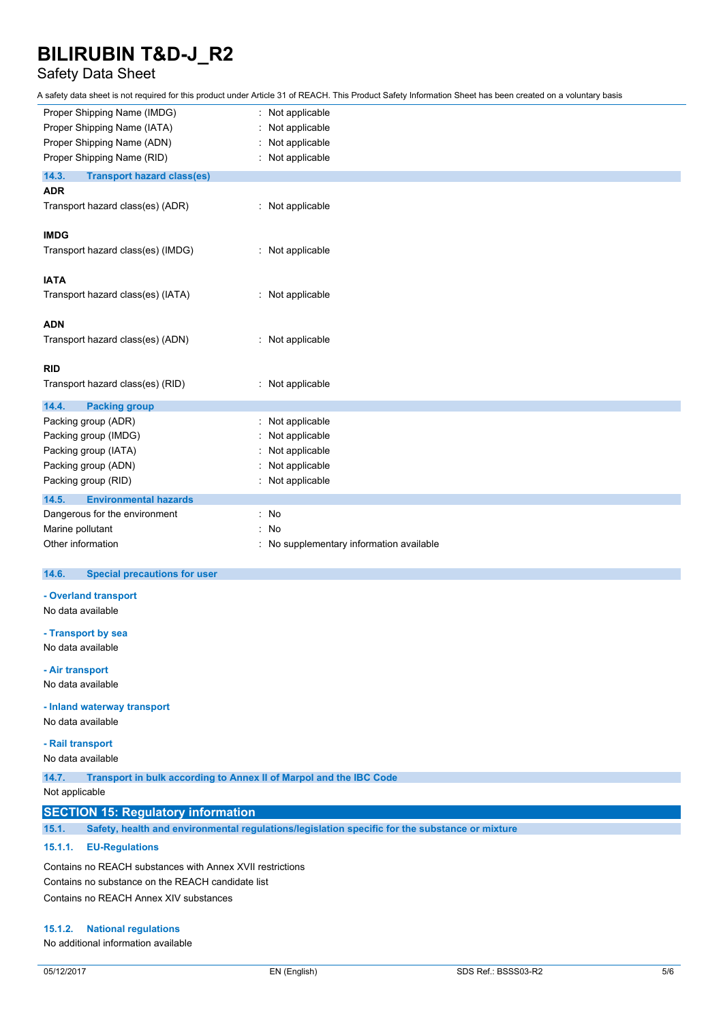## Safety Data Sheet

A safety data sheet is not required for this product under Article 31 of REACH. This Product Safety Information Sheet has been created on a voluntary basis

| Proper Shipping Name (IMDG)                | Not applicable                         |
|--------------------------------------------|----------------------------------------|
| Proper Shipping Name (IATA)                | Not applicable                         |
| Proper Shipping Name (ADN)                 | Not applicable                         |
| Proper Shipping Name (RID)                 | Not applicable                         |
| 14.3.<br><b>Transport hazard class(es)</b> |                                        |
| <b>ADR</b>                                 |                                        |
| Transport hazard class(es) (ADR)           | : Not applicable                       |
| <b>IMDG</b>                                |                                        |
| Transport hazard class(es) (IMDG)          | : Not applicable                       |
| <b>IATA</b>                                |                                        |
| Transport hazard class(es) (IATA)          | : Not applicable                       |
| <b>ADN</b>                                 |                                        |
| Transport hazard class(es) (ADN)           | : Not applicable                       |
| <b>RID</b>                                 |                                        |
| Transport hazard class(es) (RID)           | Not applicable                         |
| 14.4.<br><b>Packing group</b>              |                                        |
| Packing group (ADR)                        | Not applicable                         |
| Packing group (IMDG)                       | Not applicable                         |
| Packing group (IATA)                       | Not applicable                         |
| Packing group (ADN)                        | Not applicable                         |
| Packing group (RID)                        | Not applicable                         |
| 14.5.<br><b>Environmental hazards</b>      |                                        |
| Dangerous for the environment              | : No                                   |
| Marine pollutant                           | No                                     |
| Other information                          | No supplementary information available |

#### $14.6.$ **14.6. Special precautions for user**

**- Overland transport**

No data available

**- Transport by sea**

No data available

**- Air transport**

No data available

**- Inland waterway transport**

No data available

**- Rail transport**

No data available

**14.7. Transport in bulk according to Annex II of Marpol and the IBC Code**

Not applicable

### **SECTION 15: Regulatory information**

**15.1. Safety, health and environmental regulations/legislation specific for the substance or mixture**

#### **15.1.1. EU-Regulations**

Contains no REACH substances with Annex XVII restrictions Contains no substance on the REACH candidate list Contains no REACH Annex XIV substances

#### **15.1.2. National regulations**

No additional information available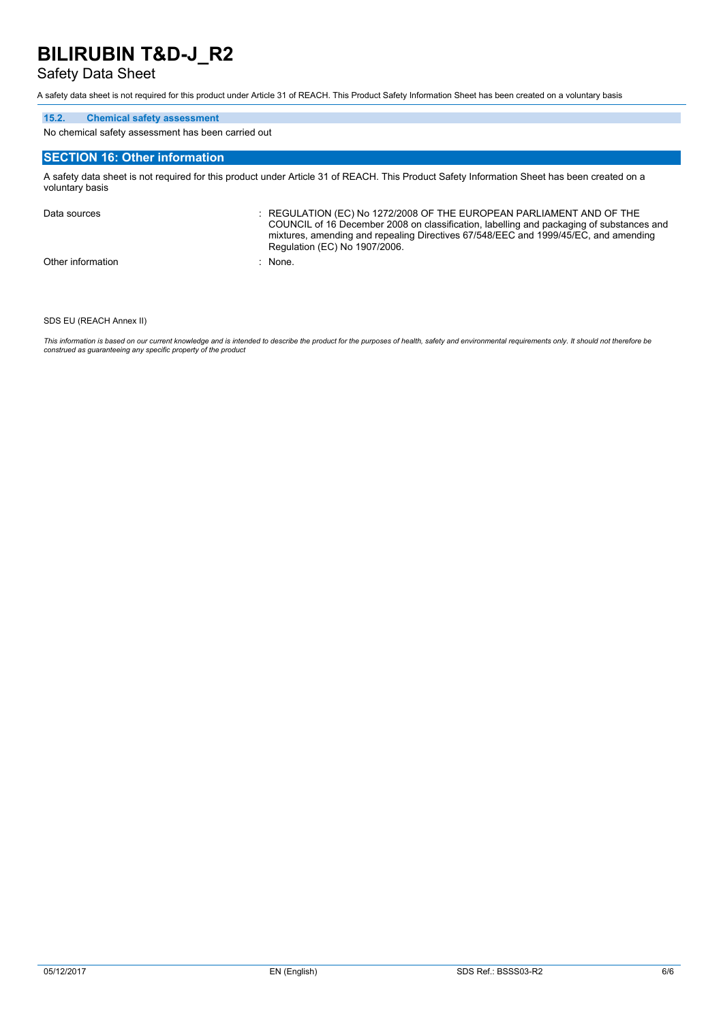### Safety Data Sheet

A safety data sheet is not required for this product under Article 31 of REACH. This Product Safety Information Sheet has been created on a voluntary basis

#### **15.2. Chemical safety assessment**

No chemical safety assessment has been carried out

#### **SECTION 16: Other information**

A safety data sheet is not required for this product under Article 31 of REACH. This Product Safety Information Sheet has been created on a voluntary basis

Data sources : REGULATION (EC) No 1272/2008 OF THE EUROPEAN PARLIAMENT AND OF THE COUNCIL of 16 December 2008 on classification, labelling and packaging of substances and mixtures, amending and repealing Directives 67/548/EEC and 1999/45/EC, and amending Regulation (EC) No 1907/2006. Other information : None.

SDS EU (REACH Annex II)

This information is based on our current knowledge and is intended to describe the product for the purposes of health, safety and environmental requirements only. It should not therefore be *construed as guaranteeing any specific property of the product*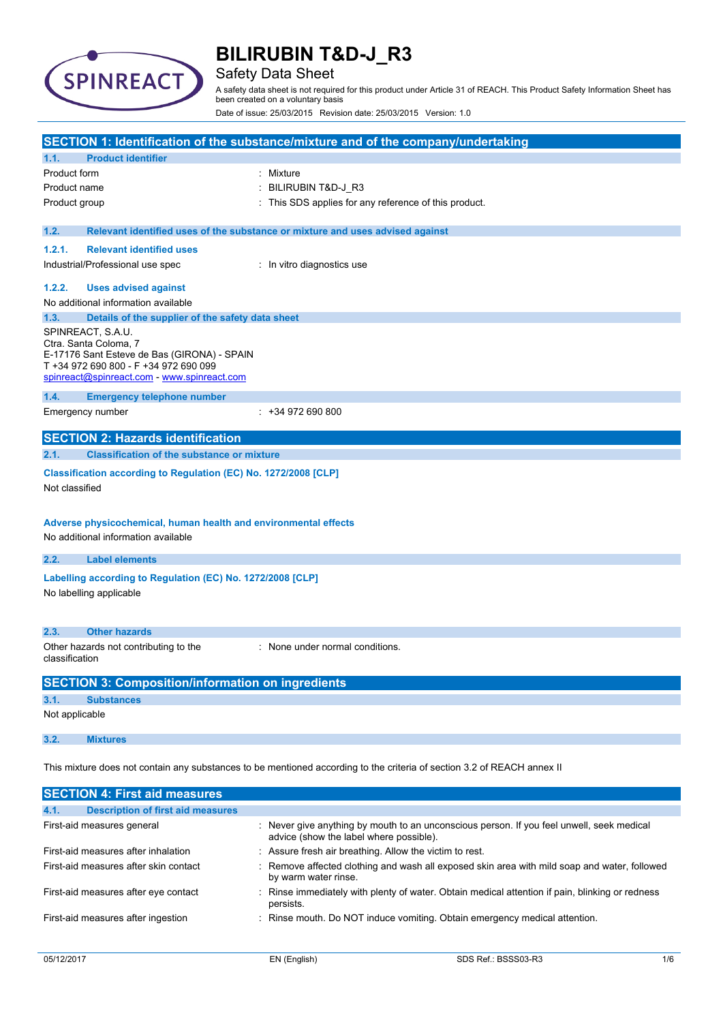

### Safety Data Sheet

A safety data sheet is not required for this product under Article 31 of REACH. This Product Safety Information Sheet has been created on a voluntary basis

Date of issue: 25/03/2015 Revision date: 25/03/2015 Version: 1.0

|                                                                                                        |                                                                                                                                                                                   | SECTION 1: Identification of the substance/mixture and of the company/undertaking |  |
|--------------------------------------------------------------------------------------------------------|-----------------------------------------------------------------------------------------------------------------------------------------------------------------------------------|-----------------------------------------------------------------------------------|--|
| 1.1.                                                                                                   | <b>Product identifier</b>                                                                                                                                                         |                                                                                   |  |
| Product form                                                                                           |                                                                                                                                                                                   | Mixture                                                                           |  |
| Product name                                                                                           |                                                                                                                                                                                   | BILIRUBIN T&D-J_R3                                                                |  |
| Product group                                                                                          |                                                                                                                                                                                   | This SDS applies for any reference of this product.                               |  |
| 1.2.                                                                                                   |                                                                                                                                                                                   | Relevant identified uses of the substance or mixture and uses advised against     |  |
| 1.2.1.                                                                                                 | <b>Relevant identified uses</b>                                                                                                                                                   |                                                                                   |  |
|                                                                                                        | Industrial/Professional use spec                                                                                                                                                  | : In vitro diagnostics use                                                        |  |
| 1.2.2.                                                                                                 | <b>Uses advised against</b>                                                                                                                                                       |                                                                                   |  |
|                                                                                                        | No additional information available                                                                                                                                               |                                                                                   |  |
| 1.3.                                                                                                   | Details of the supplier of the safety data sheet                                                                                                                                  |                                                                                   |  |
|                                                                                                        | SPINREACT, S.A.U.<br>Ctra. Santa Coloma, 7<br>E-17176 Sant Esteve de Bas (GIRONA) - SPAIN<br>T +34 972 690 800 - F +34 972 690 099<br>spinreact@spinreact.com - www.spinreact.com |                                                                                   |  |
| 1.4.                                                                                                   | <b>Emergency telephone number</b>                                                                                                                                                 |                                                                                   |  |
|                                                                                                        | Emergency number                                                                                                                                                                  | $: +34972690800$                                                                  |  |
|                                                                                                        | <b>SECTION 2: Hazards identification</b>                                                                                                                                          |                                                                                   |  |
| 2.1.                                                                                                   | <b>Classification of the substance or mixture</b>                                                                                                                                 |                                                                                   |  |
| Classification according to Regulation (EC) No. 1272/2008 [CLP]<br>Not classified                      |                                                                                                                                                                                   |                                                                                   |  |
| Adverse physicochemical, human health and environmental effects<br>No additional information available |                                                                                                                                                                                   |                                                                                   |  |
| 2.2.                                                                                                   | <b>Label elements</b>                                                                                                                                                             |                                                                                   |  |
| Labelling according to Regulation (EC) No. 1272/2008 [CLP]<br>No labelling applicable                  |                                                                                                                                                                                   |                                                                                   |  |
| 2.3.                                                                                                   | <b>Other hazards</b>                                                                                                                                                              |                                                                                   |  |
| classification                                                                                         | Other hazards not contributing to the                                                                                                                                             | : None under normal conditions.                                                   |  |
|                                                                                                        | <b>SECTION 3: Composition/information on ingredients</b>                                                                                                                          |                                                                                   |  |
| 3.1.                                                                                                   | <b>Substances</b>                                                                                                                                                                 |                                                                                   |  |
| Not applicable                                                                                         |                                                                                                                                                                                   |                                                                                   |  |
| 3.2.                                                                                                   | <b>Mixtures</b>                                                                                                                                                                   |                                                                                   |  |
|                                                                                                        | This mixture does not contain any substances to be mentioned according to the criteria of section 3.2 of REACH annex II                                                           |                                                                                   |  |
|                                                                                                        | <b>SECTION 4: First aid measures</b>                                                                                                                                              |                                                                                   |  |
| 4.1.                                                                                                   | <b>Description of first aid measures</b>                                                                                                                                          |                                                                                   |  |

| First-aid measures general          | Never give anything by mouth to an unconscious person. If you feel unwell, seek medical<br>advice (show the label where possible). |
|-------------------------------------|------------------------------------------------------------------------------------------------------------------------------------|
| First-aid measures after inhalation | Assure fresh air breathing. Allow the victim to rest.                                                                              |

| First-aid measures after skin contact | : Remove affected clothing and wash all exposed skin area with mild soap and water, followed<br>by warm water rinse. |
|---------------------------------------|----------------------------------------------------------------------------------------------------------------------|
| First-aid measures after eye contact  | : Rinse immediately with plenty of water. Obtain medical attention if pain, blinking or redness<br>persists.         |
| First-aid measures after ingestion    | : Rinse mouth. Do NOT induce vomiting. Obtain emergency medical attention.                                           |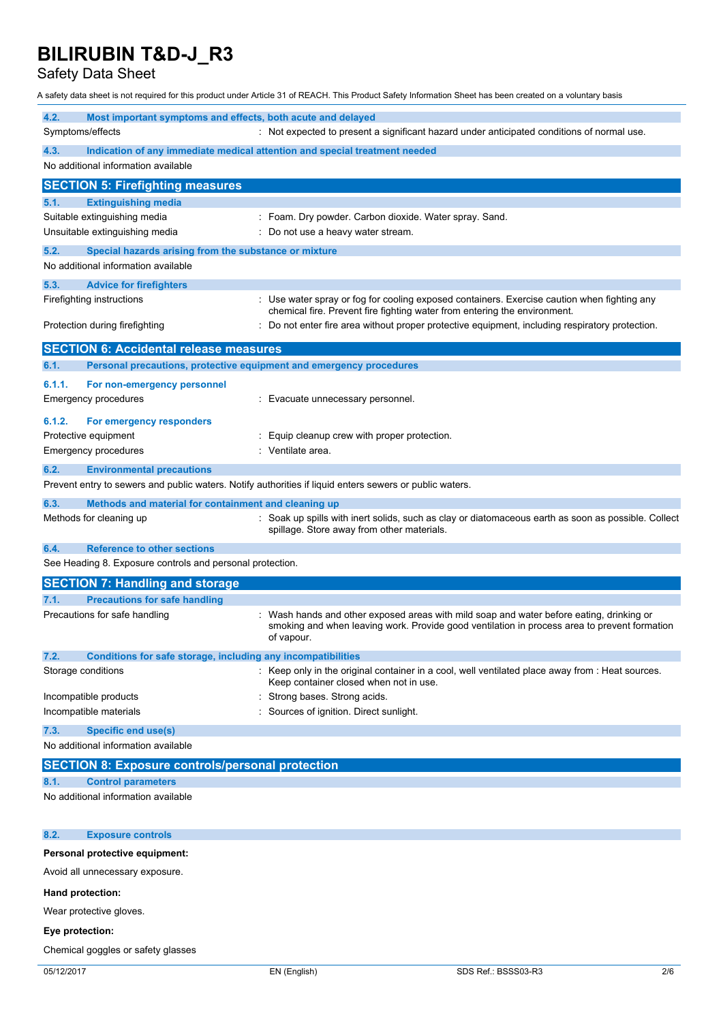Safety Data Sheet

A safety data sheet is not required for this product under Article 31 of REACH. This Product Safety Information Sheet has been created on a voluntary basis

| 4.2.<br>Most important symptoms and effects, both acute and delayed                                            |                                                                                                                                                                                                      |  |  |
|----------------------------------------------------------------------------------------------------------------|------------------------------------------------------------------------------------------------------------------------------------------------------------------------------------------------------|--|--|
| Symptoms/effects<br>: Not expected to present a significant hazard under anticipated conditions of normal use. |                                                                                                                                                                                                      |  |  |
| 4.3.<br>No additional information available                                                                    | Indication of any immediate medical attention and special treatment needed                                                                                                                           |  |  |
| <b>SECTION 5: Firefighting measures</b>                                                                        |                                                                                                                                                                                                      |  |  |
| 5.1.<br><b>Extinguishing media</b>                                                                             |                                                                                                                                                                                                      |  |  |
| Suitable extinguishing media                                                                                   | : Foam. Dry powder. Carbon dioxide. Water spray. Sand.                                                                                                                                               |  |  |
| Unsuitable extinguishing media                                                                                 | Do not use a heavy water stream.                                                                                                                                                                     |  |  |
| 5.2.<br>Special hazards arising from the substance or mixture                                                  |                                                                                                                                                                                                      |  |  |
| No additional information available                                                                            |                                                                                                                                                                                                      |  |  |
| 5.3.<br><b>Advice for firefighters</b>                                                                         |                                                                                                                                                                                                      |  |  |
| Firefighting instructions                                                                                      | : Use water spray or fog for cooling exposed containers. Exercise caution when fighting any                                                                                                          |  |  |
|                                                                                                                | chemical fire. Prevent fire fighting water from entering the environment.                                                                                                                            |  |  |
| Protection during firefighting                                                                                 | Do not enter fire area without proper protective equipment, including respiratory protection.                                                                                                        |  |  |
| <b>SECTION 6: Accidental release measures</b>                                                                  |                                                                                                                                                                                                      |  |  |
| Personal precautions, protective equipment and emergency procedures<br>6.1.                                    |                                                                                                                                                                                                      |  |  |
| 6.1.1.<br>For non-emergency personnel                                                                          |                                                                                                                                                                                                      |  |  |
| <b>Emergency procedures</b>                                                                                    | : Evacuate unnecessary personnel.                                                                                                                                                                    |  |  |
|                                                                                                                |                                                                                                                                                                                                      |  |  |
| 6.1.2.<br>For emergency responders<br>Protective equipment                                                     |                                                                                                                                                                                                      |  |  |
| Emergency procedures                                                                                           | Equip cleanup crew with proper protection.<br>Ventilate area.                                                                                                                                        |  |  |
|                                                                                                                |                                                                                                                                                                                                      |  |  |
| 6.2.<br><b>Environmental precautions</b>                                                                       |                                                                                                                                                                                                      |  |  |
| Prevent entry to sewers and public waters. Notify authorities if liquid enters sewers or public waters.        |                                                                                                                                                                                                      |  |  |
| 6.3.<br>Methods and material for containment and cleaning up                                                   |                                                                                                                                                                                                      |  |  |
| Methods for cleaning up                                                                                        | : Soak up spills with inert solids, such as clay or diatomaceous earth as soon as possible. Collect<br>spillage. Store away from other materials.                                                    |  |  |
| <b>Reference to other sections</b><br>6.4.                                                                     |                                                                                                                                                                                                      |  |  |
| See Heading 8. Exposure controls and personal protection.                                                      |                                                                                                                                                                                                      |  |  |
| <b>SECTION 7: Handling and storage</b>                                                                         |                                                                                                                                                                                                      |  |  |
| <b>Precautions for safe handling</b><br>7.1.                                                                   |                                                                                                                                                                                                      |  |  |
| Precautions for safe handling                                                                                  | Wash hands and other exposed areas with mild soap and water before eating, drinking or<br>smoking and when leaving work. Provide good ventilation in process area to prevent formation<br>of vapour. |  |  |
| 7.2.<br>Conditions for safe storage, including any incompatibilities                                           |                                                                                                                                                                                                      |  |  |
| Storage conditions                                                                                             | : Keep only in the original container in a cool, well ventilated place away from : Heat sources.<br>Keep container closed when not in use.                                                           |  |  |
| Incompatible products                                                                                          | Strong bases. Strong acids.                                                                                                                                                                          |  |  |
| Incompatible materials                                                                                         | Sources of ignition. Direct sunlight.                                                                                                                                                                |  |  |
| <b>Specific end use(s)</b><br>7.3.                                                                             |                                                                                                                                                                                                      |  |  |
| No additional information available                                                                            |                                                                                                                                                                                                      |  |  |
| <b>SECTION 8: Exposure controls/personal protection</b>                                                        |                                                                                                                                                                                                      |  |  |
| <b>Control parameters</b><br>8.1.                                                                              |                                                                                                                                                                                                      |  |  |
| No additional information available                                                                            |                                                                                                                                                                                                      |  |  |
| 8.2.<br><b>Exposure controls</b>                                                                               |                                                                                                                                                                                                      |  |  |
| Personal protective equipment:                                                                                 |                                                                                                                                                                                                      |  |  |
| Avoid all unnecessary exposure.                                                                                |                                                                                                                                                                                                      |  |  |
| Hand protection:                                                                                               |                                                                                                                                                                                                      |  |  |

Wear protective gloves.

## **Eye protection:**

Chemical goggles or safety glasses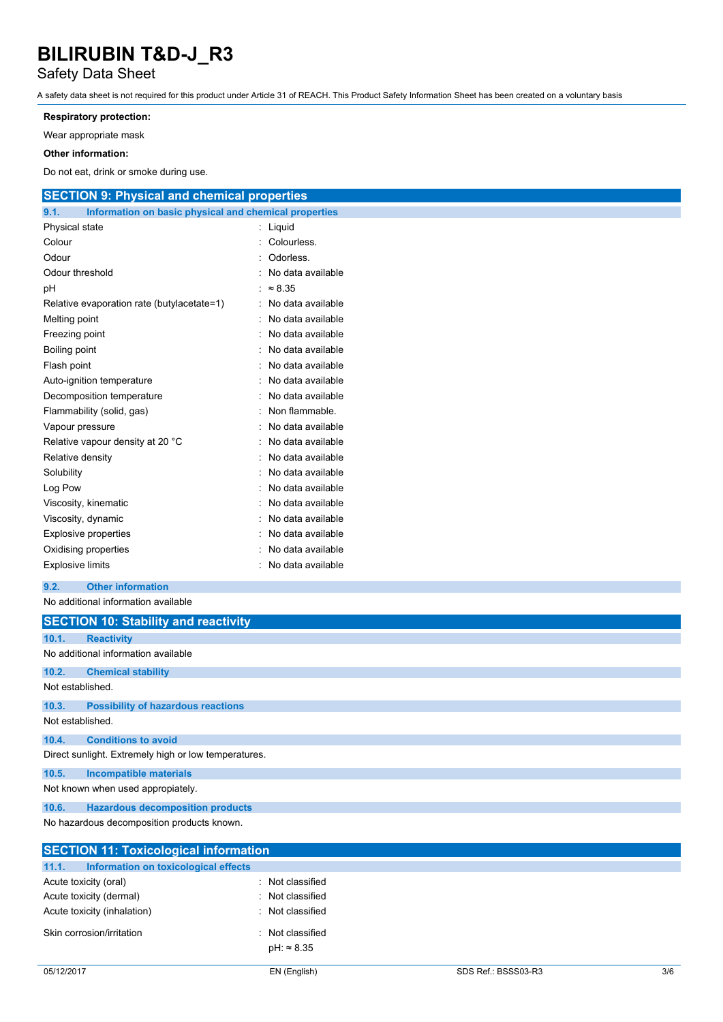### Safety Data Sheet

A safety data sheet is not required for this product under Article 31 of REACH. This Product Safety Information Sheet has been created on a voluntary basis

#### **Respiratory protection:**

Wear appropriate mask

#### **Other information:**

Do not eat, drink or smoke during use.

| <b>SECTION 9: Physical and chemical properties</b>            |                     |
|---------------------------------------------------------------|---------------------|
| 9.1.<br>Information on basic physical and chemical properties |                     |
| Physical state                                                | : Liquid            |
| Colour                                                        | : Colourless.       |
| Odour                                                         | Odorless.           |
| Odour threshold                                               | No data available   |
| pН                                                            | : $\approx 8.35$    |
| Relative evaporation rate (butylacetate=1)                    | : No data available |
| Melting point                                                 | No data available   |
| Freezing point                                                | No data available   |
| Boiling point                                                 | No data available   |
| Flash point                                                   | No data available   |
| Auto-ignition temperature                                     | No data available   |
| Decomposition temperature                                     | No data available   |
| Flammability (solid, gas)                                     | Non flammable.      |
| Vapour pressure                                               | No data available   |
| Relative vapour density at 20 °C                              | No data available   |
| Relative density                                              | No data available   |
| Solubility                                                    | No data available   |
| Log Pow                                                       | No data available   |
| Viscosity, kinematic                                          | No data available   |
| Viscosity, dynamic                                            | No data available   |
| <b>Explosive properties</b>                                   | No data available   |
| Oxidising properties                                          | No data available   |
| <b>Explosive limits</b>                                       | No data available   |
| 9.2.<br><b>Other information</b>                              |                     |
| No additional information available                           |                     |
| <b>SECTION 10: Stability and reactivity</b>                   |                     |
| 10.1.<br><b>Reactivity</b>                                    |                     |
| No additional information available                           |                     |
| 10.2.<br><b>Chemical stability</b>                            |                     |

Not established.

#### **10.3. Possibility of hazardous reactions** Not established.

**10.4. Conditions to avoid**

Direct sunlight. Extremely high or low temperatures.

**10.5. Incompatible materials**

Not known when used appropiately.

**10.6. Hazardous decomposition products**

No hazardous decomposition products known.

|                       | <b>SECTION 11: Toxicological information</b> |  |                                      |  |
|-----------------------|----------------------------------------------|--|--------------------------------------|--|
| 11.1.                 | Information on toxicological effects         |  |                                      |  |
| Acute toxicity (oral) |                                              |  | : Not classified                     |  |
|                       | Acute toxicity (dermal)                      |  | : Not classified                     |  |
|                       | Acute toxicity (inhalation)                  |  | : Not classified                     |  |
|                       | Skin corrosion/irritation                    |  | Not classified<br>$pH: \approx 8.35$ |  |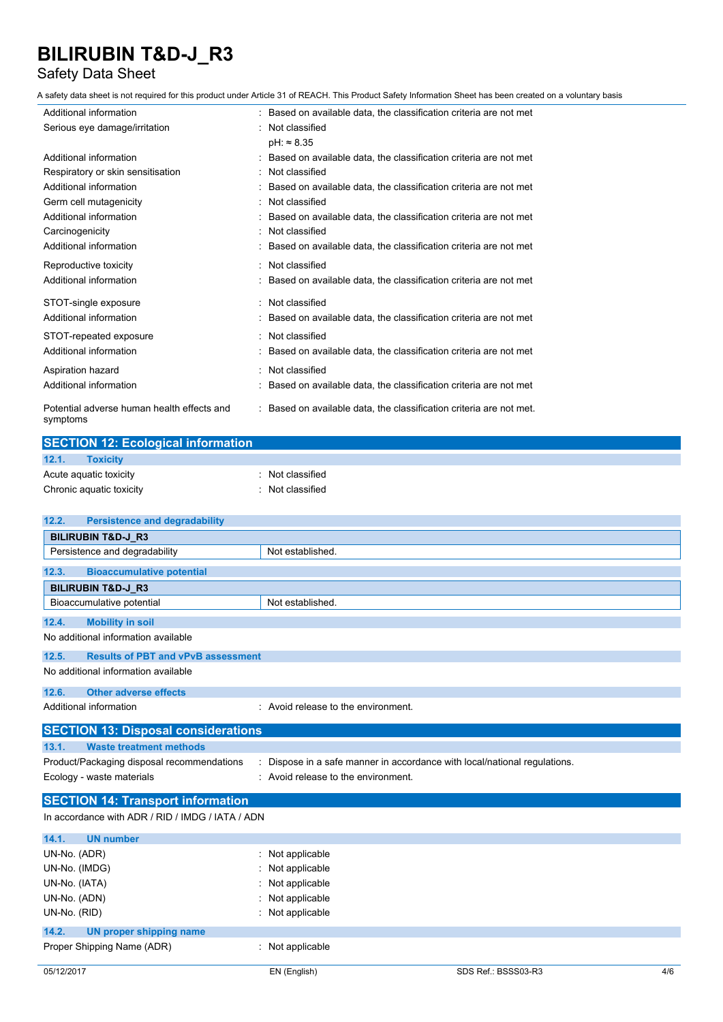### Safety Data Sheet

A safety data sheet is not required for this product under Article 31 of REACH. This Product Safety Information Sheet has been created on a voluntary basis

| Additional information                                 | : Based on available data, the classification criteria are not met  |
|--------------------------------------------------------|---------------------------------------------------------------------|
| Serious eye damage/irritation                          | : Not classified                                                    |
|                                                        | $pH: \approx 8.35$                                                  |
| Additional information                                 | : Based on available data, the classification criteria are not met  |
| Respiratory or skin sensitisation                      | : Not classified                                                    |
| Additional information                                 | Based on available data, the classification criteria are not met    |
| Germ cell mutagenicity                                 | : Not classified                                                    |
| Additional information                                 | Based on available data, the classification criteria are not met    |
| Carcinogenicity                                        | Not classified                                                      |
| Additional information                                 | Based on available data, the classification criteria are not met    |
| Reproductive toxicity                                  | : Not classified                                                    |
| Additional information                                 | : Based on available data, the classification criteria are not met  |
| STOT-single exposure                                   | : Not classified                                                    |
| Additional information                                 | Based on available data, the classification criteria are not met    |
| STOT-repeated exposure                                 | : Not classified                                                    |
| Additional information                                 | : Based on available data, the classification criteria are not met  |
| Aspiration hazard                                      | Not classified                                                      |
| Additional information                                 | Based on available data, the classification criteria are not met    |
| Potential adverse human health effects and<br>symptoms | : Based on available data, the classification criteria are not met. |

| <b>SECTION 12: Ecological information</b> |                |  |  |
|-------------------------------------------|----------------|--|--|
| 12.1.<br><b>Toxicity</b>                  |                |  |  |
| Acute aguatic toxicity                    | Not classified |  |  |
| Chronic aquatic toxicity                  | Not classified |  |  |

| 12.2.<br><b>Persistence and degradability</b>      |                                                                         |  |
|----------------------------------------------------|-------------------------------------------------------------------------|--|
| <b>BILIRUBIN T&amp;D-J R3</b>                      |                                                                         |  |
| Persistence and degradability                      | Not established.                                                        |  |
| <b>Bioaccumulative potential</b><br>12.3.          |                                                                         |  |
| <b>BILIRUBIN T&amp;D-J_R3</b>                      |                                                                         |  |
| Bioaccumulative potential                          | Not established.                                                        |  |
| <b>Mobility in soil</b><br>12.4.                   |                                                                         |  |
| No additional information available                |                                                                         |  |
| <b>Results of PBT and vPvB assessment</b><br>12.5. |                                                                         |  |
| No additional information available                |                                                                         |  |
| 12.6.<br><b>Other adverse effects</b>              |                                                                         |  |
| Additional information                             | : Avoid release to the environment.                                     |  |
| <b>SECTION 13: Disposal considerations</b>         |                                                                         |  |
| 13.1.<br><b>Waste treatment methods</b>            |                                                                         |  |
| Product/Packaging disposal recommendations         | Dispose in a safe manner in accordance with local/national regulations. |  |
| Ecology - waste materials                          | Avoid release to the environment.                                       |  |
| <b>SECTION 14: Transport information</b>           |                                                                         |  |
| In accordance with ADR / RID / IMDG / IATA / ADN   |                                                                         |  |
| <b>UN number</b><br>14.1.                          |                                                                         |  |
| UN-No. (ADR)                                       | Not applicable                                                          |  |
| UN-No. (IMDG)                                      | Not applicable                                                          |  |
| UN-No. (IATA)                                      | Not applicable                                                          |  |
| UN-No. (ADN)                                       | Not applicable                                                          |  |
| UN-No. (RID)                                       | Not applicable                                                          |  |
| 14.2.<br><b>UN proper shipping name</b>            |                                                                         |  |
| Proper Shipping Name (ADR)                         | Not applicable                                                          |  |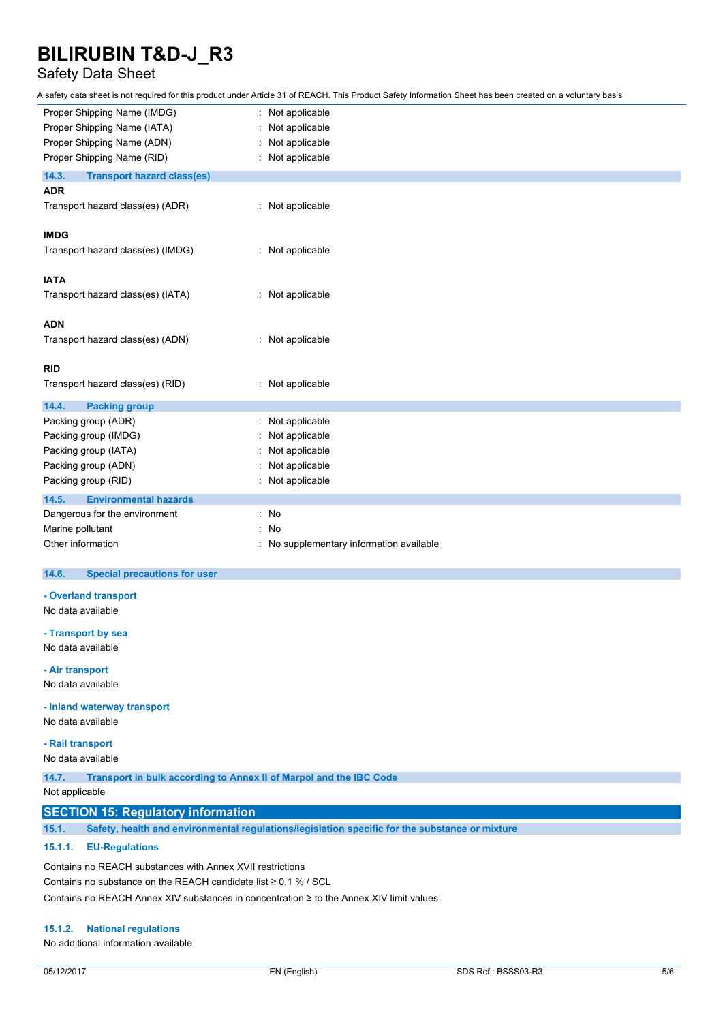### Safety Data Sheet

A safety data sheet is not required for this product under Article 31 of REACH. This Product Safety Information Sheet has been created on a voluntary basis

| Proper Shipping Name (IMDG)                | Not applicable                         |
|--------------------------------------------|----------------------------------------|
| Proper Shipping Name (IATA)                | Not applicable                         |
| Proper Shipping Name (ADN)                 | Not applicable                         |
| Proper Shipping Name (RID)                 | Not applicable                         |
| 14.3.<br><b>Transport hazard class(es)</b> |                                        |
| <b>ADR</b>                                 |                                        |
| Transport hazard class(es) (ADR)           | : Not applicable                       |
| <b>IMDG</b>                                |                                        |
| Transport hazard class(es) (IMDG)          | : Not applicable                       |
| <b>IATA</b>                                |                                        |
| Transport hazard class(es) (IATA)          | : Not applicable                       |
| <b>ADN</b>                                 |                                        |
| Transport hazard class(es) (ADN)           | : Not applicable                       |
| <b>RID</b>                                 |                                        |
| Transport hazard class(es) (RID)           | Not applicable                         |
| 14.4.<br><b>Packing group</b>              |                                        |
| Packing group (ADR)                        | Not applicable                         |
| Packing group (IMDG)                       | Not applicable                         |
| Packing group (IATA)                       | Not applicable                         |
| Packing group (ADN)                        | Not applicable                         |
| Packing group (RID)                        | Not applicable                         |
| 14.5.<br><b>Environmental hazards</b>      |                                        |
| Dangerous for the environment              | : No                                   |
| Marine pollutant                           | No                                     |
| Other information                          | No supplementary information available |

#### $14.6.$ **14.6. Special precautions for user**

**- Overland transport**

No data available

**- Transport by sea**

No data available

**- Air transport**

No data available

**- Inland waterway transport**

No data available

**- Rail transport**

No data available

**14.7. Transport in bulk according to Annex II of Marpol and the IBC Code**

Not applicable

#### **SECTION 15: Regulatory information**

**15.1. Safety, health and environmental regulations/legislation specific for the substance or mixture**

#### **15.1.1. EU-Regulations**

Contains no REACH substances with Annex XVII restrictions Contains no substance on the REACH candidate list ≥ 0,1 % / SCL Contains no REACH Annex XIV substances in concentration ≥ to the Annex XIV limit values

#### **15.1.2. National regulations**

No additional information available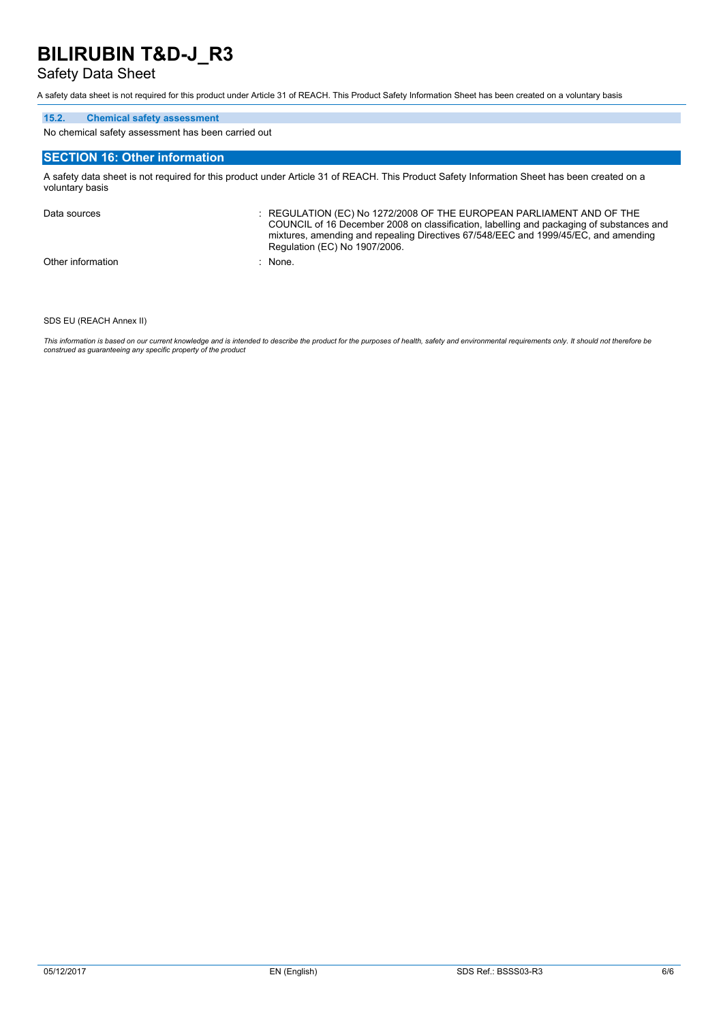### Safety Data Sheet

A safety data sheet is not required for this product under Article 31 of REACH. This Product Safety Information Sheet has been created on a voluntary basis

#### **15.2. Chemical safety assessment**

No chemical safety assessment has been carried out

#### **SECTION 16: Other information**

A safety data sheet is not required for this product under Article 31 of REACH. This Product Safety Information Sheet has been created on a voluntary basis

Data sources : REGULATION (EC) No 1272/2008 OF THE EUROPEAN PARLIAMENT AND OF THE COUNCIL of 16 December 2008 on classification, labelling and packaging of substances and mixtures, amending and repealing Directives 67/548/EEC and 1999/45/EC, and amending Regulation (EC) No 1907/2006. Other information : None.

SDS EU (REACH Annex II)

This information is based on our current knowledge and is intended to describe the product for the purposes of health, safety and environmental requirements only. It should not therefore be *construed as guaranteeing any specific property of the product*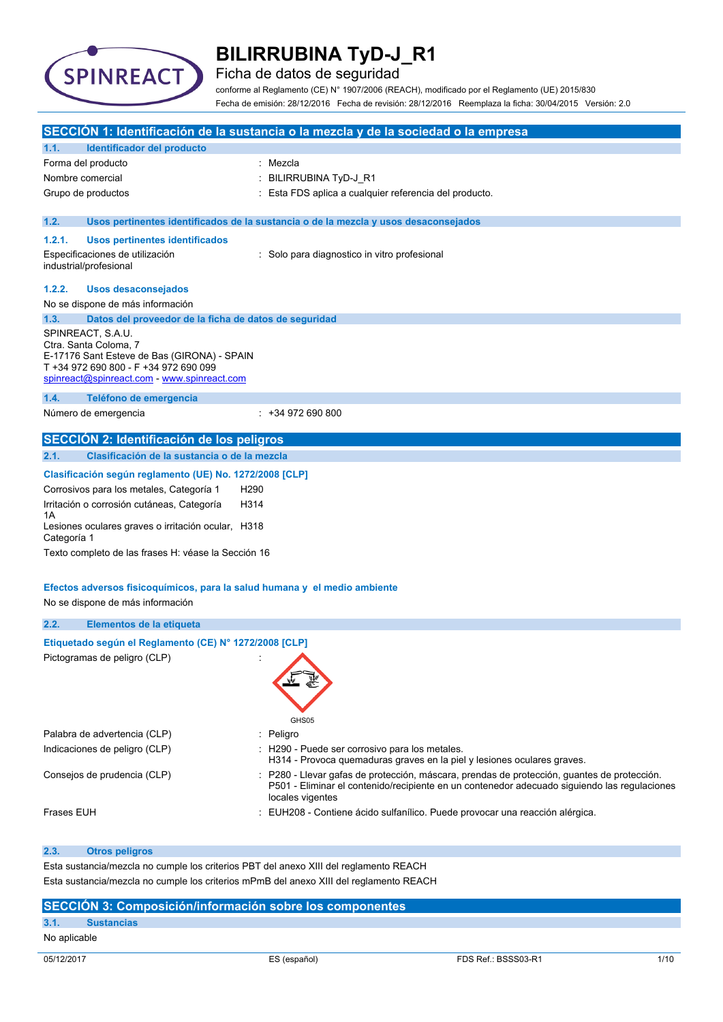

Ficha de datos de seguridad

conforme al Reglamento (CE) N° 1907/2006 (REACH), modificado por el Reglamento (UE) 2015/830 Fecha de emisión: 28/12/2016 Fecha de revisión: 28/12/2016 Reemplaza la ficha: 30/04/2015 Versión: 2.0

|                   |                                                                                                                                                                                   | SECCIÓN 1: Identificación de la sustancia o la mezcla y de la sociedad o la empresa                                                                                                                             |
|-------------------|-----------------------------------------------------------------------------------------------------------------------------------------------------------------------------------|-----------------------------------------------------------------------------------------------------------------------------------------------------------------------------------------------------------------|
| 1.1.              | <b>Identificador del producto</b>                                                                                                                                                 |                                                                                                                                                                                                                 |
|                   | Forma del producto                                                                                                                                                                | Mezcla                                                                                                                                                                                                          |
| Nombre comercial  |                                                                                                                                                                                   | BILIRRUBINA TyD-J_R1                                                                                                                                                                                            |
|                   | Grupo de productos                                                                                                                                                                | Esta FDS aplica a cualquier referencia del producto.                                                                                                                                                            |
| 1.2.              |                                                                                                                                                                                   | Usos pertinentes identificados de la sustancia o de la mezcla y usos desaconsejados                                                                                                                             |
| 1.2.1.            | Usos pertinentes identificados                                                                                                                                                    |                                                                                                                                                                                                                 |
|                   | Especificaciones de utilización<br>industrial/profesional                                                                                                                         | : Solo para diagnostico in vitro profesional                                                                                                                                                                    |
| 1.2.2.            | <b>Usos desaconsejados</b>                                                                                                                                                        |                                                                                                                                                                                                                 |
|                   | No se dispone de más información                                                                                                                                                  |                                                                                                                                                                                                                 |
| 1.3.              | Datos del proveedor de la ficha de datos de seguridad                                                                                                                             |                                                                                                                                                                                                                 |
|                   | SPINREACT, S.A.U.<br>Ctra. Santa Coloma, 7<br>E-17176 Sant Esteve de Bas (GIRONA) - SPAIN<br>T +34 972 690 800 - F +34 972 690 099<br>spinreact@spinreact.com - www.spinreact.com |                                                                                                                                                                                                                 |
| 1.4.              | Teléfono de emergencia                                                                                                                                                            |                                                                                                                                                                                                                 |
|                   | Número de emergencia                                                                                                                                                              | $: +34972690800$                                                                                                                                                                                                |
|                   | <b>SECCION 2: Identificación de los peligros</b>                                                                                                                                  |                                                                                                                                                                                                                 |
| 2.1.              | Clasificación de la sustancia o de la mezcla                                                                                                                                      |                                                                                                                                                                                                                 |
|                   |                                                                                                                                                                                   |                                                                                                                                                                                                                 |
|                   | Clasificación según reglamento (UE) No. 1272/2008 [CLP]                                                                                                                           |                                                                                                                                                                                                                 |
|                   | Corrosivos para los metales, Categoría 1<br>H <sub>290</sub>                                                                                                                      |                                                                                                                                                                                                                 |
| 1A                | Irritación o corrosión cutáneas, Categoría<br>H314                                                                                                                                |                                                                                                                                                                                                                 |
| Categoría 1       | Lesiones oculares graves o irritación ocular, H318                                                                                                                                |                                                                                                                                                                                                                 |
|                   | Texto completo de las frases H: véase la Sección 16                                                                                                                               |                                                                                                                                                                                                                 |
|                   |                                                                                                                                                                                   |                                                                                                                                                                                                                 |
|                   | Efectos adversos fisicoquímicos, para la salud humana y el medio ambiente                                                                                                         |                                                                                                                                                                                                                 |
|                   | No se dispone de más información                                                                                                                                                  |                                                                                                                                                                                                                 |
| 2.2.              | Elementos de la etiqueta                                                                                                                                                          |                                                                                                                                                                                                                 |
|                   | Etiquetado según el Reglamento (CE) Nº 1272/2008 [CLP]                                                                                                                            |                                                                                                                                                                                                                 |
|                   | Pictogramas de peligro (CLP)                                                                                                                                                      |                                                                                                                                                                                                                 |
|                   |                                                                                                                                                                                   | GHS05                                                                                                                                                                                                           |
|                   | Palabra de advertencia (CLP)                                                                                                                                                      | : Peligro                                                                                                                                                                                                       |
|                   | Indicaciones de peligro (CLP)                                                                                                                                                     | : H290 - Puede ser corrosivo para los metales.<br>H314 - Provoca quemaduras graves en la piel y lesiones oculares graves.                                                                                       |
|                   | Consejos de prudencia (CLP)                                                                                                                                                       | : P280 - Llevar gafas de protección, máscara, prendas de protección, quantes de protección.<br>P501 - Eliminar el contenido/recipiente en un contenedor adecuado siguiendo las regulaciones<br>locales vigentes |
| <b>Frases EUH</b> |                                                                                                                                                                                   | EUH208 - Contiene ácido sulfanílico. Puede provocar una reacción alérgica.                                                                                                                                      |
| 2.3.              | <b>Otros peligros</b>                                                                                                                                                             |                                                                                                                                                                                                                 |
|                   |                                                                                                                                                                                   |                                                                                                                                                                                                                 |

Esta sustancia/mezcla no cumple los criterios PBT del anexo XIII del reglamento REACH Esta sustancia/mezcla no cumple los criterios mPmB del anexo XIII del reglamento REACH

#### **SECCIÓN 3: Composición/información sobre los componentes**

#### **3.1. Sustancias**

No aplicable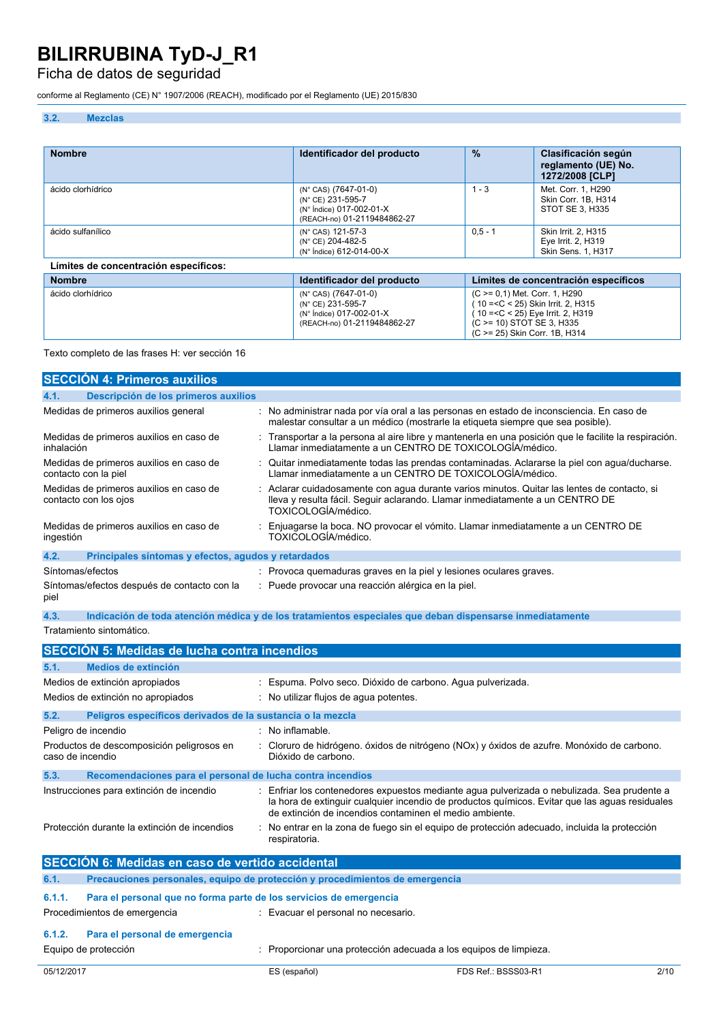### Ficha de datos de seguridad

conforme al Reglamento (CE) N° 1907/2006 (REACH), modificado por el Reglamento (UE) 2015/830

#### **3.2. Mezclas**

| <b>Nombre</b>                         | Identificador del producto                                                                           | $\frac{9}{6}$                                                          | Clasificación según<br>reglamento (UE) No.<br>1272/2008 [CLP]          |
|---------------------------------------|------------------------------------------------------------------------------------------------------|------------------------------------------------------------------------|------------------------------------------------------------------------|
| ácido clorhídrico                     | (N° CAS) (7647-01-0)<br>(N° CE) 231-595-7<br>(N° Índice) 017-002-01-X<br>(REACH-no) 01-2119484862-27 | $1 - 3$                                                                | Met. Corr. 1. H290<br>Skin Corr. 1B. H314<br>STOT SE 3, H335           |
| ácido sulfanílico                     | (N° CAS) 121-57-3<br>(N° CE) 204-482-5<br>(N° Índice) 612-014-00-X                                   | $0.5 - 1$                                                              | <b>Skin Irrit. 2. H315</b><br>Eye Irrit. 2, H319<br>Skin Sens. 1, H317 |
| Límites de concentración específicos: |                                                                                                      |                                                                        |                                                                        |
| <b>Nombre</b>                         | Identificador del producto                                                                           | Límites de concentración específicos                                   |                                                                        |
| ácido clorhídrico                     | (N° CAS) (7647-01-0)<br>(N° CE) 231-595-7                                                            | $(C \ge 0.1)$ Met. Corr. 1, H290<br>10 = < C < 25) Skin Irrit. 2. H315 |                                                                        |

(N° Índice) 017-002-01-X (REACH-no) 01-2119484862-27

Texto completo de las frases H: ver sección 16

|                  | <b>SECCIÓN 4: Primeros auxilios</b>                              |                                                                                                                                                                                                                                                        |
|------------------|------------------------------------------------------------------|--------------------------------------------------------------------------------------------------------------------------------------------------------------------------------------------------------------------------------------------------------|
| 4.1.             | Descripción de los primeros auxilios                             |                                                                                                                                                                                                                                                        |
|                  | Medidas de primeros auxilios general                             | : No administrar nada por vía oral a las personas en estado de inconsciencia. En caso de<br>malestar consultar a un médico (mostrarle la etiqueta siempre que sea posible).                                                                            |
| inhalación       | Medidas de primeros auxilios en caso de                          | Transportar a la persona al aire libre y mantenerla en una posición que le facilite la respiración.<br>Llamar inmediatamente a un CENTRO DE TOXICOLOGIA/médico.                                                                                        |
|                  | Medidas de primeros auxilios en caso de<br>contacto con la piel  | Quitar inmediatamente todas las prendas contaminadas. Aclararse la piel con agua/ducharse.<br>Llamar inmediatamente a un CENTRO DE TOXICOLOGÍA/médico.                                                                                                 |
|                  | Medidas de primeros auxilios en caso de<br>contacto con los ojos | Aclarar cuidadosamente con agua durante varios minutos. Quitar las lentes de contacto, si<br>lleva y resulta fácil. Seguir aclarando. Llamar inmediatamente a un CENTRO DE<br>TOXICOLOGÍA/médico.                                                      |
| ingestión        | Medidas de primeros auxilios en caso de                          | Enjuagarse la boca. NO provocar el vómito. Llamar inmediatamente a un CENTRO DE<br>TOXICOLOGÍA/médico.                                                                                                                                                 |
| 4.2.             | Principales síntomas y efectos, agudos y retardados              |                                                                                                                                                                                                                                                        |
| Síntomas/efectos |                                                                  | : Provoca quemaduras graves en la piel y lesiones oculares graves.                                                                                                                                                                                     |
| piel             | Síntomas/efectos después de contacto con la                      | Puede provocar una reacción alérgica en la piel.                                                                                                                                                                                                       |
| 4.3.             |                                                                  | Indicación de toda atención médica y de los tratamientos especiales que deban dispensarse inmediatamente                                                                                                                                               |
|                  | Tratamiento sintomático.                                         |                                                                                                                                                                                                                                                        |
|                  | <b>SECCIÓN 5: Medidas de lucha contra incendios</b>              |                                                                                                                                                                                                                                                        |
| 5.1.             | Medios de extinción                                              |                                                                                                                                                                                                                                                        |
|                  | Medios de extinción apropiados                                   | Espuma. Polvo seco. Dióxido de carbono. Agua pulverizada.                                                                                                                                                                                              |
|                  | Medios de extinción no apropiados                                | No utilizar flujos de agua potentes.                                                                                                                                                                                                                   |
| 5.2.             | Peligros específicos derivados de la sustancia o la mezcla       |                                                                                                                                                                                                                                                        |
|                  | Peligro de incendio                                              | No inflamable.                                                                                                                                                                                                                                         |
| caso de incendio | Productos de descomposición peligrosos en                        | Cloruro de hidrógeno. óxidos de nitrógeno (NOx) y óxidos de azufre. Monóxido de carbono.<br>Dióxido de carbono.                                                                                                                                        |
| 5.3.             | Recomendaciones para el personal de lucha contra incendios       |                                                                                                                                                                                                                                                        |
|                  | Instrucciones para extinción de incendio                         | Enfriar los contenedores expuestos mediante agua pulverizada o nebulizada. Sea prudente a<br>la hora de extinguir cualquier incendio de productos químicos. Evitar que las aguas residuales<br>de extinción de incendios contaminen el medio ambiente. |
|                  | Protección durante la extinción de incendios                     | No entrar en la zona de fuego sin el equipo de protección adecuado, incluida la protección<br>respiratoria.                                                                                                                                            |
|                  |                                                                  |                                                                                                                                                                                                                                                        |
|                  | SECCIÓN 6: Medidas en caso de vertido accidental                 |                                                                                                                                                                                                                                                        |

( 10 =<C < 25) Eye Irrit. 2, H319 (C >= 10) STOT SE 3, H335 (C >= 25) Skin Corr. 1B, H314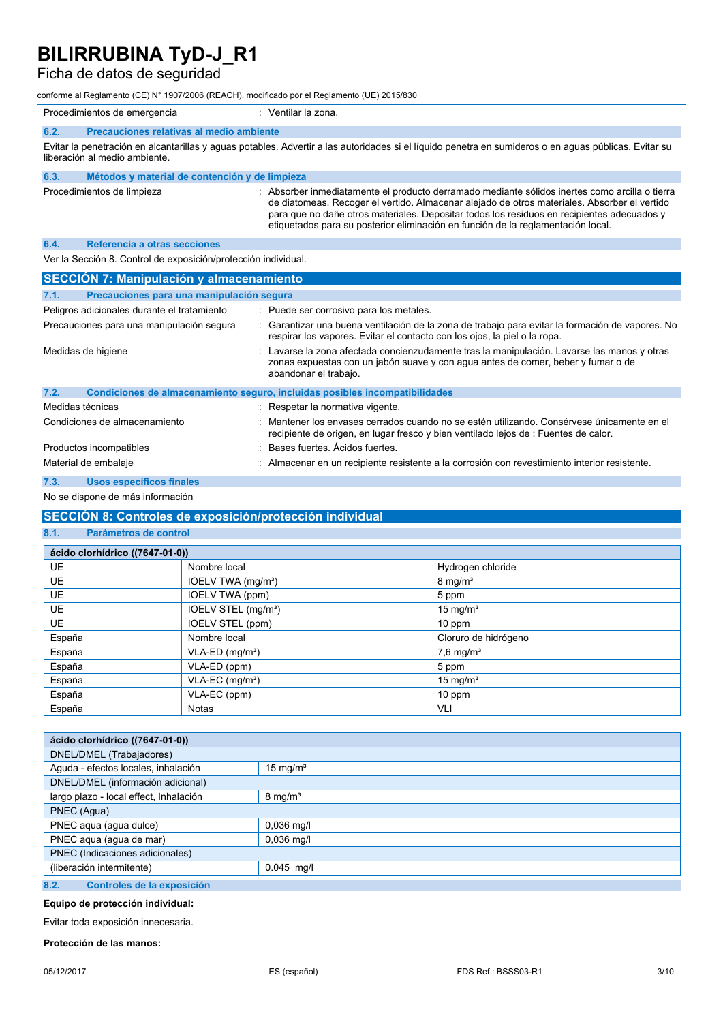### Ficha de datos de seguridad

conforme al Reglamento (CE) N° 1907/2006 (REACH), modificado por el Reglamento (UE) 2015/830

|                                                                                                                                                                                        | Procedimientos de emergencia                   | Ventilar la zona.                                                                                                                                                                                                                                                                                                                                                              |
|----------------------------------------------------------------------------------------------------------------------------------------------------------------------------------------|------------------------------------------------|--------------------------------------------------------------------------------------------------------------------------------------------------------------------------------------------------------------------------------------------------------------------------------------------------------------------------------------------------------------------------------|
| 6.2.                                                                                                                                                                                   | Precauciones relativas al medio ambiente       |                                                                                                                                                                                                                                                                                                                                                                                |
| Evitar la penetración en alcantarillas y aguas potables. Advertir a las autoridades si el líquido penetra en sumideros o en aguas públicas. Evitar su<br>liberación al medio ambiente. |                                                |                                                                                                                                                                                                                                                                                                                                                                                |
| 6.3.                                                                                                                                                                                   | Métodos y material de contención y de limpieza |                                                                                                                                                                                                                                                                                                                                                                                |
|                                                                                                                                                                                        | Procedimientos de limpieza                     | Absorber inmediatamente el producto derramado mediante sólidos inertes como arcilla o tierra<br>de diatomeas. Recoger el vertido. Almacenar alejado de otros materiales. Absorber el vertido<br>para que no dañe otros materiales. Depositar todos los residuos en recipientes adecuados y<br>etiquetados para su posterior eliminación en función de la reglamentación local. |
| 6.4.                                                                                                                                                                                   | Referencia a otras secciones                   |                                                                                                                                                                                                                                                                                                                                                                                |

Ver la Sección 8. Control de exposición/protección individual.

| <b>SECCIÓN 7: Manipulación y almacenamiento</b> |                                                                                                                                                                                                          |  |
|-------------------------------------------------|----------------------------------------------------------------------------------------------------------------------------------------------------------------------------------------------------------|--|
| 7.1.                                            | Precauciones para una manipulación segura                                                                                                                                                                |  |
| Peligros adicionales durante el tratamiento     | : Puede ser corrosivo para los metales.                                                                                                                                                                  |  |
| Precauciones para una manipulación segura       | Garantizar una buena ventilación de la zona de trabajo para evitar la formación de vapores. No<br>respirar los vapores. Evitar el contacto con los ojos, la piel o la ropa.                              |  |
| Medidas de higiene                              | : Lavarse la zona afectada concienzudamente tras la manipulación. Lavarse las manos y otras<br>zonas expuestas con un jabón suave y con agua antes de comer, beber y fumar o de<br>abandonar el trabajo. |  |
| 7.2.                                            | Condiciones de almacenamiento seguro, incluidas posibles incompatibilidades                                                                                                                              |  |
| Medidas técnicas                                | : Respetar la normativa vigente.                                                                                                                                                                         |  |
| Condiciones de almacenamiento                   | Mantener los envases cerrados cuando no se estén utilizando. Consérvese únicamente en el<br>recipiente de origen, en lugar fresco y bien ventilado lejos de : Fuentes de calor.                          |  |
| Productos incompatibles                         | Bases fuertes. Acidos fuertes.                                                                                                                                                                           |  |
| Material de embalaje                            | : Almacenar en un recipiente resistente a la corrosión con revestimiento interior resistente.                                                                                                            |  |
| 7.3.<br><b>Usos específicos finales</b>         |                                                                                                                                                                                                          |  |

### No se dispone de más información

### **SECCIÓN 8: Controles de exposición/protección individual**

#### **8.1. Parámetros de control**

| ácido clorhídrico ((7647-01-0)) |                                 |                         |  |
|---------------------------------|---------------------------------|-------------------------|--|
| <b>UE</b>                       | Nombre local                    | Hydrogen chloride       |  |
| <b>UE</b>                       | IOELV TWA (mg/m <sup>3</sup> )  | $8 \text{ mg/m}^3$      |  |
| <b>UE</b>                       | IOELV TWA (ppm)                 | 5 ppm                   |  |
| <b>UE</b>                       | IOELV STEL (mg/m <sup>3</sup> ) | 15 mg/ $m3$             |  |
| <b>UE</b>                       | IOELV STEL (ppm)                | $10$ ppm                |  |
| España                          | Nombre local                    | Cloruro de hidrógeno    |  |
| España                          | $VLA-ED$ (mg/m <sup>3</sup> )   | $7,6$ mg/m <sup>3</sup> |  |
| España                          | VLA-ED (ppm)                    | 5 ppm                   |  |
| España                          | $VLA-EC$ (mg/m <sup>3</sup> )   | 15 mg/ $m3$             |  |
| España                          | VLA-EC (ppm)                    | $10$ ppm                |  |
| España                          | <b>Notas</b>                    | VLI                     |  |

| ácido clorhídrico ((7647-01-0))                            |                    |  |
|------------------------------------------------------------|--------------------|--|
| DNEL/DMEL (Trabajadores)                                   |                    |  |
| Aguda - efectos locales, inhalación<br>$15 \text{ mg/m}^3$ |                    |  |
| DNEL/DMEL (información adicional)                          |                    |  |
| largo plazo - local effect, Inhalación                     | $8 \text{ mg/m}^3$ |  |
| PNEC (Agua)                                                |                    |  |
| PNEC aqua (agua dulce)                                     | $0,036$ mg/l       |  |
| PNEC aqua (agua de mar)<br>$0,036$ mg/l                    |                    |  |
| PNEC (Indicaciones adicionales)                            |                    |  |
| (liberación intermitente)<br>$0.045$ mg/l                  |                    |  |
| 8.2.<br>Controles de la exposición                         |                    |  |

#### **Equipo de protección individual:**

Evitar toda exposición innecesaria.

#### **Protección de las manos:**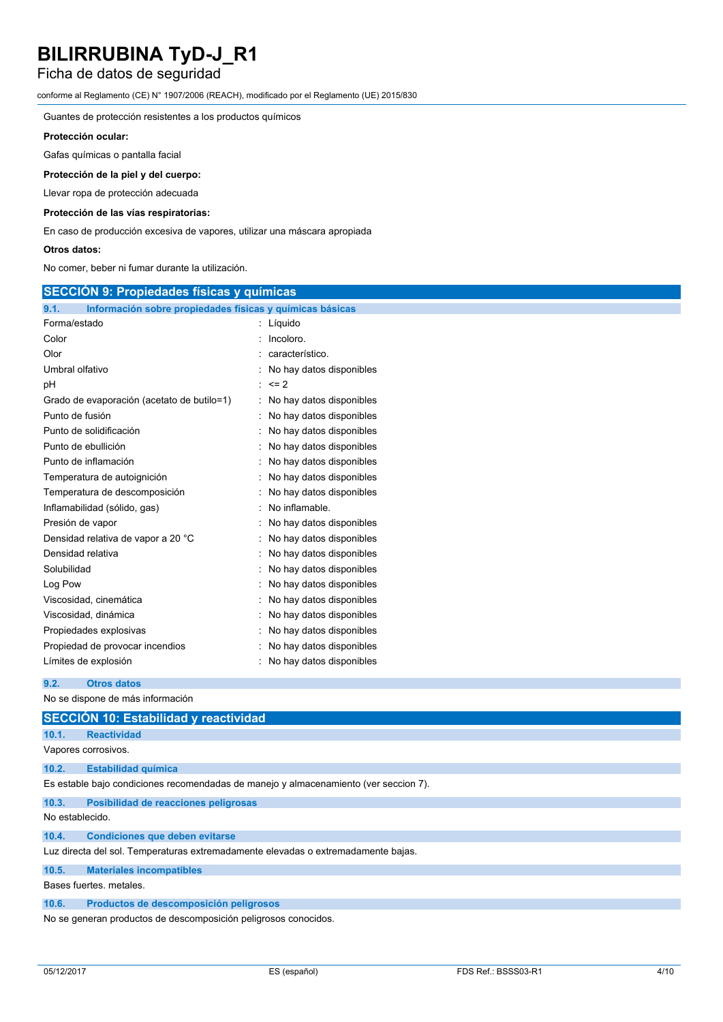## Ficha de datos de seguridad

conforme al Reglamento (CE) N° 1907/2006 (REACH), modificado por el Reglamento (UE) 2015/830

Guantes de protección resistentes a los productos químicos

#### **Protección ocular:**

Gafas químicas o pantalla facial

#### **Protección de la piel y del cuerpo:**

Llevar ropa de protección adecuada

#### **Protección de las vías respiratorias:**

En caso de producción excesiva de vapores, utilizar una máscara apropiada

#### **Otros datos:**

No comer, beber ni fumar durante la utilización.

| <b>SECCION 9: Propiedades físicas y químicas</b>         |  |  |
|----------------------------------------------------------|--|--|
| Información sobre propiedades físicas y químicas básicas |  |  |
| : Líquido                                                |  |  |
| Incoloro.                                                |  |  |
| característico.                                          |  |  |
| No hay datos disponibles                                 |  |  |
| $: z = 2$                                                |  |  |
| No hay datos disponibles                                 |  |  |
| No hay datos disponibles                                 |  |  |
| No hay datos disponibles                                 |  |  |
| No hay datos disponibles                                 |  |  |
| No hay datos disponibles                                 |  |  |
| No hay datos disponibles                                 |  |  |
| No hay datos disponibles                                 |  |  |
| No inflamable.                                           |  |  |
| No hay datos disponibles                                 |  |  |
| No hay datos disponibles                                 |  |  |
| No hay datos disponibles                                 |  |  |
| No hay datos disponibles                                 |  |  |
| : No hay datos disponibles                               |  |  |
| : No hay datos disponibles                               |  |  |
| : No hay datos disponibles                               |  |  |
| : No hay datos disponibles                               |  |  |
| : No hay datos disponibles                               |  |  |
| : No hay datos disponibles                               |  |  |
|                                                          |  |  |

**9.2. Otros datos**

No se dispone de más información

|                                                                                   | SECCIÓN 10: Estabilidad y reactividad                                                |  |  |
|-----------------------------------------------------------------------------------|--------------------------------------------------------------------------------------|--|--|
| 10.1.                                                                             | <b>Reactividad</b>                                                                   |  |  |
|                                                                                   | Vapores corrosivos.                                                                  |  |  |
| 10.2.                                                                             | <b>Estabilidad química</b>                                                           |  |  |
|                                                                                   | Es estable bajo condiciones recomendadas de manejo y almacenamiento (ver seccion 7). |  |  |
| 10.3.                                                                             | Posibilidad de reacciones peligrosas                                                 |  |  |
| No establecido.                                                                   |                                                                                      |  |  |
| 10.4.                                                                             | <b>Condiciones que deben evitarse</b>                                                |  |  |
| Luz directa del sol. Temperaturas extremadamente elevadas o extremadamente bajas. |                                                                                      |  |  |
| 10.5.                                                                             | <b>Materiales incompatibles</b>                                                      |  |  |
| Bases fuertes, metales.                                                           |                                                                                      |  |  |
| 10.6.                                                                             | Productos de descomposición peligrosos                                               |  |  |
|                                                                                   | No se generan productos de descomposición peligrosos conocidos.                      |  |  |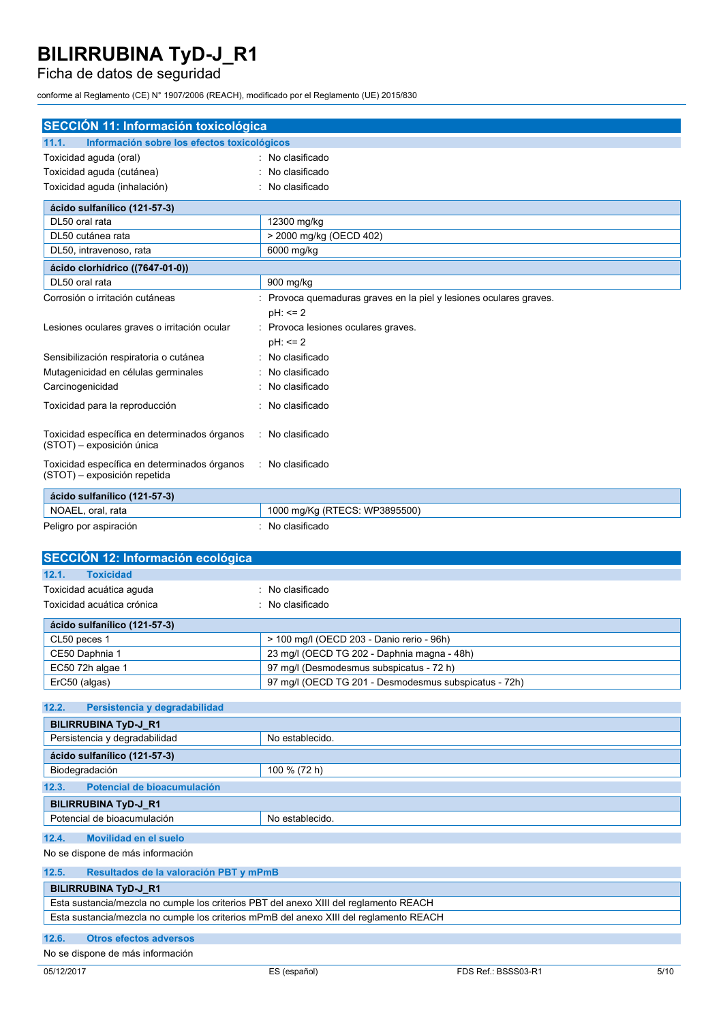## Ficha de datos de seguridad

conforme al Reglamento (CE) N° 1907/2006 (REACH), modificado por el Reglamento (UE) 2015/830

| <b>SECCIÓN 11: Información toxicológica</b>                                  |                                                                  |  |  |
|------------------------------------------------------------------------------|------------------------------------------------------------------|--|--|
| Información sobre los efectos toxicológicos<br>11.1.                         |                                                                  |  |  |
| Toxicidad aguda (oral)                                                       | : No clasificado                                                 |  |  |
| Toxicidad aguda (cutánea)                                                    | No clasificado                                                   |  |  |
| Toxicidad aguda (inhalación)                                                 | No clasificado                                                   |  |  |
| ácido sulfanílico (121-57-3)                                                 |                                                                  |  |  |
| DL50 oral rata                                                               | 12300 mg/kg                                                      |  |  |
| DL50 cutánea rata                                                            | > 2000 mg/kg (OECD 402)                                          |  |  |
| DL50, intravenoso, rata                                                      | 6000 mg/kg                                                       |  |  |
| ácido clorhídrico ((7647-01-0))                                              |                                                                  |  |  |
| DL50 oral rata                                                               | 900 mg/kg                                                        |  |  |
| Corrosión o irritación cutáneas                                              | Provoca quemaduras graves en la piel y lesiones oculares graves. |  |  |
|                                                                              | $pH: \leq 2$                                                     |  |  |
| Lesiones oculares graves o irritación ocular                                 | Provoca lesiones oculares graves.                                |  |  |
|                                                                              | pH: <= 2                                                         |  |  |
| Sensibilización respiratoria o cutánea                                       | No clasificado                                                   |  |  |
| Mutagenicidad en células germinales                                          | No clasificado                                                   |  |  |
| Carcinogenicidad                                                             | No clasificado                                                   |  |  |
| Toxicidad para la reproducción                                               | No clasificado                                                   |  |  |
| Toxicidad específica en determinados órganos<br>(STOT) - exposición única    | : No clasificado                                                 |  |  |
| Toxicidad específica en determinados órganos<br>(STOT) - exposición repetida | : No clasificado                                                 |  |  |
| ácido sulfanílico (121-57-3)                                                 |                                                                  |  |  |
| NOAEL, oral, rata                                                            | 1000 mg/Kg (RTECS: WP3895500)                                    |  |  |
| Peligro por aspiración                                                       | : No clasificado                                                 |  |  |
|                                                                              |                                                                  |  |  |
| SECCIÓN 12: Información ecológica                                            |                                                                  |  |  |
| 12.1.<br><b>Toxicidad</b>                                                    |                                                                  |  |  |
| Toxicidad acuática aguda                                                     | No clasificado                                                   |  |  |
| Toxicidad acuática crónica                                                   | No clasificado                                                   |  |  |
| ácido sulfanílico (121-57-3)                                                 |                                                                  |  |  |

| acido sulfanilico (121-57-3) |                                                       |
|------------------------------|-------------------------------------------------------|
| CL50 peces 1                 | > 100 mg/l (OECD 203 - Danio rerio - 96h)             |
| CE50 Daphnia 1               | 23 mg/l (OECD TG 202 - Daphnia magna - 48h)           |
| EC50 72h algae 1             | 97 mg/l (Desmodesmus subspicatus - 72 h)              |
| ErC50 (algas)                | 97 mg/l (OECD TG 201 - Desmodesmus subspicatus - 72h) |
|                              |                                                       |

| 12.2.<br>Persistencia y degradabilidad                                                 |                 |  |  |
|----------------------------------------------------------------------------------------|-----------------|--|--|
| <b>BILIRRUBINA TyD-J R1</b>                                                            |                 |  |  |
| Persistencia y degradabilidad                                                          | No establecido. |  |  |
| ácido sulfanílico (121-57-3)                                                           |                 |  |  |
| Biodegradación                                                                         | 100 % (72 h)    |  |  |
| Potencial de bioacumulación<br>12.3.                                                   |                 |  |  |
| <b>BILIRRUBINA TyD-J R1</b>                                                            |                 |  |  |
| Potencial de bioacumulación                                                            | No establecido. |  |  |
| 12.4.<br>Movilidad en el suelo                                                         |                 |  |  |
| No se dispone de más información                                                       |                 |  |  |
| 12.5.<br>Resultados de la valoración PBT y mPmB                                        |                 |  |  |
| <b>BILIRRUBINA TyD-J R1</b>                                                            |                 |  |  |
| Esta sustancia/mezcla no cumple los criterios PBT del anexo XIII del reglamento REACH  |                 |  |  |
| Esta sustancia/mezcla no cumple los criterios mPmB del anexo XIII del reglamento REACH |                 |  |  |

### **12.6. Otros efectos adversos**

No se dispone de más información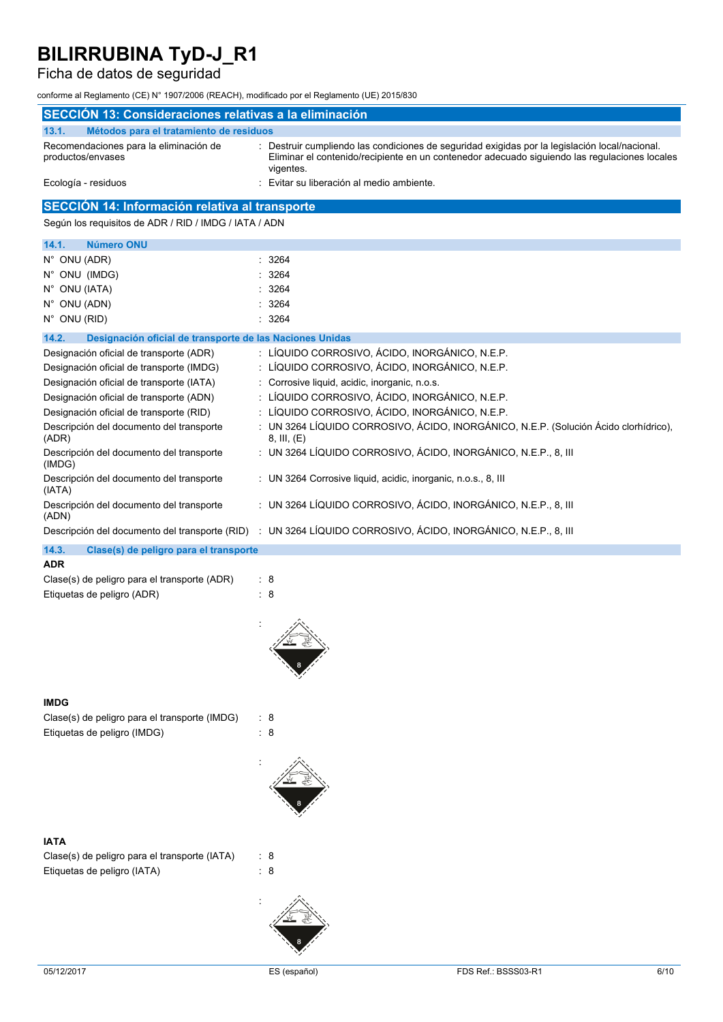## Ficha de datos de seguridad

conforme al Reglamento (CE) N° 1907/2006 (REACH), modificado por el Reglamento (UE) 2015/830

| SECCIÓN 13: Consideraciones relativas a la eliminación                            |                                                                                                                                                                                                              |
|-----------------------------------------------------------------------------------|--------------------------------------------------------------------------------------------------------------------------------------------------------------------------------------------------------------|
| 13.1.                                                                             |                                                                                                                                                                                                              |
| Métodos para el tratamiento de residuos<br>Recomendaciones para la eliminación de |                                                                                                                                                                                                              |
| productos/envases                                                                 | : Destruir cumpliendo las condiciones de seguridad exigidas por la legislación local/nacional.<br>Eliminar el contenido/recipiente en un contenedor adecuado siguiendo las regulaciones locales<br>vigentes. |
| Ecología - residuos                                                               | Evitar su liberación al medio ambiente.                                                                                                                                                                      |
| SECCIÓN 14: Información relativa al transporte                                    |                                                                                                                                                                                                              |
| Según los requisitos de ADR / RID / IMDG / IATA / ADN                             |                                                                                                                                                                                                              |
| <b>Número ONU</b><br>14.1.                                                        |                                                                                                                                                                                                              |
| N° ONU (ADR)                                                                      | 3264                                                                                                                                                                                                         |
| N° ONU (IMDG)                                                                     | 3264                                                                                                                                                                                                         |
| N° ONU (IATA)                                                                     | 3264                                                                                                                                                                                                         |
| N° ONU (ADN)                                                                      | 3264                                                                                                                                                                                                         |
| N° ONU (RID)                                                                      | : 3264                                                                                                                                                                                                       |
| 14.2.<br>Designación oficial de transporte de las Naciones Unidas                 |                                                                                                                                                                                                              |
| Designación oficial de transporte (ADR)                                           | : LÍQUIDO CORROSIVO, ÁCIDO, INORGÁNICO, N.E.P.                                                                                                                                                               |
| Designación oficial de transporte (IMDG)                                          | : LÍQUIDO CORROSIVO, ÁCIDO, INORGÁNICO, N.E.P.                                                                                                                                                               |
| Designación oficial de transporte (IATA)                                          | : Corrosive liquid, acidic, inorganic, n.o.s.                                                                                                                                                                |
| Designación oficial de transporte (ADN)                                           | : LÍQUIDO CORROSIVO, ÁCIDO, INORGÁNICO, N.E.P.                                                                                                                                                               |
| Designación oficial de transporte (RID)                                           | : LÍQUIDO CORROSIVO, ÁCIDO, INORGÁNICO, N.E.P.                                                                                                                                                               |
| Descripción del documento del transporte<br>(ADR)                                 | : UN 3264 LÍQUIDO CORROSIVO, ÁCIDO, INORGÁNICO, N.E.P. (Solución Ácido clorhídrico),<br>8, III, (E)                                                                                                          |
| Descripción del documento del transporte<br>(IMDG)                                | : UN 3264 LÍQUIDO CORROSIVO, ÁCIDO, INORGÁNICO, N.E.P., 8, III                                                                                                                                               |
| Descripción del documento del transporte<br>(IATA)                                | : UN 3264 Corrosive liquid, acidic, inorganic, n.o.s., 8, III                                                                                                                                                |
| Descripción del documento del transporte<br>(ADN)                                 | : UN 3264 LÍQUIDO CORROSIVO, ÁCIDO, INORGÁNICO, N.E.P., 8, III                                                                                                                                               |
|                                                                                   | Descripción del documento del transporte (RID) : UN 3264 LÍQUIDO CORROSIVO, ÁCIDO, INORGÁNICO, N.E.P., 8, III                                                                                                |
| 14.3.<br>Clase(s) de peligro para el transporte                                   |                                                                                                                                                                                                              |
| <b>ADR</b>                                                                        |                                                                                                                                                                                                              |
| Clase(s) de peligro para el transporte (ADR)                                      | : 8                                                                                                                                                                                                          |
| Etiquetas de peligro (ADR)                                                        | : 8                                                                                                                                                                                                          |
|                                                                                   |                                                                                                                                                                                                              |
| <b>IMDG</b>                                                                       |                                                                                                                                                                                                              |
| Clase(s) de peligro para el transporte (IMDG)                                     | : 8                                                                                                                                                                                                          |
| Etiquetas de peligro (IMDG)                                                       | $\therefore$ 8                                                                                                                                                                                               |
|                                                                                   |                                                                                                                                                                                                              |
|                                                                                   |                                                                                                                                                                                                              |
| <b>IATA</b>                                                                       |                                                                                                                                                                                                              |
| Clase(s) de peligro para el transporte (IATA)                                     | : 8                                                                                                                                                                                                          |
| Etiquetas de peligro (IATA)                                                       | $\therefore$ 8                                                                                                                                                                                               |
|                                                                                   |                                                                                                                                                                                                              |
|                                                                                   |                                                                                                                                                                                                              |

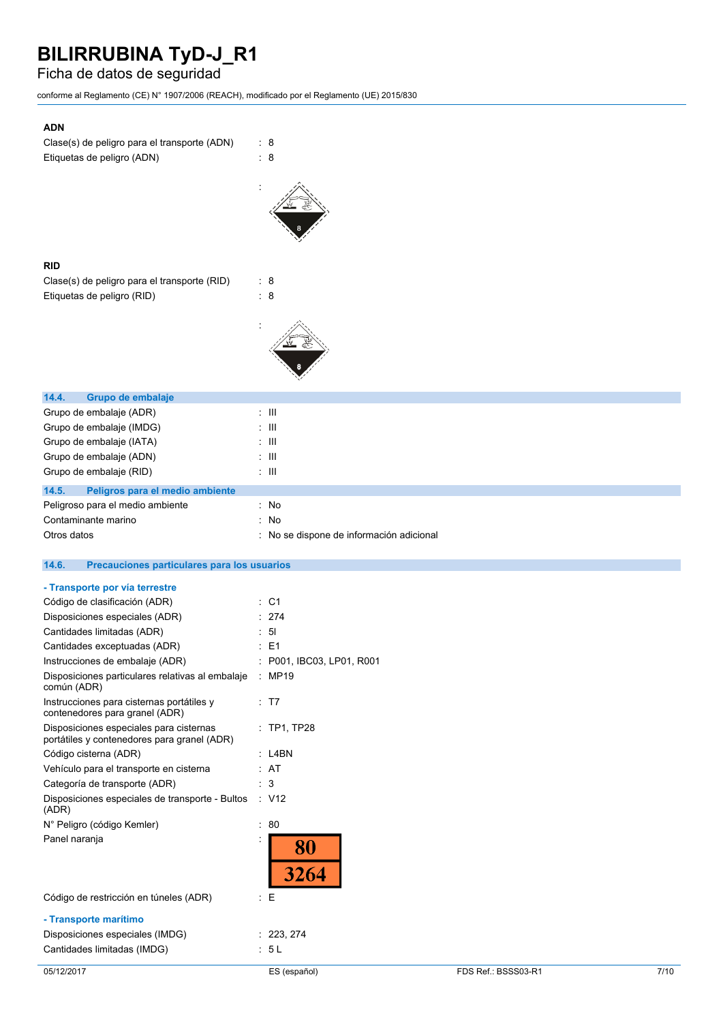### Ficha de datos de seguridad

conforme al Reglamento (CE) N° 1907/2006 (REACH), modificado por el Reglamento (UE) 2015/830

| <b>ADN</b>                                                      |                                            |
|-----------------------------------------------------------------|--------------------------------------------|
| Clase(s) de peligro para el transporte (ADN)                    | : 8                                        |
| Etiquetas de peligro (ADN)                                      | : 8                                        |
|                                                                 |                                            |
|                                                                 |                                            |
|                                                                 |                                            |
|                                                                 |                                            |
|                                                                 |                                            |
|                                                                 |                                            |
| <b>RID</b>                                                      |                                            |
|                                                                 |                                            |
| Clase(s) de peligro para el transporte (RID)                    | : 8                                        |
| Etiquetas de peligro (RID)                                      | : 8                                        |
|                                                                 |                                            |
|                                                                 |                                            |
|                                                                 |                                            |
|                                                                 |                                            |
|                                                                 |                                            |
| 14.4.<br>Grupo de embalaje                                      |                                            |
| Grupo de embalaje (ADR)                                         | $\pm$ 111                                  |
| Grupo de embalaje (IMDG)                                        | $\pm$ 111                                  |
| Grupo de embalaje (IATA)                                        | $\mathbb{Z}$ -III                          |
|                                                                 | : III                                      |
| Grupo de embalaje (ADN)                                         |                                            |
| Grupo de embalaje (RID)                                         | : III                                      |
| 14.5.<br>Peligros para el medio ambiente                        |                                            |
| Peligroso para el medio ambiente                                | : No                                       |
| Contaminante marino                                             | : No                                       |
| Otros datos                                                     | : No se dispone de información adicional   |
|                                                                 |                                            |
|                                                                 |                                            |
| 14.6.<br>Precauciones particulares para los usuarios            |                                            |
|                                                                 |                                            |
| - Transporte por vía terrestre                                  | $\therefore$ C1                            |
| Código de clasificación (ADR)                                   |                                            |
| Disposiciones especiales (ADR)                                  | : 274                                      |
| Cantidades limitadas (ADR)                                      | 5 <sub>l</sub>                             |
| Cantidades exceptuadas (ADR)<br>Instrucciones de embalaje (ADR) | $\therefore$ E1<br>P001, IBC03, LP01, R001 |
|                                                                 |                                            |
| Disposiciones particulares relativas al embalaje<br>común (ADR) | : MP19                                     |
| Instrucciones para cisternas portátiles y                       | : T7                                       |
| contenedores para granel (ADR)                                  |                                            |
| Disposiciones especiales para cisternas                         | : TP1, TP28                                |
| portátiles y contenedores para granel (ADR)                     |                                            |
| Código cisterna (ADR)                                           | $:$ L4BN                                   |
| Vehículo para el transporte en cisterna                         | : AT                                       |
| Categoría de transporte (ADR)                                   | : 3                                        |
| Disposiciones especiales de transporte - Bultos                 | $\therefore$ V12                           |
| (ADR)                                                           |                                            |
| N° Peligro (código Kemler)                                      | : 80                                       |
| Panel naranja                                                   |                                            |
|                                                                 | 80                                         |
|                                                                 | 3264                                       |
|                                                                 |                                            |
| Código de restricción en túneles (ADR)                          | $\mathbf{E}$                               |
| - Transporte marítimo                                           |                                            |
| Disposiciones especiales (IMDG)<br>Cantidades limitadas (IMDG)  | : 223, 274<br>: 5L                         |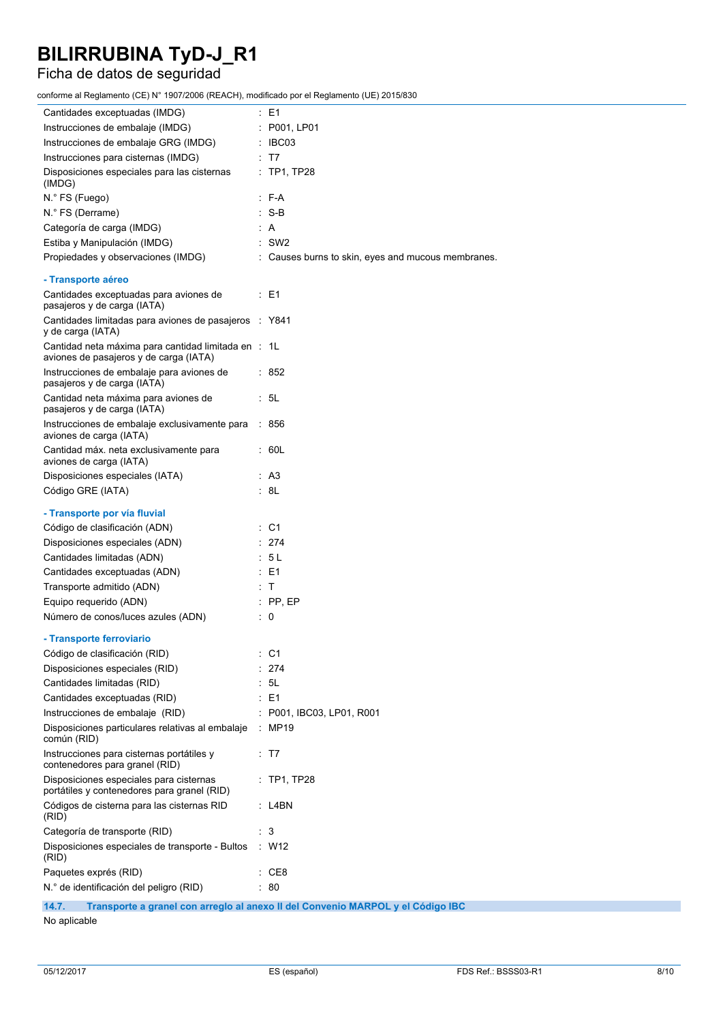### Ficha de datos de seguridad

conforme al Reglamento (CE) N° 1907/2006 (REACH), modificado por el Reglamento (UE) 2015/830

| Cantidades exceptuadas (IMDG)                                                                 | : E1                                                                            |
|-----------------------------------------------------------------------------------------------|---------------------------------------------------------------------------------|
| Instrucciones de embalaje (IMDG)                                                              | : P001, LP01                                                                    |
| Instrucciones de embalaje GRG (IMDG)                                                          | $\therefore$ IBC03                                                              |
| Instrucciones para cisternas (IMDG)                                                           | : T7                                                                            |
| Disposiciones especiales para las cisternas<br>(IMDG)                                         | : TP1, TP28                                                                     |
| N.º FS (Fuego)                                                                                | $: F-A$                                                                         |
| N.º FS (Derrame)                                                                              | $: S-B$                                                                         |
| Categoría de carga (IMDG)                                                                     | : A                                                                             |
| Estiba y Manipulación (IMDG)                                                                  | $:$ SW2                                                                         |
| Propiedades y observaciones (IMDG)                                                            | : Causes burns to skin, eyes and mucous membranes.                              |
| - Transporte aéreo                                                                            |                                                                                 |
| Cantidades exceptuadas para aviones de<br>pasajeros y de carga (IATA)                         | $\therefore$ E1                                                                 |
| Cantidades limitadas para aviones de pasajeros : Y841<br>y de carga (IATA)                    |                                                                                 |
| Cantidad neta máxima para cantidad limitada en : 1L<br>aviones de pasajeros y de carga (IATA) |                                                                                 |
| Instrucciones de embalaje para aviones de<br>pasajeros y de carga (IATA)                      | : 852                                                                           |
| Cantidad neta máxima para aviones de<br>pasajeros y de carga (IATA)                           | : 5L                                                                            |
| Instrucciones de embalaje exclusivamente para<br>aviones de carga (IATA)                      | : 856                                                                           |
| Cantidad máx. neta exclusivamente para<br>aviones de carga (IATA)                             | : 60L                                                                           |
| Disposiciones especiales (IATA)                                                               | : A3                                                                            |
| Código GRE (IATA)                                                                             | : 8L                                                                            |
| - Transporte por vía fluvial                                                                  |                                                                                 |
| Código de clasificación (ADN)                                                                 | $\therefore$ C1                                                                 |
| Disposiciones especiales (ADN)                                                                | : 274                                                                           |
| Cantidades limitadas (ADN)                                                                    | : 5 L                                                                           |
| Cantidades exceptuadas (ADN)                                                                  | $E = 1$                                                                         |
| Transporte admitido (ADN)                                                                     | : T                                                                             |
| Equipo requerido (ADN)                                                                        | $:$ PP, EP                                                                      |
| Número de conos/luces azules (ADN)                                                            | $\therefore$ 0                                                                  |
| - Transporte ferroviario                                                                      |                                                                                 |
| Código de clasificación (RID)                                                                 | : C1                                                                            |
| Disposiciones especiales (RID)                                                                | 274                                                                             |
| Cantidades limitadas (RID)                                                                    | 5L                                                                              |
| Cantidades exceptuadas (RID)                                                                  | $E = 1$                                                                         |
| Instrucciones de embalaje (RID)                                                               | P001, IBC03, LP01, R001                                                         |
| Disposiciones particulares relativas al embalaje<br>común (RID)                               | : MP19                                                                          |
| Instrucciones para cisternas portátiles y<br>contenedores para granel (RID)                   | : T7                                                                            |
| Disposiciones especiales para cisternas<br>portátiles y contenedores para granel (RID)        | $:$ TP1, TP28                                                                   |
| Códigos de cisterna para las cisternas RID<br>(RID)                                           | : L4BN                                                                          |
| Categoría de transporte (RID)                                                                 | : 3                                                                             |
| Disposiciones especiales de transporte - Bultos<br>(RID)                                      | : W12                                                                           |
| Paquetes exprés (RID)                                                                         | : CE8                                                                           |
| N.º de identificación del peligro (RID)                                                       | : 80                                                                            |
| 14.7.                                                                                         | Transporte a granel con arregio al anexo II del Convenio MARPOL y el Código IBC |

No aplicable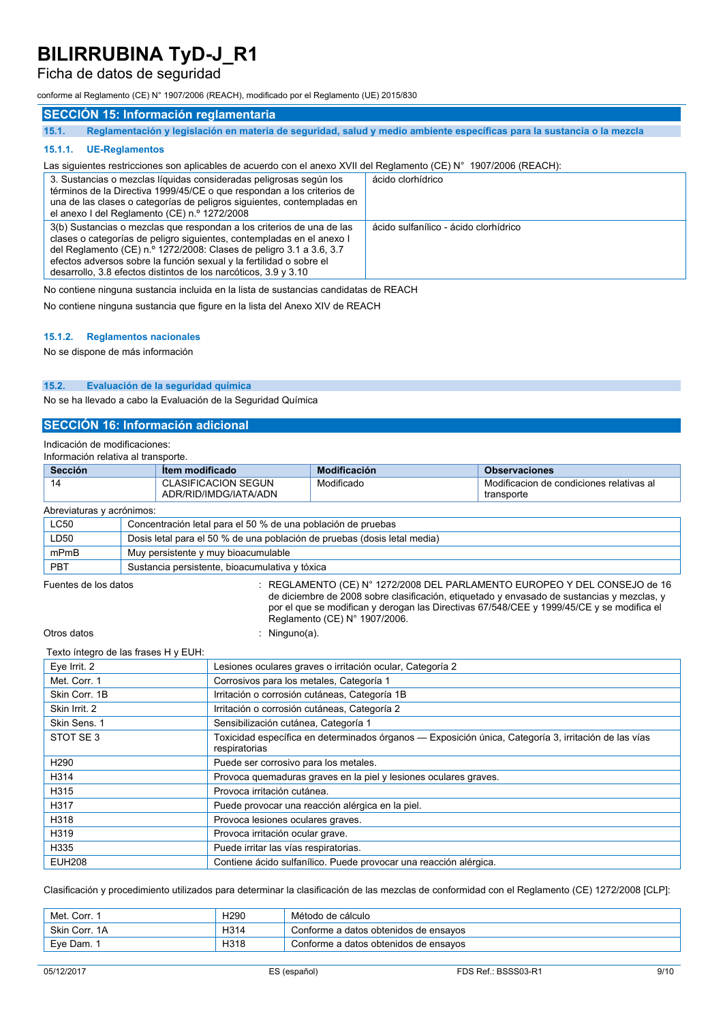### Ficha de datos de seguridad

conforme al Reglamento (CE) N° 1907/2006 (REACH), modificado por el Reglamento (UE) 2015/830

### **SECCIÓN 15: Información reglamentaria**

15.1. Reglamentación y legislación en materia de seguridad, salud y medio ambiente específicas para la sustancia o la mezcla

#### **15.1.1. UE-Reglamentos**

#### Las siguientes restricciones son aplicables de acuerdo con el anexo XVII del Reglamento (CE) N° 1907/2006 (REACH):

| 3. Sustancias o mezclas líquidas consideradas peligrosas según los<br>términos de la Directiva 1999/45/CE o que respondan a los criterios de<br>una de las clases o categorías de peligros siguientes, contempladas en<br>el anexo I del Reglamento (CE) n.º 1272/2008                                                                                          | ácido clorhídrico                     |
|-----------------------------------------------------------------------------------------------------------------------------------------------------------------------------------------------------------------------------------------------------------------------------------------------------------------------------------------------------------------|---------------------------------------|
| 3(b) Sustancias o mezclas que respondan a los criterios de una de las<br>clases o categorías de peligro siguientes, contempladas en el anexo I<br>del Reglamento (CE) n.º 1272/2008: Clases de peligro 3.1 a 3.6, 3.7<br>efectos adversos sobre la función sexual y la fertilidad o sobre el<br>desarrollo, 3.8 efectos distintos de los narcóticos, 3.9 y 3.10 | ácido sulfanílico - ácido clorhídrico |

No contiene ninguna sustancia incluida en la lista de sustancias candidatas de REACH

No contiene ninguna sustancia que figure en la lista del Anexo XIV de REACH

#### **15.1.2. Reglamentos nacionales**

No se dispone de más información

#### **15.2. Evaluación de la seguridad química**

No se ha llevado a cabo la Evaluación de la Seguridad Química

#### **SECCIÓN 16: Información adicional**

Indicación de modificaciones:

| Información relativa al transporte. |                                                                          |                                                              |                               |                                                                                                                                                                                                                                                                          |
|-------------------------------------|--------------------------------------------------------------------------|--------------------------------------------------------------|-------------------------------|--------------------------------------------------------------------------------------------------------------------------------------------------------------------------------------------------------------------------------------------------------------------------|
| <b>Sección</b>                      |                                                                          | Item modificado                                              | <b>Modificación</b>           | <b>Observaciones</b>                                                                                                                                                                                                                                                     |
| 14                                  |                                                                          | <b>CLASIFICACION SEGUN</b><br>ADR/RID/IMDG/IATA/ADN          | Modificado                    | Modificacion de condiciones relativas al<br>transporte                                                                                                                                                                                                                   |
| Abreviaturas y acrónimos:           |                                                                          |                                                              |                               |                                                                                                                                                                                                                                                                          |
| <b>LC50</b>                         |                                                                          | Concentración letal para el 50 % de una población de pruebas |                               |                                                                                                                                                                                                                                                                          |
| LD50                                | Dosis letal para el 50 % de una población de pruebas (dosis letal media) |                                                              |                               |                                                                                                                                                                                                                                                                          |
| mPmB                                | Muy persistente y muy bioacumulable                                      |                                                              |                               |                                                                                                                                                                                                                                                                          |
| <b>PBT</b>                          |                                                                          | Sustancia persistente, bioacumulativa y tóxica               |                               |                                                                                                                                                                                                                                                                          |
| Fuentes de los datos                |                                                                          |                                                              | Reglamento (CE) N° 1907/2006. | $\pm$ REGLAMENTO (CE) N° 1272/2008 DEL PARLAMENTO EUROPEO Y DEL CONSEJO de 16<br>de diciembre de 2008 sobre clasificación, etiquetado y envasado de sustancias y mezclas, y<br>por el que se modifican y derogan las Directivas 67/548/CEE y 1999/45/CE y se modifica el |
| Otros datos                         |                                                                          | : Ninguno(a).                                                |                               |                                                                                                                                                                                                                                                                          |
|                                     |                                                                          |                                                              |                               |                                                                                                                                                                                                                                                                          |

#### Texto íntegro de las frases H y EUH:

| $0.10$ $1.10$ $1.00$ $1.00$ $1.00$ $1.00$ $1.00$ $1.00$ |                                                                                                                       |
|---------------------------------------------------------|-----------------------------------------------------------------------------------------------------------------------|
| Eye Irrit. 2                                            | Lesiones oculares graves o irritación ocular, Categoría 2                                                             |
| Met. Corr. 1                                            | Corrosivos para los metales, Categoría 1                                                                              |
| Skin Corr. 1B                                           | Irritación o corrosión cutáneas, Categoría 1B                                                                         |
| Skin Irrit. 2                                           | Irritación o corrosión cutáneas, Categoría 2                                                                          |
| Skin Sens. 1                                            | Sensibilización cutánea, Categoría 1                                                                                  |
| STOT SE3                                                | Toxicidad específica en determinados órganos — Exposición única. Categoría 3, irritación de las vías<br>respiratorias |
| H <sub>290</sub>                                        | Puede ser corrosivo para los metales.                                                                                 |
| H314                                                    | Provoca quemaduras graves en la piel y lesiones oculares graves.                                                      |
| H315                                                    | Provoca irritación cutánea.                                                                                           |
| H317                                                    | Puede provocar una reacción alérgica en la piel.                                                                      |
| H318                                                    | Provoca lesiones oculares graves.                                                                                     |
| H319                                                    | Provoca irritación ocular grave.                                                                                      |
| H335                                                    | Puede irritar las vías respiratorias.                                                                                 |
| <b>EUH208</b>                                           | Contiene ácido sulfanílico. Puede provocar una reacción alérgica.                                                     |

Clasificación y procedimiento utilizados para determinar la clasificación de las mezclas de conformidad con el Reglamento (CE) 1272/2008 [CLP]:

| Met. Corr.    | H <sub>290</sub> | Método de cálculo                     |
|---------------|------------------|---------------------------------------|
| Skin Corr. 1A | H314             | Conforme a datos obtenidos de ensayos |
| Eve Dam.      | H318             | Conforme a datos obtenidos de ensavos |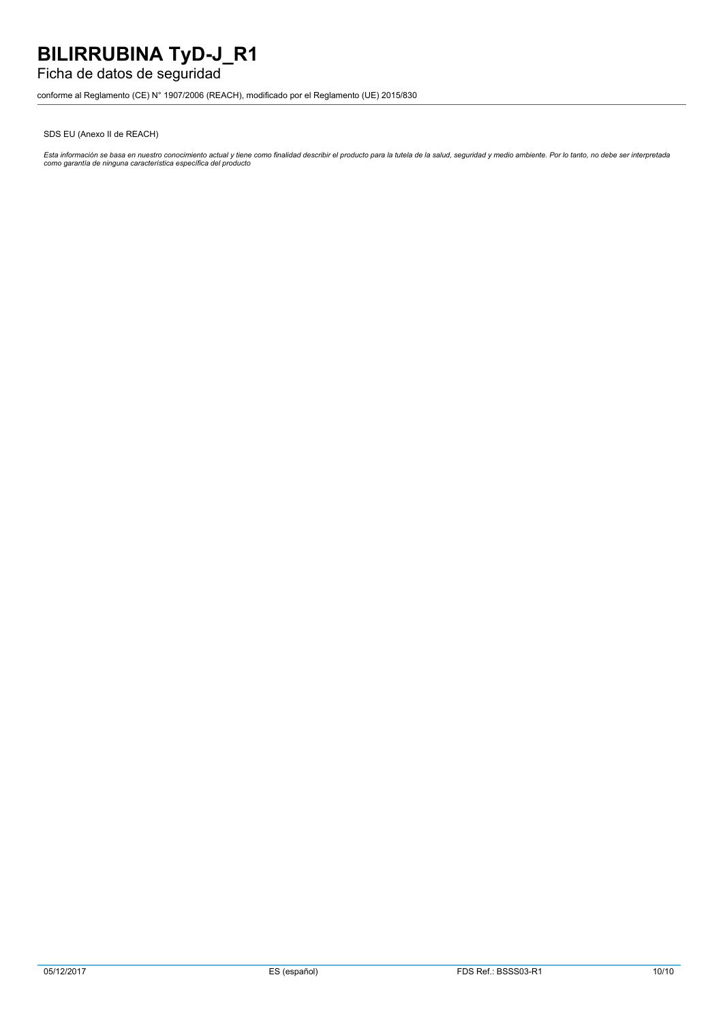### Ficha de datos de seguridad

conforme al Reglamento (CE) N° 1907/2006 (REACH), modificado por el Reglamento (UE) 2015/830

SDS EU (Anexo II de REACH)

Esta información se basa en nuestro conocimiento actual y tiene como finalidad describir el producto para la tutela de la salud, seguridad y medio ambiente. Por lo tanto, no debe ser interpretada<br>como garantía de ninguna c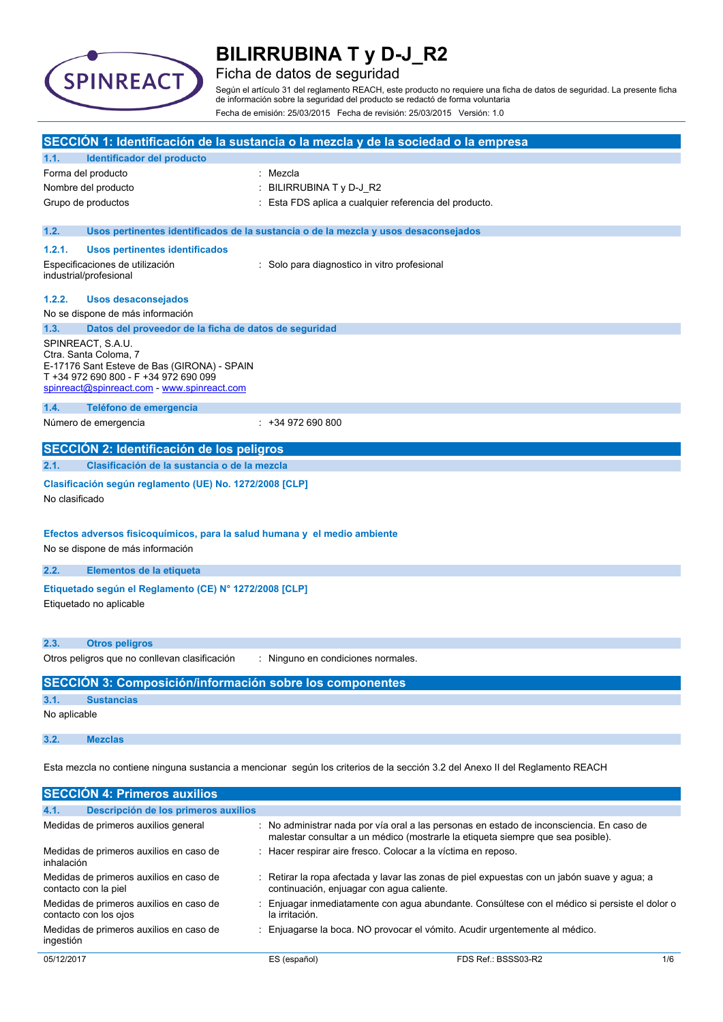

### Ficha de datos de seguridad

Según el artículo 31 del reglamento REACH, este producto no requiere una ficha de datos de seguridad. La presente ficha de información sobre la seguridad del producto se redactó de forma voluntaria Fecha de emisión: 25/03/2015 Fecha de revisión: 25/03/2015 Versión: 1.0

|                |                                                                                                                                                                                   | SECCIÓN 1: Identificación de la sustancia o la mezcla y de la sociedad o la empresa                                                                                         |
|----------------|-----------------------------------------------------------------------------------------------------------------------------------------------------------------------------------|-----------------------------------------------------------------------------------------------------------------------------------------------------------------------------|
| 1.1.           | Identificador del producto                                                                                                                                                        |                                                                                                                                                                             |
|                | Forma del producto                                                                                                                                                                | Mezcla                                                                                                                                                                      |
|                | Nombre del producto                                                                                                                                                               | BILIRRUBINA T y D-J_R2                                                                                                                                                      |
|                | Grupo de productos                                                                                                                                                                | Esta FDS aplica a cualquier referencia del producto.                                                                                                                        |
| 1.2.           |                                                                                                                                                                                   | Usos pertinentes identificados de la sustancia o de la mezcla y usos desaconsejados                                                                                         |
| 1.2.1.         | <b>Usos pertinentes identificados</b>                                                                                                                                             |                                                                                                                                                                             |
|                | Especificaciones de utilización<br>industrial/profesional                                                                                                                         | : Solo para diagnostico in vitro profesional                                                                                                                                |
| 1.2.2.         | <b>Usos desaconsejados</b>                                                                                                                                                        |                                                                                                                                                                             |
|                | No se dispone de más información                                                                                                                                                  |                                                                                                                                                                             |
| 1.3.           | Datos del proveedor de la ficha de datos de seguridad                                                                                                                             |                                                                                                                                                                             |
|                | SPINREACT, S.A.U.<br>Ctra. Santa Coloma, 7<br>E-17176 Sant Esteve de Bas (GIRONA) - SPAIN<br>T +34 972 690 800 - F +34 972 690 099<br>spinreact@spinreact.com - www.spinreact.com |                                                                                                                                                                             |
| 1.4.           | Teléfono de emergencia                                                                                                                                                            |                                                                                                                                                                             |
|                | Número de emergencia                                                                                                                                                              | $: +34972690800$                                                                                                                                                            |
|                | SECCIÓN 2: Identificación de los peligros                                                                                                                                         |                                                                                                                                                                             |
| 2.1.           | Clasificación de la sustancia o de la mezcla                                                                                                                                      |                                                                                                                                                                             |
|                |                                                                                                                                                                                   |                                                                                                                                                                             |
| No clasificado | Clasificación según reglamento (UE) No. 1272/2008 [CLP]                                                                                                                           |                                                                                                                                                                             |
|                | Efectos adversos fisicoquímicos, para la salud humana y el medio ambiente                                                                                                         |                                                                                                                                                                             |
|                | No se dispone de más información                                                                                                                                                  |                                                                                                                                                                             |
| 2.2.           | Elementos de la etiqueta                                                                                                                                                          |                                                                                                                                                                             |
|                | Etiquetado según el Reglamento (CE) Nº 1272/2008 [CLP]                                                                                                                            |                                                                                                                                                                             |
|                | Etiquetado no aplicable                                                                                                                                                           |                                                                                                                                                                             |
| 2.3.           | <b>Otros peligros</b>                                                                                                                                                             |                                                                                                                                                                             |
|                | Otros peligros que no conllevan clasificación                                                                                                                                     | : Ninguno en condiciones normales.                                                                                                                                          |
|                | <b>SECCIÓN 3: Composición/información sobre los componentes</b>                                                                                                                   |                                                                                                                                                                             |
| 3.1.           | <b>Sustancias</b>                                                                                                                                                                 |                                                                                                                                                                             |
| No aplicable   |                                                                                                                                                                                   |                                                                                                                                                                             |
| 3.2.           | <b>Mezclas</b>                                                                                                                                                                    |                                                                                                                                                                             |
|                |                                                                                                                                                                                   | Esta mezcla no contiene ninguna sustancia a mencionar según los criterios de la sección 3.2 del Anexo II del Reglamento REACH                                               |
|                | <b>SECCIÓN 4: Primeros auxilios</b>                                                                                                                                               |                                                                                                                                                                             |
| 4.1.           | Descripción de los primeros auxilios                                                                                                                                              |                                                                                                                                                                             |
|                | Medidas de primeros auxilios general                                                                                                                                              | : No administrar nada por vía oral a las personas en estado de inconsciencia. En caso de<br>malestar consultar a un médico (mostrarle la etiqueta siempre que sea posible). |
| inhalación     | Medidas de primeros auxilios en caso de                                                                                                                                           | : Hacer respirar aire fresco. Colocar a la víctima en reposo.                                                                                                               |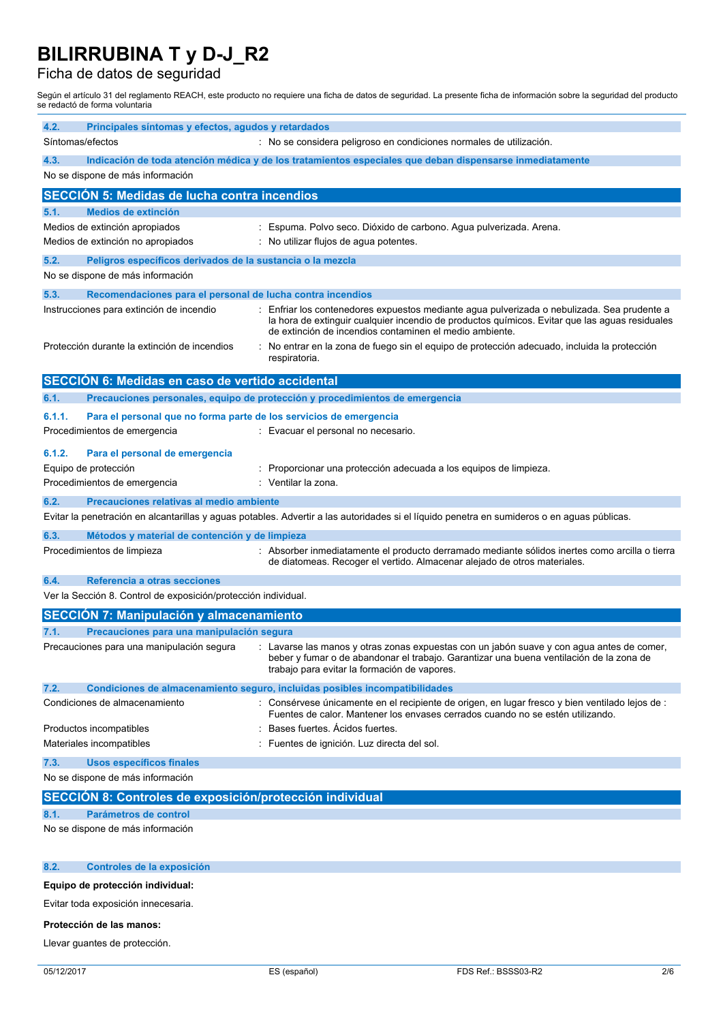### Ficha de datos de seguridad

Según el artículo 31 del reglamento REACH, este producto no requiere una ficha de datos de seguridad. La presente ficha de información sobre la seguridad del producto se redactó de forma voluntaria

| 4.2.<br>Principales síntomas y efectos, agudos y retardados                                                      |                                                                                                                                                                                                                                                          |  |  |
|------------------------------------------------------------------------------------------------------------------|----------------------------------------------------------------------------------------------------------------------------------------------------------------------------------------------------------------------------------------------------------|--|--|
| Síntomas/efectos                                                                                                 | : No se considera peligroso en condiciones normales de utilización.                                                                                                                                                                                      |  |  |
| 4.3.<br>Indicación de toda atención médica y de los tratamientos especiales que deban dispensarse inmediatamente |                                                                                                                                                                                                                                                          |  |  |
| No se dispone de más información                                                                                 |                                                                                                                                                                                                                                                          |  |  |
| <b>SECCIÓN 5: Medidas de lucha contra incendios</b>                                                              |                                                                                                                                                                                                                                                          |  |  |
| Medios de extinción<br>5.1.                                                                                      |                                                                                                                                                                                                                                                          |  |  |
| Medios de extinción apropiados<br>Medios de extinción no apropiados                                              | : Espuma. Polvo seco. Dióxido de carbono. Agua pulverizada. Arena.<br>: No utilizar flujos de aqua potentes.                                                                                                                                             |  |  |
|                                                                                                                  |                                                                                                                                                                                                                                                          |  |  |
| 5.2.<br>Peligros específicos derivados de la sustancia o la mezcla<br>No se dispone de más información           |                                                                                                                                                                                                                                                          |  |  |
| 5.3.<br>Recomendaciones para el personal de lucha contra incendios                                               |                                                                                                                                                                                                                                                          |  |  |
| Instrucciones para extinción de incendio                                                                         | : Enfriar los contenedores expuestos mediante agua pulverizada o nebulizada. Sea prudente a<br>la hora de extinguir cualquier incendio de productos químicos. Evitar que las aguas residuales<br>de extinción de incendios contaminen el medio ambiente. |  |  |
| Protección durante la extinción de incendios                                                                     | : No entrar en la zona de fuego sin el equipo de protección adecuado, incluida la protección<br>respiratoria.                                                                                                                                            |  |  |
| SECCIÓN 6: Medidas en caso de vertido accidental                                                                 |                                                                                                                                                                                                                                                          |  |  |
| 6.1.                                                                                                             | Precauciones personales, equipo de protección y procedimientos de emergencia                                                                                                                                                                             |  |  |
| 6.1.1.<br>Para el personal que no forma parte de los servicios de emergencia                                     |                                                                                                                                                                                                                                                          |  |  |
| Procedimientos de emergencia                                                                                     | : Evacuar el personal no necesario.                                                                                                                                                                                                                      |  |  |
| 6.1.2.<br>Para el personal de emergencia                                                                         |                                                                                                                                                                                                                                                          |  |  |
| Equipo de protección                                                                                             | : Proporcionar una protección adecuada a los equipos de limpieza.                                                                                                                                                                                        |  |  |
| Procedimientos de emergencia                                                                                     | : Ventilar la zona.                                                                                                                                                                                                                                      |  |  |
| 6.2.<br>Precauciones relativas al medio ambiente                                                                 | Evitar la penetración en alcantarillas y aguas potables. Advertir a las autoridades si el líquido penetra en sumideros o en aguas públicas.                                                                                                              |  |  |
| 6.3.<br>Métodos y material de contención y de limpieza                                                           |                                                                                                                                                                                                                                                          |  |  |
| Procedimientos de limpieza                                                                                       | : Absorber inmediatamente el producto derramado mediante sólidos inertes como arcilla o tierra<br>de diatomeas. Recoger el vertido. Almacenar alejado de otros materiales.                                                                               |  |  |
| 6.4.<br>Referencia a otras secciones                                                                             |                                                                                                                                                                                                                                                          |  |  |
| Ver la Sección 8. Control de exposición/protección individual.                                                   |                                                                                                                                                                                                                                                          |  |  |
| <b>SECCIÓN 7: Manipulación y almacenamiento</b>                                                                  |                                                                                                                                                                                                                                                          |  |  |
| 7.1.<br>Precauciones para una manipulación segura                                                                |                                                                                                                                                                                                                                                          |  |  |
| Precauciones para una manipulación segura                                                                        | : Lavarse las manos y otras zonas expuestas con un jabón suave y con agua antes de comer,<br>beber y fumar o de abandonar el trabajo. Garantizar una buena ventilación de la zona de<br>trabajo para evitar la formación de vapores.                     |  |  |
| 7.2.                                                                                                             | Condiciones de almacenamiento seguro, incluidas posibles incompatibilidades                                                                                                                                                                              |  |  |
| Condiciones de almacenamiento                                                                                    | : Consérvese únicamente en el recipiente de origen, en lugar fresco y bien ventilado lejos de :<br>Fuentes de calor. Mantener los envases cerrados cuando no se estén utilizando.                                                                        |  |  |
| Productos incompatibles                                                                                          | Bases fuertes. Acidos fuertes.                                                                                                                                                                                                                           |  |  |
| Materiales incompatibles                                                                                         | Fuentes de ignición. Luz directa del sol.                                                                                                                                                                                                                |  |  |
| <b>Usos específicos finales</b><br>7.3.<br>No se dispone de más información                                      |                                                                                                                                                                                                                                                          |  |  |
|                                                                                                                  |                                                                                                                                                                                                                                                          |  |  |
| SECCIÓN 8: Controles de exposición/protección individual                                                         |                                                                                                                                                                                                                                                          |  |  |
| 8.1.<br><b>Parámetros de control</b><br>No se dispone de más información                                         |                                                                                                                                                                                                                                                          |  |  |
|                                                                                                                  |                                                                                                                                                                                                                                                          |  |  |
| 8.2.<br>Controles de la exposición                                                                               |                                                                                                                                                                                                                                                          |  |  |
| Equipo de protección individual:                                                                                 |                                                                                                                                                                                                                                                          |  |  |

Evitar toda exposición innecesaria.

#### **Protección de las manos:**

Llevar guantes de protección.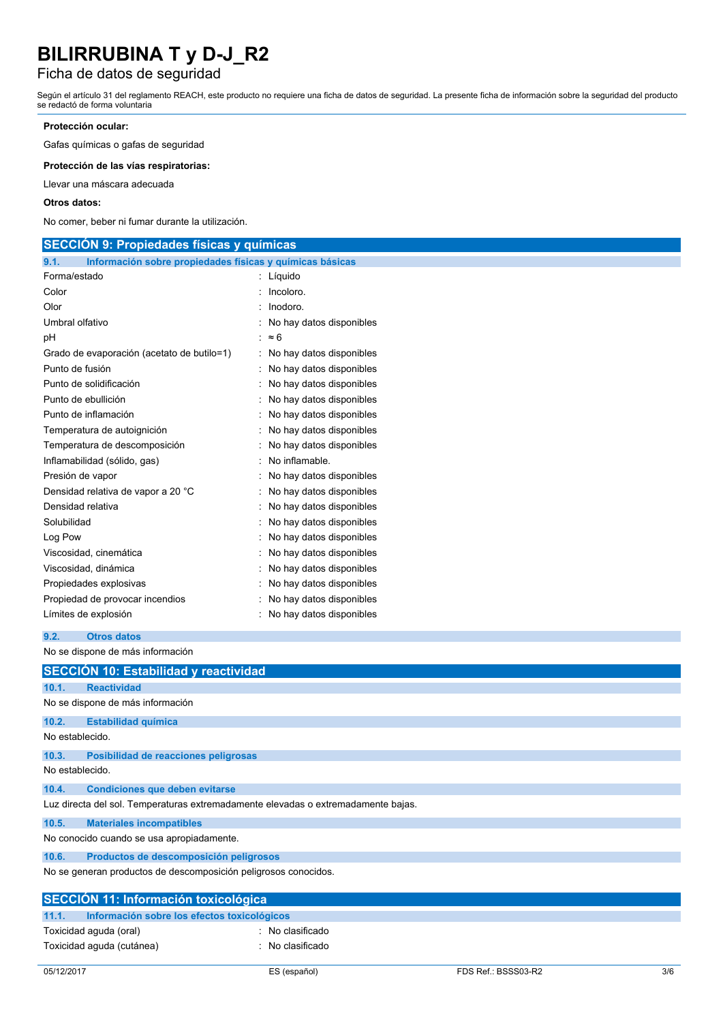### Ficha de datos de seguridad

Según el artículo 31 del reglamento REACH, este producto no requiere una ficha de datos de seguridad. La presente ficha de información sobre la seguridad del producto se redactó de forma voluntaria

#### **Protección ocular:**

Gafas químicas o gafas de seguridad

**Protección de las vías respiratorias:**

Llevar una máscara adecuada

#### **Otros datos:**

No comer, beber ni fumar durante la utilización.

| <b>SECCION 9: Propiedades físicas y químicas</b>                 |                            |  |
|------------------------------------------------------------------|----------------------------|--|
| Información sobre propiedades físicas y químicas básicas<br>9.1. |                            |  |
| Forma/estado                                                     | : Líquido                  |  |
| Color                                                            | Incoloro.                  |  |
| Olor                                                             | Inodoro.                   |  |
| Umbral olfativo                                                  | : No hay datos disponibles |  |
| рH                                                               | : $\approx 6$              |  |
| Grado de evaporación (acetato de butilo=1)                       | : No hay datos disponibles |  |
| Punto de fusión                                                  | : No hay datos disponibles |  |
| Punto de solidificación                                          | No hay datos disponibles   |  |
| Punto de ebullición                                              | No hay datos disponibles   |  |
| Punto de inflamación                                             | No hay datos disponibles   |  |
| Temperatura de autoignición                                      | No hay datos disponibles   |  |
| Temperatura de descomposición                                    | No hay datos disponibles   |  |
| Inflamabilidad (sólido, gas)                                     | No inflamable.             |  |
| Presión de vapor                                                 | No hay datos disponibles   |  |
| Densidad relativa de vapor a 20 °C                               | No hay datos disponibles   |  |
| Densidad relativa                                                | No hay datos disponibles   |  |
| Solubilidad                                                      | No hay datos disponibles   |  |
| Log Pow                                                          | No hay datos disponibles   |  |
| Viscosidad, cinemática                                           | No hay datos disponibles   |  |
| Viscosidad, dinámica                                             | No hay datos disponibles   |  |
| Propiedades explosivas                                           | No hay datos disponibles   |  |
| Propiedad de provocar incendios                                  | No hay datos disponibles   |  |
| Límites de explosión                                             | No hay datos disponibles   |  |
|                                                                  |                            |  |

```
9.2. Otros datos
```
No se dispone de más información

| SECCIÓN 10: Estabilidad y reactividad                                             |                                               |  |  |  |
|-----------------------------------------------------------------------------------|-----------------------------------------------|--|--|--|
| 10.1.                                                                             | <b>Reactividad</b>                            |  |  |  |
|                                                                                   | No se dispone de más información              |  |  |  |
| 10.2.                                                                             | <b>Estabilidad química</b>                    |  |  |  |
|                                                                                   | No establecido.                               |  |  |  |
| 10.3.                                                                             | Posibilidad de reacciones peligrosas          |  |  |  |
| No establecido.                                                                   |                                               |  |  |  |
| 10.4.                                                                             | <b>Condiciones que deben evitarse</b>         |  |  |  |
| Luz directa del sol. Temperaturas extremadamente elevadas o extremadamente bajas. |                                               |  |  |  |
| 10.5.                                                                             | <b>Materiales incompatibles</b>               |  |  |  |
| No conocido cuando se usa apropiadamente.                                         |                                               |  |  |  |
| 10.6.                                                                             | Productos de descomposición peligrosos        |  |  |  |
| No se generan productos de descomposición peligrosos conocidos.                   |                                               |  |  |  |
| SECCIÓN 11: Información toxicológica                                              |                                               |  |  |  |
| 11.1.                                                                             | Información sobre los efectos toxicológicos   |  |  |  |
|                                                                                   | : No clasificado<br>Toxicidad aguda (oral)    |  |  |  |
|                                                                                   | Toxicidad aguda (cutánea)<br>: No clasificado |  |  |  |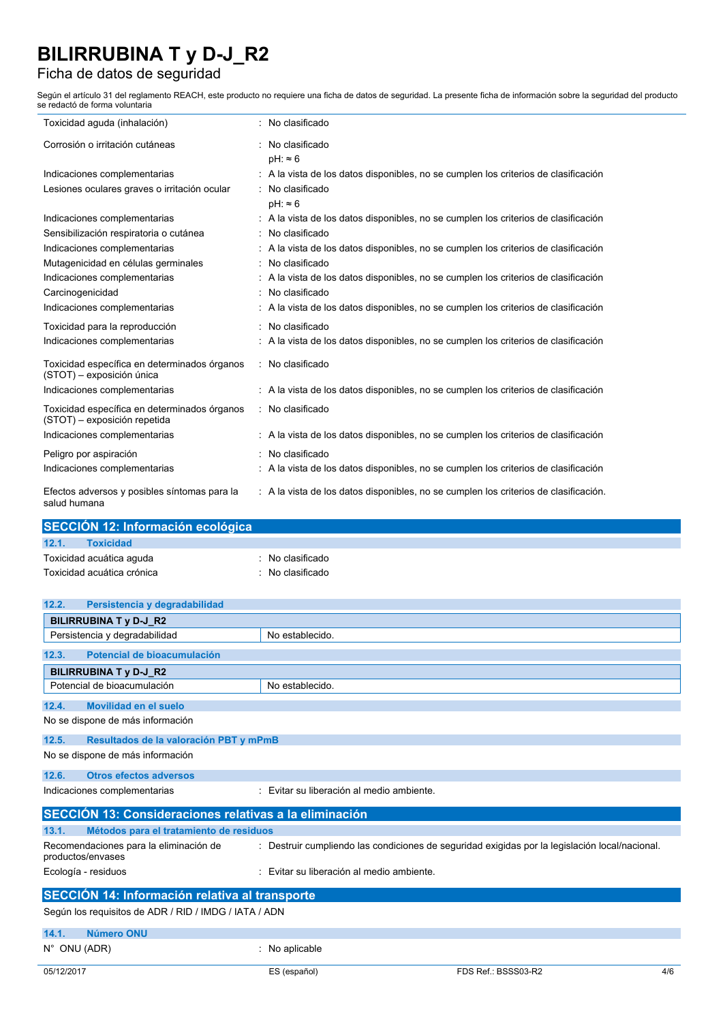## Ficha de datos de seguridad

Según el artículo 31 del reglamento REACH, este producto no requiere una ficha de datos de seguridad. La presente ficha de información sobre la seguridad del producto se redactó de forma voluntaria

| Toxicidad aguda (inhalación)                                                 | : No clasificado                                                                     |
|------------------------------------------------------------------------------|--------------------------------------------------------------------------------------|
| Corrosión o irritación cutáneas                                              | : No clasificado<br>$pH: \approx 6$                                                  |
| Indicaciones complementarias                                                 | : A la vista de los datos disponibles, no se cumplen los criterios de clasificación  |
| Lesiones oculares graves o irritación ocular                                 | : No clasificado<br>$pH: \approx 6$                                                  |
| Indicaciones complementarias                                                 | : A la vista de los datos disponibles, no se cumplen los criterios de clasificación  |
| Sensibilización respiratoria o cutánea                                       | : No clasificado                                                                     |
| Indicaciones complementarias                                                 | : A la vista de los datos disponibles, no se cumplen los criterios de clasificación  |
| Mutagenicidad en células germinales                                          | : No clasificado                                                                     |
| Indicaciones complementarias                                                 | : A la vista de los datos disponibles, no se cumplen los criterios de clasificación  |
| Carcinogenicidad                                                             | No clasificado                                                                       |
| Indicaciones complementarias                                                 | : A la vista de los datos disponibles, no se cumplen los criterios de clasificación  |
| Toxicidad para la reproducción                                               | : No clasificado                                                                     |
| Indicaciones complementarias                                                 | : A la vista de los datos disponibles, no se cumplen los criterios de clasificación  |
| Toxicidad específica en determinados órganos<br>(STOT) - exposición única    | : No clasificado                                                                     |
| Indicaciones complementarias                                                 | : A la vista de los datos disponibles, no se cumplen los criterios de clasificación  |
| Toxicidad específica en determinados órganos<br>(STOT) - exposición repetida | : No clasificado                                                                     |
| Indicaciones complementarias                                                 | : A la vista de los datos disponibles, no se cumplen los criterios de clasificación  |
| Peligro por aspiración                                                       | : No clasificado                                                                     |
| Indicaciones complementarias                                                 | : A la vista de los datos disponibles, no se cumplen los criterios de clasificación  |
| Efectos adversos y posibles síntomas para la<br>salud humana                 | : A la vista de los datos disponibles, no se cumplen los criterios de clasificación. |

| : No clasificado |
|------------------|
| : No clasificado |
|                  |

| 12.2.<br>Persistencia y degradabilidad                                    |                                                                                                |  |  |  |
|---------------------------------------------------------------------------|------------------------------------------------------------------------------------------------|--|--|--|
| <b>BILIRRUBINA T y D-J R2</b>                                             |                                                                                                |  |  |  |
| Persistencia y degradabilidad                                             | No establecido.                                                                                |  |  |  |
| Potencial de bioacumulación<br>12.3.                                      |                                                                                                |  |  |  |
| <b>BILIRRUBINA T y D-J R2</b>                                             |                                                                                                |  |  |  |
| Potencial de bioacumulación                                               | No establecido.                                                                                |  |  |  |
| Movilidad en el suelo<br>12.4.                                            |                                                                                                |  |  |  |
| No se dispone de más información                                          |                                                                                                |  |  |  |
| 12.5.<br>Resultados de la valoración PBT y mPmB                           |                                                                                                |  |  |  |
| No se dispone de más información                                          |                                                                                                |  |  |  |
| <b>Otros efectos adversos</b><br>12.6.                                    |                                                                                                |  |  |  |
| : Evitar su liberación al medio ambiente.<br>Indicaciones complementarias |                                                                                                |  |  |  |
| SECCIÓN 13: Consideraciones relativas a la eliminación                    |                                                                                                |  |  |  |
| 13.1.<br>Métodos para el tratamiento de residuos                          |                                                                                                |  |  |  |
| Recomendaciones para la eliminación de<br>productos/envases               | : Destruir cumpliendo las condiciones de seguridad exigidas por la legislación local/nacional. |  |  |  |
| Ecología - residuos                                                       | Evitar su liberación al medio ambiente.                                                        |  |  |  |
| <b>SECCIÓN 14: Información relativa al transporte</b>                     |                                                                                                |  |  |  |
| Según los reguisitos de ADR / RID / IMDG / IATA / ADN                     |                                                                                                |  |  |  |
| Número ONU<br>14.1.                                                       |                                                                                                |  |  |  |
| N° ONU (ADR)                                                              | : No aplicable                                                                                 |  |  |  |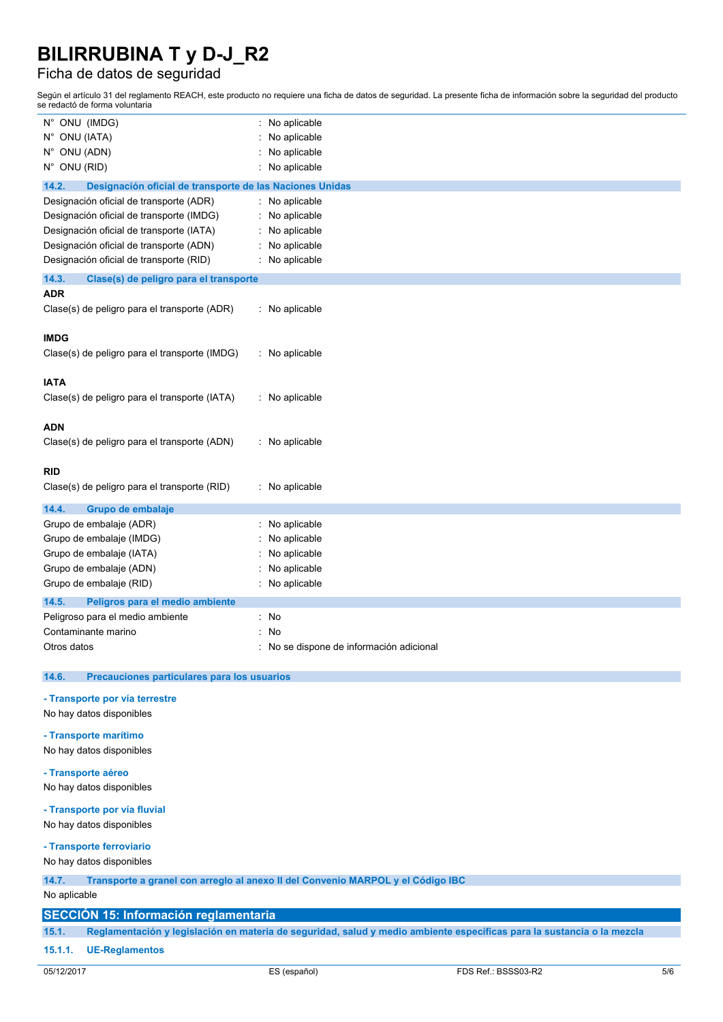### Ficha de datos de seguridad

Según el artículo 31 del reglamento REACH, este producto no requiere una ficha de datos de seguridad. La presente ficha de información sobre la seguridad del producto se redactó de forma voluntaria

| N° ONU (IMDG)                                                                      | No aplicable<br>t.                     |  |  |
|------------------------------------------------------------------------------------|----------------------------------------|--|--|
| N° ONU (IATA)                                                                      | No aplicable                           |  |  |
| N° ONU (ADN)                                                                       | No aplicable                           |  |  |
| N° ONU (RID)                                                                       | No aplicable                           |  |  |
| 14.2.<br>Designación oficial de transporte de las Naciones Unidas                  |                                        |  |  |
| Designación oficial de transporte (ADR)                                            | No aplicable                           |  |  |
| Designación oficial de transporte (IMDG)                                           | No aplicable                           |  |  |
| Designación oficial de transporte (IATA)                                           | No aplicable                           |  |  |
|                                                                                    |                                        |  |  |
| Designación oficial de transporte (ADN)<br>Designación oficial de transporte (RID) | No aplicable<br>No aplicable           |  |  |
|                                                                                    |                                        |  |  |
| 14.3.<br>Clase(s) de peligro para el transporte                                    |                                        |  |  |
| <b>ADR</b>                                                                         |                                        |  |  |
| Clase(s) de peligro para el transporte (ADR)                                       | : No aplicable                         |  |  |
|                                                                                    |                                        |  |  |
| <b>IMDG</b>                                                                        |                                        |  |  |
| Clase(s) de peligro para el transporte (IMDG)                                      | : No aplicable                         |  |  |
|                                                                                    |                                        |  |  |
| <b>IATA</b>                                                                        |                                        |  |  |
| Clase(s) de peligro para el transporte (IATA)                                      | : No aplicable                         |  |  |
|                                                                                    |                                        |  |  |
| <b>ADN</b>                                                                         |                                        |  |  |
| Clase(s) de peligro para el transporte (ADN)                                       | : No aplicable                         |  |  |
|                                                                                    |                                        |  |  |
| <b>RID</b>                                                                         |                                        |  |  |
| Clase(s) de peligro para el transporte (RID)                                       | : No aplicable                         |  |  |
| 14.4.<br>Grupo de embalaje                                                         |                                        |  |  |
| Grupo de embalaje (ADR)                                                            | No aplicable                           |  |  |
| Grupo de embalaje (IMDG)                                                           | No aplicable                           |  |  |
| Grupo de embalaje (IATA)                                                           | No aplicable                           |  |  |
| Grupo de embalaje (ADN)                                                            | No aplicable                           |  |  |
| Grupo de embalaje (RID)                                                            | No aplicable                           |  |  |
| 14.5.<br>Peligros para el medio ambiente                                           |                                        |  |  |
| Peligroso para el medio ambiente                                                   | No<br>t.                               |  |  |
| Contaminante marino                                                                | No                                     |  |  |
| Otros datos                                                                        | No se dispone de información adicional |  |  |
|                                                                                    |                                        |  |  |
| 14.6.<br>Precauciones particulares para los usuarios                               |                                        |  |  |
|                                                                                    |                                        |  |  |
| - Transporte por vía terrestre                                                     |                                        |  |  |
| No hay datos disponibles                                                           |                                        |  |  |
| - Transporte marítimo                                                              |                                        |  |  |
| No hay datos disponibles                                                           |                                        |  |  |
|                                                                                    |                                        |  |  |
| - Transporte aéreo                                                                 |                                        |  |  |
| No hay datos disponibles                                                           |                                        |  |  |

#### **- Transporte por vía fluvial**

No hay datos disponibles

### **- Transporte ferroviario**

No hay datos disponibles

### **14.7. Transporte a granel con arreglo al anexo II del Convenio MARPOL y el Código IBC**

No aplicable

#### **SECCIÓN 15: Información reglamentaria**

15.1. Reglamentación y legislación en materia de seguridad, salud y medio ambiente específicas para la sustancia o la mezcla

#### **15.1.1. UE-Reglamentos**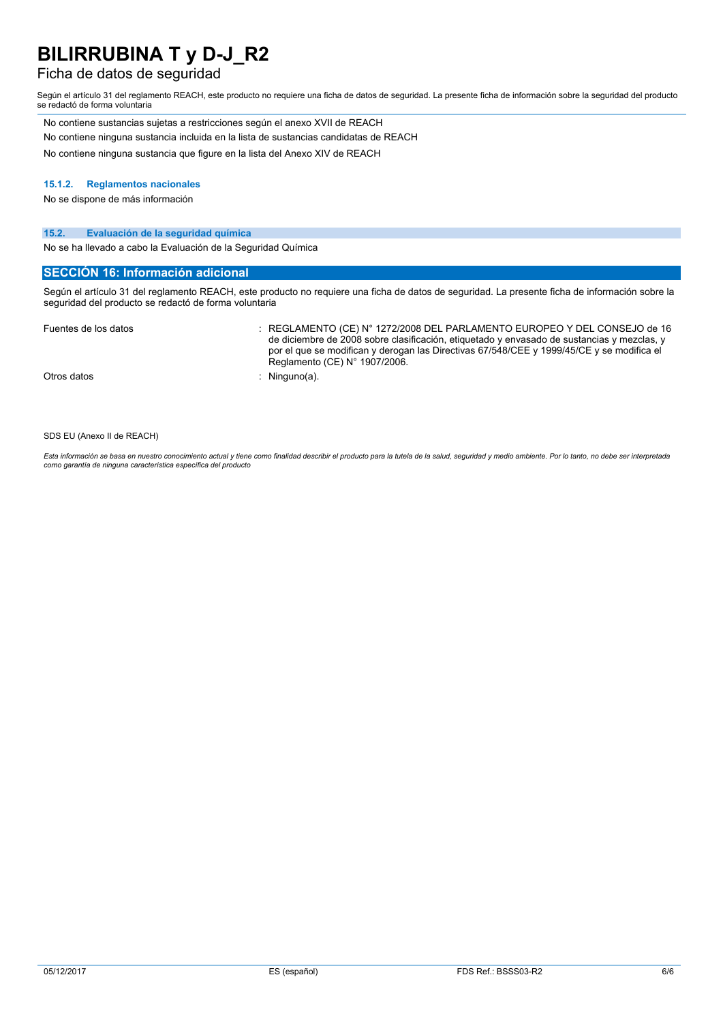### Ficha de datos de seguridad

Según el artículo 31 del reglamento REACH, este producto no requiere una ficha de datos de seguridad. La presente ficha de información sobre la seguridad del producto se redactó de forma voluntaria

| No contiene sustancias sujetas a restricciones según el anexo XVII de REACH          |
|--------------------------------------------------------------------------------------|
| No contiene ninguna sustancia incluida en la lista de sustancias candidatas de REACH |
| No contiene ninguna sustancia que figure en la lista del Anexo XIV de REACH          |

#### **15.1.2. Reglamentos nacionales**

No se dispone de más información

#### **15.2. Evaluación de la seguridad química**

No se ha llevado a cabo la Evaluación de la Seguridad Química

#### **SECCIÓN 16: Información adicional**

Según el artículo 31 del reglamento REACH, este producto no requiere una ficha de datos de seguridad. La presente ficha de información sobre la seguridad del producto se redactó de forma voluntaria

| Fuentes de los datos | REGLAMENTO (CE) N° 1272/2008 DEL PARLAMENTO EUROPEO Y DEL CONSEJO de 16<br>de diciembre de 2008 sobre clasificación, etiquetado y envasado de sustancias y mezclas, y<br>por el que se modifican y derogan las Directivas 67/548/CEE y 1999/45/CE y se modifica el<br>Reglamento (CE) N° 1907/2006. |
|----------------------|-----------------------------------------------------------------------------------------------------------------------------------------------------------------------------------------------------------------------------------------------------------------------------------------------------|
| Otros datos          | Ninguno(a).                                                                                                                                                                                                                                                                                         |

SDS EU (Anexo II de REACH)

Esta información se basa en nuestro conocimiento actual y tiene como finalidad describir el producto para la tutela de la salud, seguridad y medio ambiente. Por lo tanto, no debe ser interpretada *como garantía de ninguna característica específica del producto*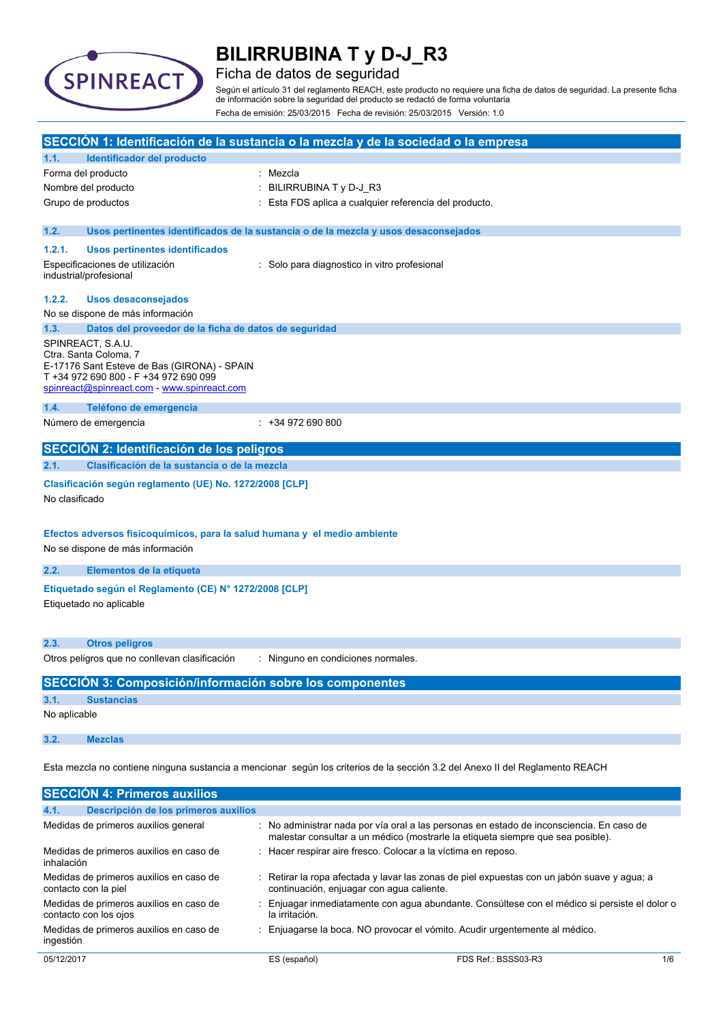

### Ficha de datos de seguridad

Según el artículo 31 del reglamento REACH, este producto no requiere una ficha de datos de seguridad. La presente ficha de información sobre la seguridad del producto se redactó de forma voluntaria Fecha de emisión: 25/03/2015 Fecha de revisión: 25/03/2015 Versión: 1.0

| SECCIÓN 1: Identificación de la sustancia o la mezcla y de la sociedad o la empresa                                           |                                                                                                                                                                                   |                                                                                                                                                                             |  |
|-------------------------------------------------------------------------------------------------------------------------------|-----------------------------------------------------------------------------------------------------------------------------------------------------------------------------------|-----------------------------------------------------------------------------------------------------------------------------------------------------------------------------|--|
| 1.1.                                                                                                                          | Identificador del producto                                                                                                                                                        |                                                                                                                                                                             |  |
|                                                                                                                               | Forma del producto                                                                                                                                                                | Mezcla                                                                                                                                                                      |  |
|                                                                                                                               | Nombre del producto                                                                                                                                                               | BILIRRUBINA T y D-J_R3                                                                                                                                                      |  |
|                                                                                                                               | Grupo de productos                                                                                                                                                                | Esta FDS aplica a cualquier referencia del producto.                                                                                                                        |  |
| 1.2.                                                                                                                          |                                                                                                                                                                                   | Usos pertinentes identificados de la sustancia o de la mezcla y usos desaconsejados                                                                                         |  |
| 1.2.1.                                                                                                                        | <b>Usos pertinentes identificados</b>                                                                                                                                             |                                                                                                                                                                             |  |
|                                                                                                                               | Especificaciones de utilización<br>industrial/profesional                                                                                                                         | : Solo para diagnostico in vitro profesional                                                                                                                                |  |
| 1.2.2.                                                                                                                        | <b>Usos desaconsejados</b>                                                                                                                                                        |                                                                                                                                                                             |  |
|                                                                                                                               | No se dispone de más información                                                                                                                                                  |                                                                                                                                                                             |  |
| 1.3.                                                                                                                          | Datos del proveedor de la ficha de datos de seguridad                                                                                                                             |                                                                                                                                                                             |  |
|                                                                                                                               | SPINREACT, S.A.U.<br>Ctra. Santa Coloma, 7<br>E-17176 Sant Esteve de Bas (GIRONA) - SPAIN<br>T +34 972 690 800 - F +34 972 690 099<br>spinreact@spinreact.com - www.spinreact.com |                                                                                                                                                                             |  |
| 1.4.                                                                                                                          | Teléfono de emergencia                                                                                                                                                            |                                                                                                                                                                             |  |
|                                                                                                                               | Número de emergencia                                                                                                                                                              | $: +34972690800$                                                                                                                                                            |  |
|                                                                                                                               | SECCIÓN 2: Identificación de los peligros                                                                                                                                         |                                                                                                                                                                             |  |
| 2.1.                                                                                                                          | Clasificación de la sustancia o de la mezcla                                                                                                                                      |                                                                                                                                                                             |  |
|                                                                                                                               |                                                                                                                                                                                   |                                                                                                                                                                             |  |
| No clasificado                                                                                                                | Clasificación según reglamento (UE) No. 1272/2008 [CLP]                                                                                                                           |                                                                                                                                                                             |  |
|                                                                                                                               | Efectos adversos fisicoquímicos, para la salud humana y el medio ambiente                                                                                                         |                                                                                                                                                                             |  |
|                                                                                                                               | No se dispone de más información                                                                                                                                                  |                                                                                                                                                                             |  |
|                                                                                                                               |                                                                                                                                                                                   |                                                                                                                                                                             |  |
| 2.2.                                                                                                                          | Elementos de la etiqueta                                                                                                                                                          |                                                                                                                                                                             |  |
| Etiquetado según el Reglamento (CE) Nº 1272/2008 [CLP]<br>Etiquetado no aplicable                                             |                                                                                                                                                                                   |                                                                                                                                                                             |  |
| 2.3.                                                                                                                          | <b>Otros peligros</b>                                                                                                                                                             |                                                                                                                                                                             |  |
|                                                                                                                               | Otros peligros que no conllevan clasificación                                                                                                                                     | : Ninguno en condiciones normales.                                                                                                                                          |  |
|                                                                                                                               | <b>SECCIÓN 3: Composición/información sobre los componentes</b>                                                                                                                   |                                                                                                                                                                             |  |
| 3.1.                                                                                                                          | <b>Sustancias</b>                                                                                                                                                                 |                                                                                                                                                                             |  |
| No aplicable                                                                                                                  |                                                                                                                                                                                   |                                                                                                                                                                             |  |
| 3.2.                                                                                                                          | <b>Mezclas</b>                                                                                                                                                                    |                                                                                                                                                                             |  |
| Esta mezcla no contiene ninguna sustancia a mencionar según los criterios de la sección 3.2 del Anexo II del Reglamento REACH |                                                                                                                                                                                   |                                                                                                                                                                             |  |
|                                                                                                                               | <b>SECCIÓN 4: Primeros auxilios</b>                                                                                                                                               |                                                                                                                                                                             |  |
| 4.1.                                                                                                                          | Descripción de los primeros auxilios                                                                                                                                              |                                                                                                                                                                             |  |
|                                                                                                                               | Medidas de primeros auxilios general                                                                                                                                              | : No administrar nada por vía oral a las personas en estado de inconsciencia. En caso de<br>malestar consultar a un médico (mostrarle la etiqueta siempre que sea posible). |  |
| inhalación                                                                                                                    | Medidas de primeros auxilios en caso de                                                                                                                                           | : Hacer respirar aire fresco. Colocar a la víctima en reposo.                                                                                                               |  |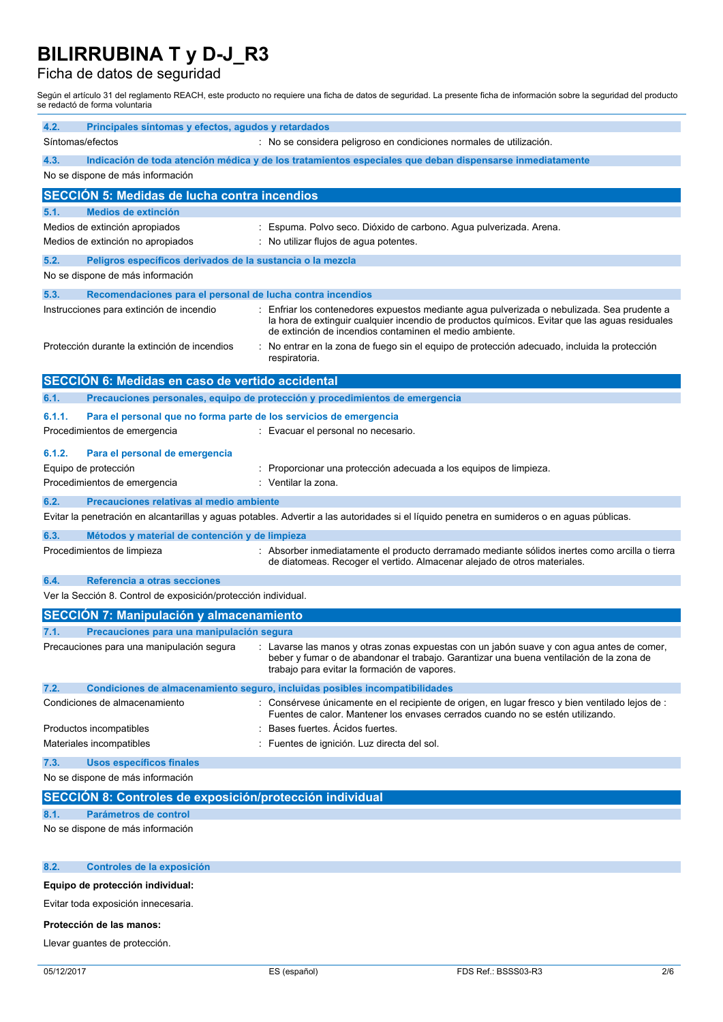### Ficha de datos de seguridad

Según el artículo 31 del reglamento REACH, este producto no requiere una ficha de datos de seguridad. La presente ficha de información sobre la seguridad del producto se redactó de forma voluntaria

| 4.2.<br>Principales síntomas y efectos, agudos y retardados                                            |                                                                                                                                                                                                                                                          |  |  |
|--------------------------------------------------------------------------------------------------------|----------------------------------------------------------------------------------------------------------------------------------------------------------------------------------------------------------------------------------------------------------|--|--|
| Síntomas/efectos                                                                                       | : No se considera peligroso en condiciones normales de utilización.                                                                                                                                                                                      |  |  |
| 4.3.                                                                                                   | Indicación de toda atención médica y de los tratamientos especiales que deban dispensarse inmediatamente                                                                                                                                                 |  |  |
| No se dispone de más información                                                                       |                                                                                                                                                                                                                                                          |  |  |
| <b>SECCIÓN 5: Medidas de lucha contra incendios</b>                                                    |                                                                                                                                                                                                                                                          |  |  |
| Medios de extinción<br>5.1.                                                                            |                                                                                                                                                                                                                                                          |  |  |
| Medios de extinción apropiados<br>Medios de extinción no apropiados                                    | : Espuma. Polvo seco. Dióxido de carbono. Agua pulverizada. Arena.<br>: No utilizar flujos de aqua potentes.                                                                                                                                             |  |  |
|                                                                                                        |                                                                                                                                                                                                                                                          |  |  |
| 5.2.<br>Peligros específicos derivados de la sustancia o la mezcla<br>No se dispone de más información |                                                                                                                                                                                                                                                          |  |  |
| 5.3.<br>Recomendaciones para el personal de lucha contra incendios                                     |                                                                                                                                                                                                                                                          |  |  |
| Instrucciones para extinción de incendio                                                               | : Enfriar los contenedores expuestos mediante agua pulverizada o nebulizada. Sea prudente a<br>la hora de extinguir cualquier incendio de productos químicos. Evitar que las aguas residuales<br>de extinción de incendios contaminen el medio ambiente. |  |  |
| Protección durante la extinción de incendios                                                           | : No entrar en la zona de fuego sin el equipo de protección adecuado, incluida la protección<br>respiratoria.                                                                                                                                            |  |  |
| SECCIÓN 6: Medidas en caso de vertido accidental                                                       |                                                                                                                                                                                                                                                          |  |  |
| 6.1.                                                                                                   | Precauciones personales, equipo de protección y procedimientos de emergencia                                                                                                                                                                             |  |  |
| 6.1.1.<br>Para el personal que no forma parte de los servicios de emergencia                           |                                                                                                                                                                                                                                                          |  |  |
| Procedimientos de emergencia                                                                           | : Evacuar el personal no necesario.                                                                                                                                                                                                                      |  |  |
| 6.1.2.<br>Para el personal de emergencia                                                               |                                                                                                                                                                                                                                                          |  |  |
| Equipo de protección                                                                                   | : Proporcionar una protección adecuada a los equipos de limpieza.                                                                                                                                                                                        |  |  |
| Procedimientos de emergencia                                                                           | : Ventilar la zona.                                                                                                                                                                                                                                      |  |  |
| 6.2.<br>Precauciones relativas al medio ambiente                                                       | Evitar la penetración en alcantarillas y aguas potables. Advertir a las autoridades si el líquido penetra en sumideros o en aguas públicas.                                                                                                              |  |  |
| 6.3.<br>Métodos y material de contención y de limpieza                                                 |                                                                                                                                                                                                                                                          |  |  |
| Procedimientos de limpieza                                                                             | : Absorber inmediatamente el producto derramado mediante sólidos inertes como arcilla o tierra<br>de diatomeas. Recoger el vertido. Almacenar alejado de otros materiales.                                                                               |  |  |
| 6.4.<br>Referencia a otras secciones                                                                   |                                                                                                                                                                                                                                                          |  |  |
| Ver la Sección 8. Control de exposición/protección individual.                                         |                                                                                                                                                                                                                                                          |  |  |
| <b>SECCIÓN 7: Manipulación y almacenamiento</b>                                                        |                                                                                                                                                                                                                                                          |  |  |
| 7.1.<br>Precauciones para una manipulación segura                                                      |                                                                                                                                                                                                                                                          |  |  |
| Precauciones para una manipulación segura                                                              | : Lavarse las manos y otras zonas expuestas con un jabón suave y con agua antes de comer,<br>beber y fumar o de abandonar el trabajo. Garantizar una buena ventilación de la zona de<br>trabajo para evitar la formación de vapores.                     |  |  |
| 7.2.                                                                                                   | Condiciones de almacenamiento seguro, incluidas posibles incompatibilidades                                                                                                                                                                              |  |  |
| Condiciones de almacenamiento                                                                          | : Consérvese únicamente en el recipiente de origen, en lugar fresco y bien ventilado lejos de :<br>Fuentes de calor. Mantener los envases cerrados cuando no se estén utilizando.                                                                        |  |  |
| Productos incompatibles                                                                                | Bases fuertes. Acidos fuertes.                                                                                                                                                                                                                           |  |  |
| Materiales incompatibles                                                                               | Fuentes de ignición. Luz directa del sol.                                                                                                                                                                                                                |  |  |
| <b>Usos específicos finales</b><br>7.3.<br>No se dispone de más información                            |                                                                                                                                                                                                                                                          |  |  |
|                                                                                                        |                                                                                                                                                                                                                                                          |  |  |
| SECCIÓN 8: Controles de exposición/protección individual                                               |                                                                                                                                                                                                                                                          |  |  |
| 8.1.<br><b>Parámetros de control</b><br>No se dispone de más información                               |                                                                                                                                                                                                                                                          |  |  |
|                                                                                                        |                                                                                                                                                                                                                                                          |  |  |
| 8.2.<br>Controles de la exposición                                                                     |                                                                                                                                                                                                                                                          |  |  |
| Equipo de protección individual:                                                                       |                                                                                                                                                                                                                                                          |  |  |

Evitar toda exposición innecesaria.

#### **Protección de las manos:**

Llevar guantes de protección.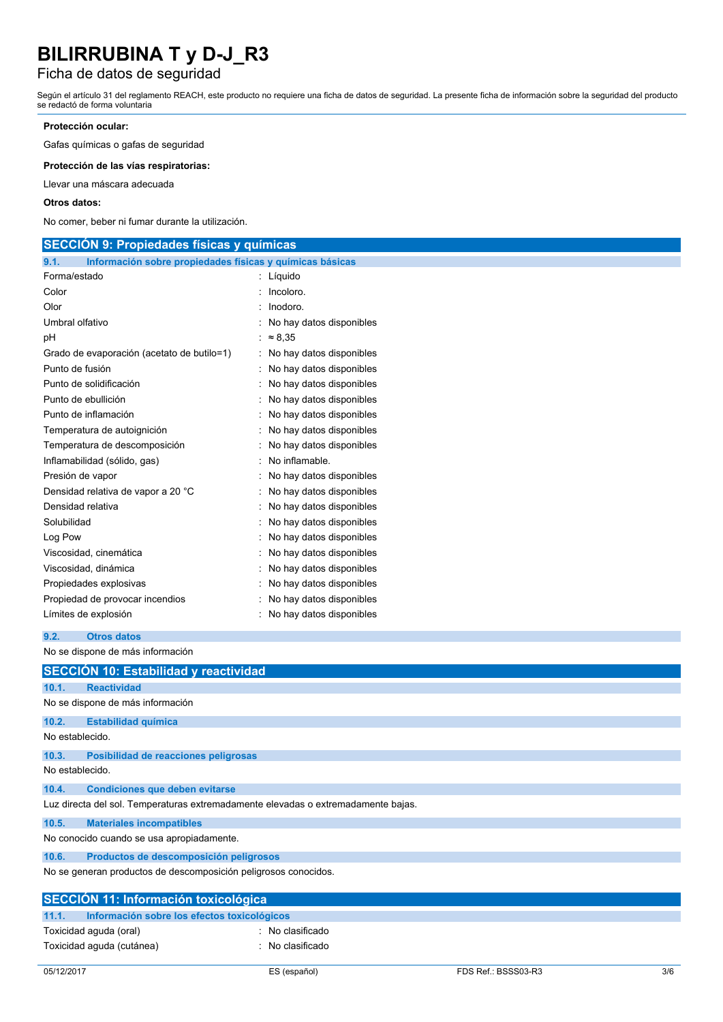### Ficha de datos de seguridad

Según el artículo 31 del reglamento REACH, este producto no requiere una ficha de datos de seguridad. La presente ficha de información sobre la seguridad del producto se redactó de forma voluntaria

#### **Protección ocular:**

Gafas químicas o gafas de seguridad

**Protección de las vías respiratorias:**

Llevar una máscara adecuada

#### **Otros datos:**

No comer, beber ni fumar durante la utilización.

| <b>SECCION 9: Propiedades físicas y químicas</b>                 |                            |  |  |
|------------------------------------------------------------------|----------------------------|--|--|
| Información sobre propiedades físicas y químicas básicas<br>9.1. |                            |  |  |
| Forma/estado                                                     | : Líquido                  |  |  |
| Color                                                            | : Incolor.                 |  |  |
| Olor                                                             | $:$ Inodoro.               |  |  |
| Umbral olfativo                                                  | : No hay datos disponibles |  |  |
| рH                                                               | : $\approx 8.35$           |  |  |
| Grado de evaporación (acetato de butilo=1)                       | : No hay datos disponibles |  |  |
| Punto de fusión                                                  | : No hay datos disponibles |  |  |
| Punto de solidificación                                          | : No hay datos disponibles |  |  |
| Punto de ebullición                                              | : No hay datos disponibles |  |  |
| Punto de inflamación                                             | : No hay datos disponibles |  |  |
| Temperatura de autoignición                                      | : No hay datos disponibles |  |  |
| Temperatura de descomposición                                    | : No hay datos disponibles |  |  |
| Inflamabilidad (sólido, gas)                                     | : No inflamable.           |  |  |
| Presión de vapor                                                 | : No hay datos disponibles |  |  |
| Densidad relativa de vapor a 20 °C                               | : No hay datos disponibles |  |  |
| Densidad relativa                                                | : No hay datos disponibles |  |  |
| Solubilidad                                                      | : No hay datos disponibles |  |  |
| Log Pow                                                          | : No hay datos disponibles |  |  |
| Viscosidad, cinemática                                           | : No hay datos disponibles |  |  |
| Viscosidad, dinámica                                             | : No hay datos disponibles |  |  |
| Propiedades explosivas                                           | : No hay datos disponibles |  |  |
| Propiedad de provocar incendios                                  | : No hay datos disponibles |  |  |
| Límites de explosión                                             | : No hay datos disponibles |  |  |

```
9.2. Otros datos
```
No se dispone de más información

|                                                                                   | SECCIÓN 10: Estabilidad y reactividad         |  |  |  |
|-----------------------------------------------------------------------------------|-----------------------------------------------|--|--|--|
| 10.1.                                                                             | <b>Reactividad</b>                            |  |  |  |
|                                                                                   | No se dispone de más información              |  |  |  |
| 10.2.                                                                             | <b>Estabilidad química</b>                    |  |  |  |
| No establecido.                                                                   |                                               |  |  |  |
| 10.3.                                                                             | Posibilidad de reacciones peligrosas          |  |  |  |
|                                                                                   | No establecido.                               |  |  |  |
| 10.4.                                                                             | <b>Condiciones que deben evitarse</b>         |  |  |  |
| Luz directa del sol. Temperaturas extremadamente elevadas o extremadamente bajas. |                                               |  |  |  |
| 10.5.                                                                             | <b>Materiales incompatibles</b>               |  |  |  |
| No conocido cuando se usa apropiadamente.                                         |                                               |  |  |  |
| 10.6.                                                                             | Productos de descomposición peligrosos        |  |  |  |
| No se generan productos de descomposición peligrosos conocidos.                   |                                               |  |  |  |
| <b>SECCIÓN 11: Información toxicológica</b>                                       |                                               |  |  |  |
| 11.1.                                                                             | Información sobre los efectos toxicológicos   |  |  |  |
|                                                                                   | Toxicidad aguda (oral)<br>: No clasificado    |  |  |  |
|                                                                                   | Toxicidad aguda (cutánea)<br>: No clasificado |  |  |  |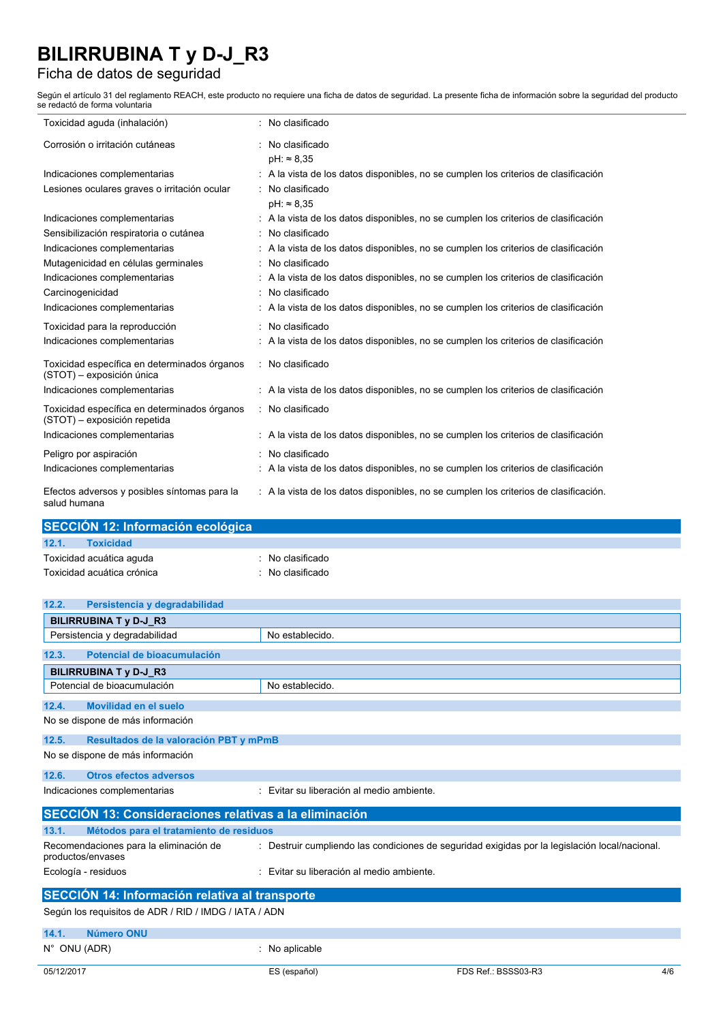## Ficha de datos de seguridad

Según el artículo 31 del reglamento REACH, este producto no requiere una ficha de datos de seguridad. La presente ficha de información sobre la seguridad del producto se redactó de forma voluntaria

| Toxicidad aguda (inhalación)                                                 | No clasificado                                                                       |
|------------------------------------------------------------------------------|--------------------------------------------------------------------------------------|
| Corrosión o irritación cutáneas                                              | No clasificado<br>$pH: \approx 8.35$                                                 |
| Indicaciones complementarias                                                 | : A la vista de los datos disponibles, no se cumplen los criterios de clasificación  |
| Lesiones oculares graves o irritación ocular                                 | No clasificado<br>$pH: \approx 8.35$                                                 |
| Indicaciones complementarias                                                 | A la vista de los datos disponibles, no se cumplen los criterios de clasificación    |
| Sensibilización respiratoria o cutánea                                       | No clasificado                                                                       |
| Indicaciones complementarias                                                 | A la vista de los datos disponibles, no se cumplen los criterios de clasificación    |
| Mutagenicidad en células germinales                                          | No clasificado                                                                       |
| Indicaciones complementarias                                                 | A la vista de los datos disponibles, no se cumplen los criterios de clasificación    |
| Carcinogenicidad                                                             | No clasificado                                                                       |
| Indicaciones complementarias                                                 | A la vista de los datos disponibles, no se cumplen los criterios de clasificación    |
| Toxicidad para la reproducción                                               | : No clasificado                                                                     |
| Indicaciones complementarias                                                 | A la vista de los datos disponibles, no se cumplen los criterios de clasificación    |
| Toxicidad específica en determinados órganos<br>(STOT) - exposición única    | : No clasificado                                                                     |
| Indicaciones complementarias                                                 | : A la vista de los datos disponibles, no se cumplen los criterios de clasificación  |
| Toxicidad específica en determinados órganos<br>(STOT) - exposición repetida | : No clasificado                                                                     |
| Indicaciones complementarias                                                 | : A la vista de los datos disponibles, no se cumplen los criterios de clasificación  |
| Peligro por aspiración                                                       | No clasificado                                                                       |
| Indicaciones complementarias                                                 | A la vista de los datos disponibles, no se cumplen los criterios de clasificación    |
| Efectos adversos y posibles síntomas para la<br>salud humana                 | : A la vista de los datos disponibles, no se cumplen los criterios de clasificación. |

| SECCIÓN 12: Información ecológica |                  |                             |  |  |  |  |  |  |
|-----------------------------------|------------------|-----------------------------|--|--|--|--|--|--|
| 12.1.                             | <b>Toxicidad</b> |                             |  |  |  |  |  |  |
| Toxicidad acuática aguda          |                  | $\therefore$ No clasificado |  |  |  |  |  |  |
| Toxicidad acuática crónica        |                  | : No clasificado            |  |  |  |  |  |  |
|                                   |                  |                             |  |  |  |  |  |  |

| 12.2.<br>Persistencia y degradabilidad                      |                                                                                                |  |  |  |  |  |  |
|-------------------------------------------------------------|------------------------------------------------------------------------------------------------|--|--|--|--|--|--|
| <b>BILIRRUBINA T y D-J R3</b>                               |                                                                                                |  |  |  |  |  |  |
| Persistencia y degradabilidad                               | No establecido.                                                                                |  |  |  |  |  |  |
| Potencial de bioacumulación<br>12.3.                        |                                                                                                |  |  |  |  |  |  |
| <b>BILIRRUBINA T y D-J R3</b>                               |                                                                                                |  |  |  |  |  |  |
| Potencial de bioacumulación                                 | No establecido.                                                                                |  |  |  |  |  |  |
| Movilidad en el suelo<br>12.4.                              |                                                                                                |  |  |  |  |  |  |
| No se dispone de más información                            |                                                                                                |  |  |  |  |  |  |
| 12.5.<br>Resultados de la valoración PBT y mPmB             |                                                                                                |  |  |  |  |  |  |
| No se dispone de más información                            |                                                                                                |  |  |  |  |  |  |
| <b>Otros efectos adversos</b><br>12.6.                      |                                                                                                |  |  |  |  |  |  |
| Indicaciones complementarias                                | : Evitar su liberación al medio ambiente.                                                      |  |  |  |  |  |  |
| SECCIÓN 13: Consideraciones relativas a la eliminación      |                                                                                                |  |  |  |  |  |  |
| 13.1.<br>Métodos para el tratamiento de residuos            |                                                                                                |  |  |  |  |  |  |
| Recomendaciones para la eliminación de<br>productos/envases | : Destruir cumpliendo las condiciones de seguridad exigidas por la legislación local/nacional. |  |  |  |  |  |  |
| Ecología - residuos                                         | : Evitar su liberación al medio ambiente.                                                      |  |  |  |  |  |  |
| <b>SECCIÓN 14: Información relativa al transporte</b>       |                                                                                                |  |  |  |  |  |  |
| Según los requisitos de ADR / RID / IMDG / IATA / ADN       |                                                                                                |  |  |  |  |  |  |
| Número ONU<br>14.1.                                         |                                                                                                |  |  |  |  |  |  |
| N° ONU (ADR)                                                | : No aplicable                                                                                 |  |  |  |  |  |  |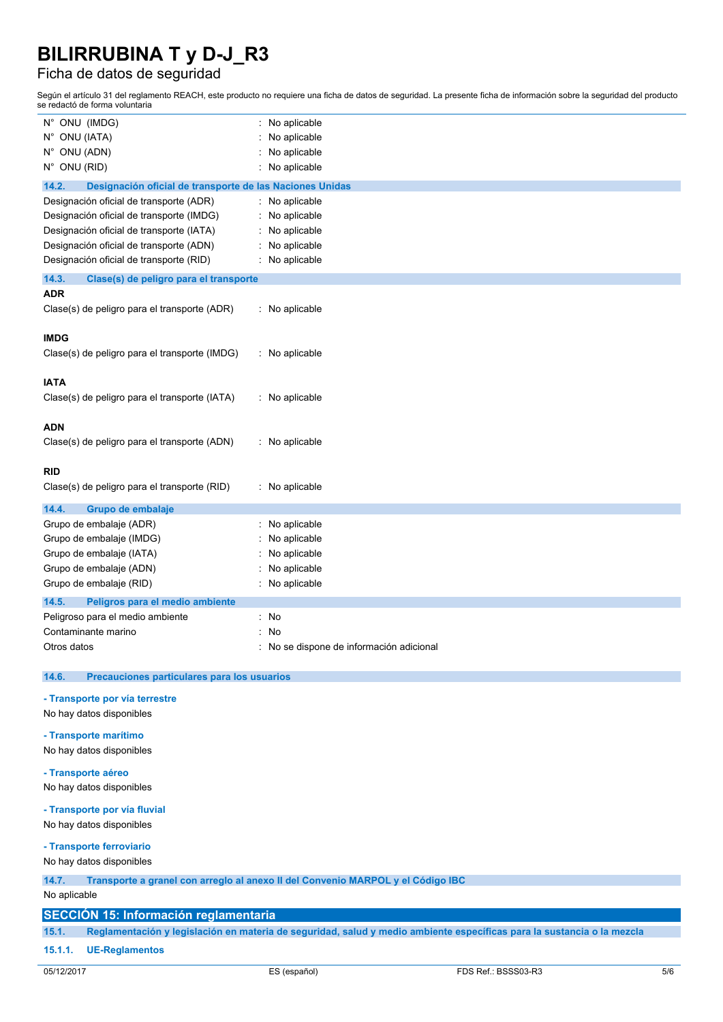### Ficha de datos de seguridad

Según el artículo 31 del reglamento REACH, este producto no requiere una ficha de datos de seguridad. La presente ficha de información sobre la seguridad del producto se redactó de forma voluntaria

| N° ONU (IMDG)                                                                                                                | No aplicable<br>t.                     |  |  |  |  |  |
|------------------------------------------------------------------------------------------------------------------------------|----------------------------------------|--|--|--|--|--|
| N° ONU (IATA)                                                                                                                | No aplicable                           |  |  |  |  |  |
| N° ONU (ADN)                                                                                                                 | No aplicable                           |  |  |  |  |  |
| N° ONU (RID)                                                                                                                 | No aplicable                           |  |  |  |  |  |
|                                                                                                                              |                                        |  |  |  |  |  |
| 14.2.<br>Designación oficial de transporte de las Naciones Unidas<br>Designación oficial de transporte (ADR)<br>No aplicable |                                        |  |  |  |  |  |
| Designación oficial de transporte (IMDG)                                                                                     | No aplicable                           |  |  |  |  |  |
|                                                                                                                              |                                        |  |  |  |  |  |
| Designación oficial de transporte (IATA)                                                                                     | No aplicable                           |  |  |  |  |  |
| Designación oficial de transporte (ADN)                                                                                      | No aplicable                           |  |  |  |  |  |
| Designación oficial de transporte (RID)                                                                                      | No aplicable                           |  |  |  |  |  |
| 14.3.<br>Clase(s) de peligro para el transporte                                                                              |                                        |  |  |  |  |  |
| <b>ADR</b>                                                                                                                   |                                        |  |  |  |  |  |
| Clase(s) de peligro para el transporte (ADR)                                                                                 | : No aplicable                         |  |  |  |  |  |
|                                                                                                                              |                                        |  |  |  |  |  |
| <b>IMDG</b>                                                                                                                  |                                        |  |  |  |  |  |
| Clase(s) de peligro para el transporte (IMDG)                                                                                | : No aplicable                         |  |  |  |  |  |
|                                                                                                                              |                                        |  |  |  |  |  |
| <b>IATA</b>                                                                                                                  |                                        |  |  |  |  |  |
| Clase(s) de peligro para el transporte (IATA)                                                                                | : No aplicable                         |  |  |  |  |  |
|                                                                                                                              |                                        |  |  |  |  |  |
| <b>ADN</b>                                                                                                                   |                                        |  |  |  |  |  |
| Clase(s) de peligro para el transporte (ADN)                                                                                 | : No aplicable                         |  |  |  |  |  |
|                                                                                                                              |                                        |  |  |  |  |  |
| <b>RID</b>                                                                                                                   |                                        |  |  |  |  |  |
| Clase(s) de peligro para el transporte (RID)                                                                                 | : No aplicable                         |  |  |  |  |  |
|                                                                                                                              |                                        |  |  |  |  |  |
| 14.4.<br>Grupo de embalaje                                                                                                   |                                        |  |  |  |  |  |
| Grupo de embalaje (ADR)                                                                                                      | No aplicable                           |  |  |  |  |  |
| Grupo de embalaje (IMDG)                                                                                                     | No aplicable                           |  |  |  |  |  |
| Grupo de embalaje (IATA)                                                                                                     | No aplicable                           |  |  |  |  |  |
| Grupo de embalaje (ADN)                                                                                                      | No aplicable                           |  |  |  |  |  |
| Grupo de embalaje (RID)                                                                                                      | No aplicable                           |  |  |  |  |  |
| 14.5.<br>Peligros para el medio ambiente                                                                                     |                                        |  |  |  |  |  |
| Peligroso para el medio ambiente                                                                                             | No<br>t.                               |  |  |  |  |  |
| Contaminante marino                                                                                                          | No                                     |  |  |  |  |  |
| Otros datos                                                                                                                  | No se dispone de información adicional |  |  |  |  |  |
|                                                                                                                              |                                        |  |  |  |  |  |
| 14.6.<br>Precauciones particulares para los usuarios                                                                         |                                        |  |  |  |  |  |
|                                                                                                                              |                                        |  |  |  |  |  |
| - Transporte por vía terrestre<br>No hay datos disponibles                                                                   |                                        |  |  |  |  |  |
|                                                                                                                              |                                        |  |  |  |  |  |
| - Transporte marítimo                                                                                                        |                                        |  |  |  |  |  |
| No hay datos disponibles                                                                                                     |                                        |  |  |  |  |  |
|                                                                                                                              |                                        |  |  |  |  |  |
| - Transporte aéreo                                                                                                           |                                        |  |  |  |  |  |
| No hay datos disponibles                                                                                                     |                                        |  |  |  |  |  |

#### **- Transporte por vía fluvial**

No hay datos disponibles

### **- Transporte ferroviario**

No hay datos disponibles

### **14.7. Transporte a granel con arreglo al anexo II del Convenio MARPOL y el Código IBC**

No aplicable

#### **SECCIÓN 15: Información reglamentaria**

15.1. Reglamentación y legislación en materia de seguridad, salud y medio ambiente específicas para la sustancia o la mezcla

#### **15.1.1. UE-Reglamentos**